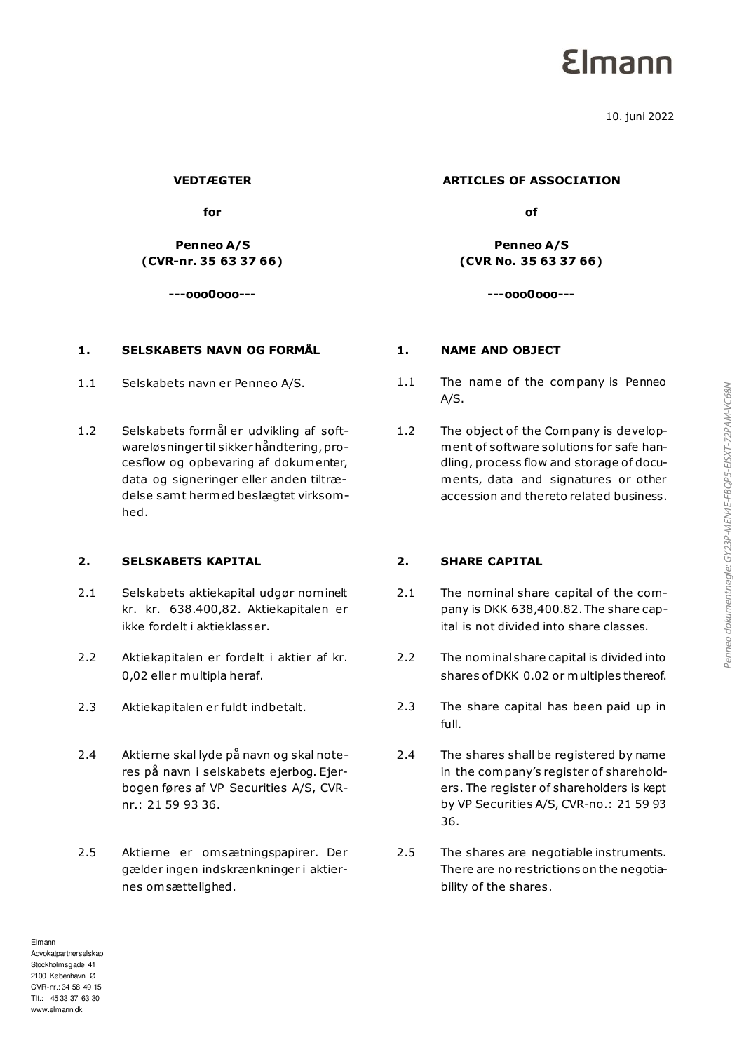# **Elmann**

10. juni 2022

**VEDTÆGTER** 

**for** 

**Penneo A/S (CVR-nr. 35 63 37 66)** 

**---ooo0ooo---**

# **1. SELSKABETS NAVN OG FORMÅL 1. NAME AND OBJECT**

- 
- 1.2 Selskabets formål er udvikling af softwareløsninger til sikker håndtering, procesflow og opbevaring af dokumenter, data og signeringer eller anden tiltrædelse samt hermed beslægtet virksomhed.

### **2. SELSKABETS KAPITAL 2. SHARE CAPITAL**

- 2.1 Selskabets aktiekapital udgør nominelt kr. kr. 638.400,82. Aktiekapitalen er ikke fordelt i aktieklasser.
- 2.2 Aktiekapitalen er fordelt i aktier af kr. 0,02 eller multipla heraf.
- 
- 2.4 Aktierne skal lyde på navn og skal noteres på navn i selskabets ejerbog. Ejerbogen føres af VP Securities A/S, CVRnr.: 21 59 93 36.
- 2.5 Aktierne er om sætningspapirer. Der gælder ingen indskrænkninger i aktiernes om sættelighed.

### **ARTICLES OF ASSOCIATION**

**of**

**Penneo A/S (CVR No. 35 63 37 66)** 

**---ooo0ooo---**

- 1.1 Selskabets navn er Penneo A/S. 1.1 The name of the company is Penneo A/S.
	- 1.2 The object of the Company is development of software solutions for safe handling, process flow and storage of documents, data and signatures or other accession and thereto related business.

- 2.1 The nominal share capital of the company is DKK 638,400.82. The share capital is not divided into share classes.
- 2.2 The nominal share capital is divided into shares of DKK 0.02 or multiples thereof.
- 2.3 Aktiekapitalen er fuldt indbetalt. 2.3 The share capital has been paid up in full.
	- 2.4 The shares shall be registered by name in the company's register of shareholders. The register of shareholders is kept by VP Securities A/S, CVR-no.: 21 59 93 36.
	- 2.5 The shares are negotiable instruments. There are no restrictions on the negotiability of the shares.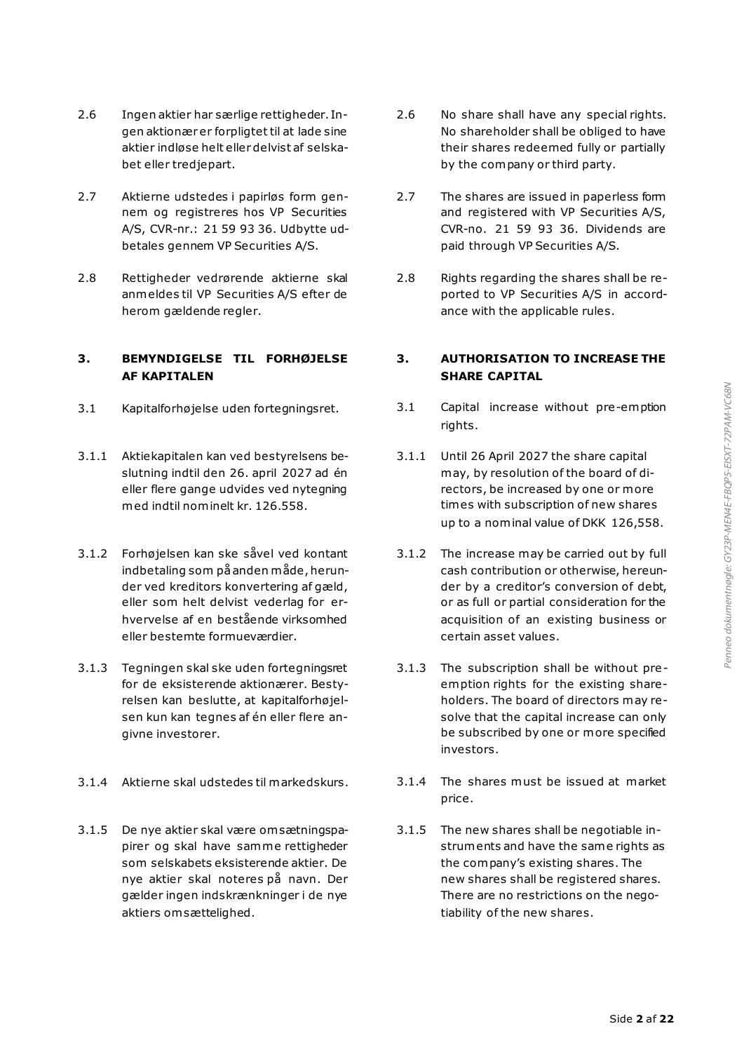- 2.6 Ingen aktier har særlige rettigheder. Ingen aktionær er forpligtet til at lade sine aktier indløse helt eller delvist af selskabet eller tredjepart.
- 2.7 Aktierne udstedes i papirløs form gennem og registreres hos VP Securities A/S, CVR-nr.: 21 59 93 36. Udbytte udbetales gennem VP Securities A/S.
- 2.8 Rettigheder vedrørende aktierne skal anmeldes til VP Securities A/S efter de herom gældende regler.

# **3. BEMYNDIGELSE TIL FORHØJELSE AF KAPITALEN**

- 
- 3.1.1 Aktiekapitalen kan ved bestyrelsens beslutning indtil den 26. april 2027 ad én eller flere gange udvides ved nytegning med indtil nominelt kr. 126.558.
- 3.1.2 Forhøjelsen kan ske såvel ved kontant indbetaling som på anden måde, herunder ved kreditors konvertering af gæld, eller som helt delvist vederlag for erhvervelse af en bestående virksomhed eller bestemte formueværdier.
- 3.1.3 Tegningen skal ske uden fortegningsret for de eksisterende aktionærer. Bestyrelsen kan beslutte, at kapitalforhøjelsen kun kan tegnes af én eller flere angivne investorer.
- 
- 3.1.5 De nye aktier skal være om sætningspapirer og skal have samme rettigheder som selskabets eksisterende aktier. De nye aktier skal noteres på navn. Der gælder ingen indskrænkninger i de nye aktiers om sættelighed.
- 2.6 No share shall have any special rights. No shareholder shall be obliged to have their shares redeemed fully or partially by the company or third party.
- 2.7 The shares are issued in paperless form and registered with VP Securities A/S, CVR-no. 21 59 93 36. Dividends are paid through VP Securities A/S.
- 2.8 Rights regarding the shares shall be reported to VP Securities A/S in accordance with the applicable rules.

# <span id="page-1-1"></span>**3. AUTHORISATION TO INCREASE THE SHARE CAPITAL**

- <span id="page-1-0"></span>3.1 Kapitalforhøjelse uden fortegningsret. 3.1 Capital increase without pre-emption rights.
	- 3.1.1 Until 26 April 2027 the share capital may, by resolution of the board of directors, be increased by one or more times with subscription of new shares up to a nominal value of DKK 126,558.
	- 3.1.2 The increase may be carried out by full cash contribution or otherwise, hereunder by a creditor's conversion of debt, or as full or partial consideration for the acquisition of an existing business or certain asset values.
	- 3.1.3 The subscription shall be without pre emption rights for the existing shareholders. The board of directors may resolve that the capital increase can only be subscribed by one or more specified investors.
- 3.1.4 Aktierne skal udstedes til markedskurs. 3.1.4 The shares must be issued at market price.
	- 3.1.5 The new shares shall be negotiable instruments and have the same rights as the company's existing shares. The new shares shall be registered shares. There are no restrictions on the negotiability of the new shares.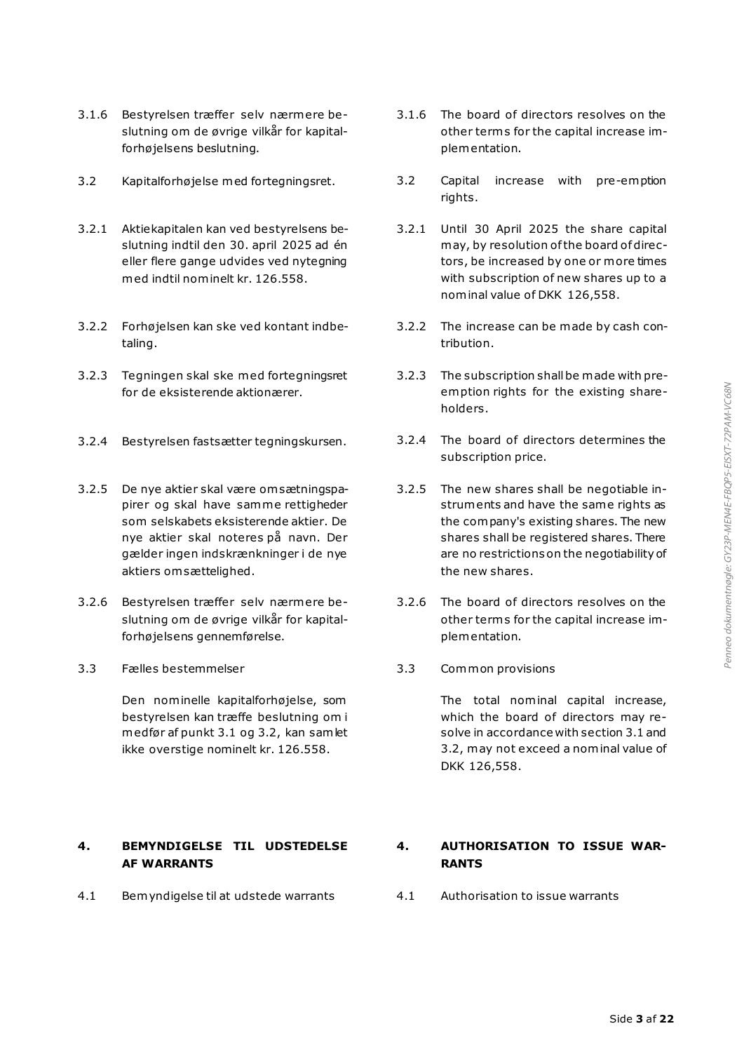- 3.1.6 Bestyrelsen træffer selv nærmere beslutning om de øvrige vilkår for kapitalforhøjelsens beslutning.
- 
- 3.2.1 Aktiekapitalen kan ved bestyrelsens beslutning indtil den 30. april 2025 ad én eller flere gange udvides ved nytegning med indtil nominelt kr. 126.558.
- 3.2.2 Forhøjelsen kan ske ved kontant indbetaling.
- 3.2.3 Tegningen skal ske med fortegningsret for de eksisterende aktionærer.
- 3.2.4 Bestyrelsen fastsætter tegningskursen. 3.2.4 The board of directors determines the
- 3.2.5 De nye aktier skal være om sætningspapirer og skal have samme rettigheder som selskabets eksisterende aktier. De nye aktier skal noteres på navn. Der gælder ingen indskrænkninger i de nye aktiers om sættelighed.
- 3.2.6 Bestyrelsen træffer selv nærmere beslutning om de øvrige vilkår for kapitalforhøjelsens gennemførelse.
- 3.3 Fælles bestemmelser 3.3 Common provisions

Den nominelle kapitalforhøjelse, som bestyrelsen kan træffe beslutning om i medfør af punkt [3.1](#page-1-0) og [3.2,](#page-2-0) kan samlet ikke overstige nominelt kr. 126.558.

# **4. BEMYNDIGELSE TIL UDSTEDELSE AF WARRANTS**

4.1 Bemyndigelse til at udstede warrants 4.1 Authorisation to issue warrants

- <span id="page-2-1"></span>3.1.6 The board of directors resolves on the other term s for the capital increase implementation.
- <span id="page-2-0"></span>3.2 Kapitalforhøjelse med fortegningsret. 3.2 Capital increase with pre-emption rights.
	- 3.2.1 Until 30 April 2025 the share capital may, by resolution of the board of directors, be increased by one or more times with subscription of new shares up to a nominal value of DKK 126,558.
	- 3.2.2 The increase can be made by cash contribution.
	- 3.2.3 The subscription shall be made with preemption rights for the existing shareholders.
	- subscription price.
	- 3.2.5 The new shares shall be negotiable instruments and have the same rights as the company's existing shares. The new shares shall be registered shares. There are no restrictions on the negotiability of the new shares.
	- 3.2.6 The board of directors resolves on the other term s for the capital increase implementation.
	-

The total nominal capital increase, which the board of directors may resolve in accordance with sectio[n 3.1](#page-1-1) and [3.2,](#page-2-1) may not exceed a nominal value of DKK 126,558.

# **4. AUTHORISATION TO ISSUE WAR-RANTS**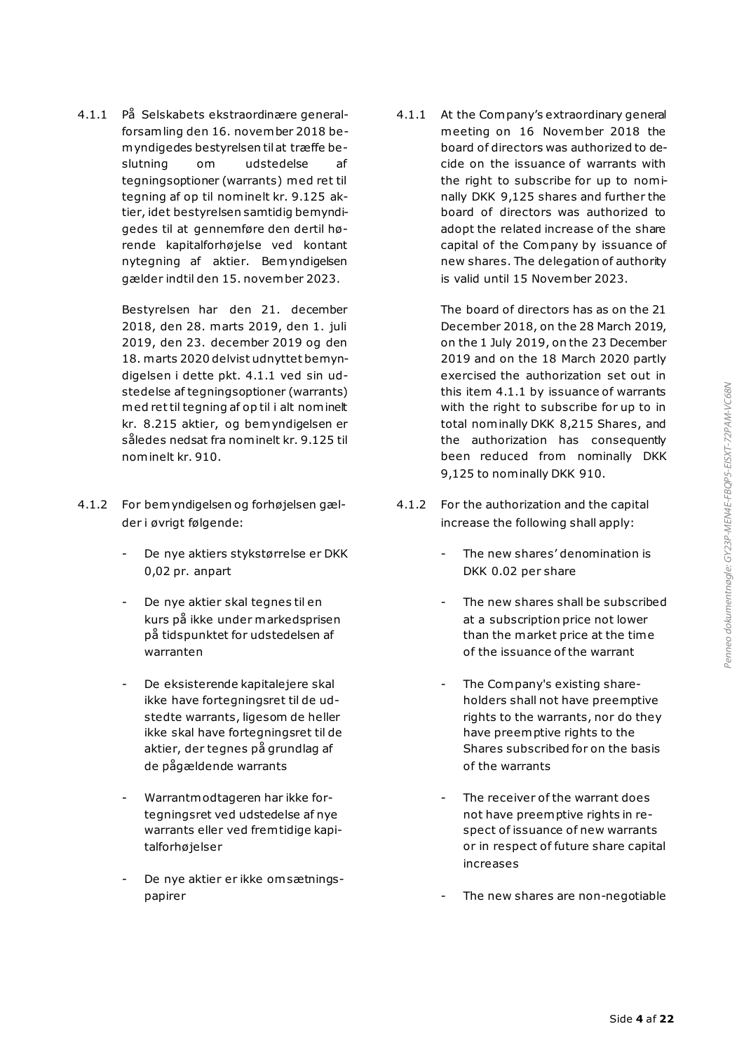4.1.1 På Selskabets ekstraordinære generalforsamling den 16. november 2018 bemyndigedes bestyrelsen til at træffe beslutning om udstedelse af tegningsoptioner (warrants) med ret til tegning af op til nominelt kr. 9.125 aktier, idet bestyrelsen samtidig bemyndigedes til at gennemføre den dertil hørende kapitalforhøjelse ved kontant nytegning af aktier. Bemyndigelsen gælder indtil den 15. november 2023.

> Bestyrelsen har den 21. december 2018, den 28. marts 2019, den 1. juli 2019, den 23. december 2019 og den 18. marts 2020 delvist udnyttet bemyndigelsen i dette pkt. 4.1.1 ved sin udstedelse af tegningsoptioner (warrants) med ret til tegning af op til i alt nominelt kr. 8.215 aktier, og bemyndigelsen er således nedsat fra nominelt kr. 9.125 til nominelt kr. 910.

- 4.1.2 For bemyndigelsen og forhøjelsen gælder i øvrigt følgende:
	- De nye aktiers stykstørrelse er DKK 0,02 pr. anpart
	- De nye aktier skal tegnes til en kurs på ikke under markedsprisen på tidspunktet for udstedelsen af warranten
	- De eksisterende kapitalejere skal ikke have fortegningsret til de udstedte warrants, ligesom de heller ikke skal have fortegningsret til de aktier, der tegnes på grundlag af de pågældende warrants
	- Warrantmodtageren har ikke fortegningsret ved udstedelse af nye warrants eller ved frem tidige kapitalforhøjelser
	- De nye aktier er ikke om sætningspapirer

4.1.1 At the Company's extraordinary general meeting on 16 November 2018 the board of directors was authorized to decide on the issuance of warrants with the right to subscribe for up to nominally DKK 9,125 shares and further the board of directors was authorized to adopt the related increase of the share capital of the Company by issuance of new shares. The delegation of authority is valid until 15 November 2023.

> The board of directors has as on the 21 December 2018, on the 28 March 2019, on the 1 July 2019, on the 23 December 2019 and on the 18 March 2020 partly exercised the authorization set out in this item 4.1.1 by issuance of warrants with the right to subscribe for up to in total nominally DKK 8,215 Shares, and the authorization has consequently been reduced from nominally DKK 9,125 to nominally DKK 910.

- 4.1.2 For the authorization and the capital increase the following shall apply:
	- The new shares' denomination is DKK 0.02 per share
	- The new shares shall be subscribed at a subscription price not lower than the market price at the time of the issuance of the warrant
	- The Company's existing shareholders shall not have preemptive rights to the warrants, nor do they have preemptive rights to the Shares subscribed for on the basis of the warrants
	- The receiver of the warrant does not have preemptive rights in respect of issuance of new warrants or in respect of future share capital increases
	- The new shares are non-negotiable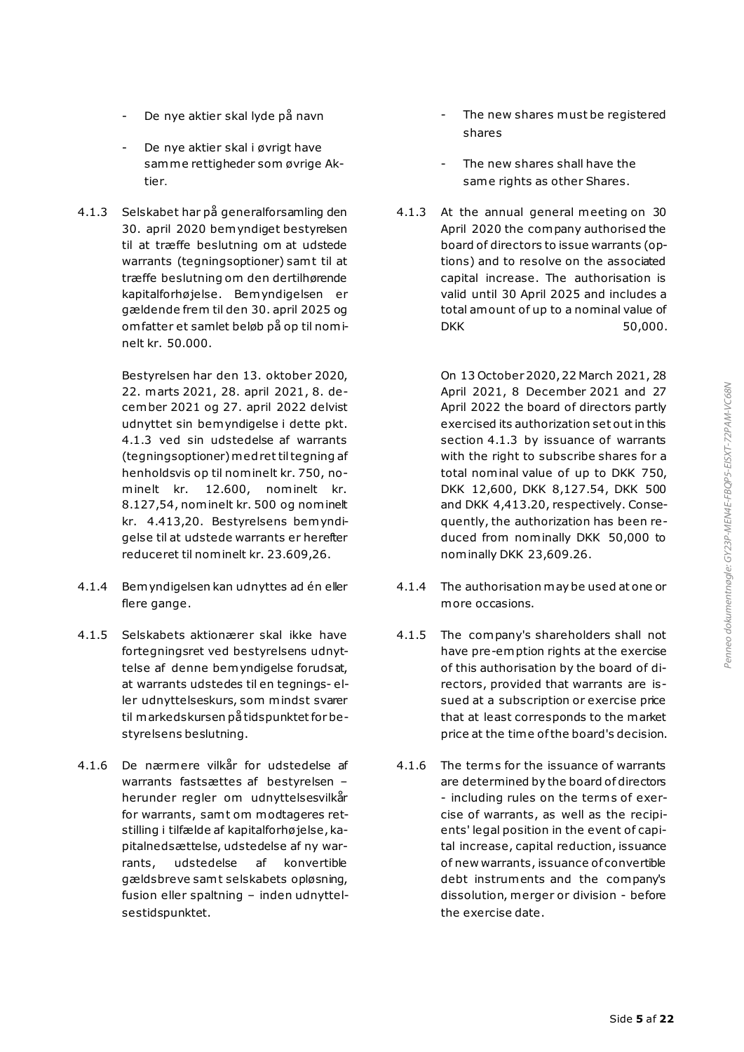- De nye aktier skal lyde på navn
- De nye aktier skal i øvrigt have samme rettigheder som øvrige Aktier.
- 4.1.3 Selskabet har på generalforsamling den 30. april 2020 bemyndiget bestyrelsen til at træffe beslutning om at udstede warrants (tegningsoptioner) samt til at træffe beslutning om den dertilhørende kapitalforhøjelse. Bemyndigelsen er gældende frem til den 30. april 2025 og om fatter et samlet beløb på op til nominelt kr. 50.000.

Bestyrelsen har den 13. oktober 2020, 22. marts 2021, 28. april 2021, 8. december 2021 og 27. april 2022 delvist udnyttet sin bemyndigelse i dette pkt. 4.1.3 ved sin udstedelse af warrants (tegningsoptioner) med ret til tegning af henholdsvis op til nominelt kr. 750, nominelt kr. 12.600, nominelt kr. 8.127,54, nominelt kr. 500 og nominelt kr. 4.413,20. Bestyrelsens bemyndigelse til at udstede warrants er herefter reduceret til nominelt kr. 23.609,26.

- 4.1.4 Bemyndigelsen kan udnyttes ad én eller flere gange.
- 4.1.5 Selskabets aktionærer skal ikke have fortegningsret ved bestyrelsens udnyttelse af denne bemyndigelse forudsat, at warrants udstedes til en tegnings- eller udnyttelseskurs, som mindst svarer til markedskursen på tidspunktet for bestyrelsens beslutning.
- 4.1.6 De nærmere vilkår for udstedelse af warrants fastsættes af bestyrelsen – herunder regler om udnyttelsesvilkår for warrants, samt om modtageres retstilling i tilfælde af kapitalforhø jelse, kapitalnedsættelse, udstedelse af ny warrants, udstedelse af konvertible gældsbreve samt selskabets opløsning, fusion eller spaltning – inden udnyttelsestidspunktet.
- The new shares must be registered shares
- The new shares shall have the same rights as other Shares.
- 4.1.3 At the annual general meeting on 30 April 2020 the company authorised the board of directors to issue warrants (options) and to resolve on the associated capital increase. The authorisation is valid until 30 April 2025 and includes a total amount of up to a nominal value of DKK 50.000.

On 13 October 2020, 22 March 2021, 28 April 2021, 8 December 2021 and 27 April 2022 the board of directors partly exercised its authorization set out in this section 4.1.3 by issuance of warrants with the right to subscribe shares for a total nominal value of up to DKK 750, DKK 12,600, DKK 8,127.54, DKK 500 and DKK 4,413.20, respectively. Consequently, the authorization has been reduced from nominally DKK 50,000 to nominally DKK 23,609.26.

- 4.1.4 The authorisation may be used at one or more occasions.
- 4.1.5 The company's shareholders shall not have pre-emption rights at the exercise of this authorisation by the board of directors, provided that warrants are issued at a subscription or exercise price that at least corresponds to the market price at the time of the board's decision.
- 4.1.6 The term s for the issuance of warrants are determined by the board of directors - including rules on the term s of exercise of warrants, as well as the recipients' legal position in the event of capital increase, capital reduction, issuance of new warrants, issuance of convertible debt instruments and the company's dissolution, merger or division - before the exercise date.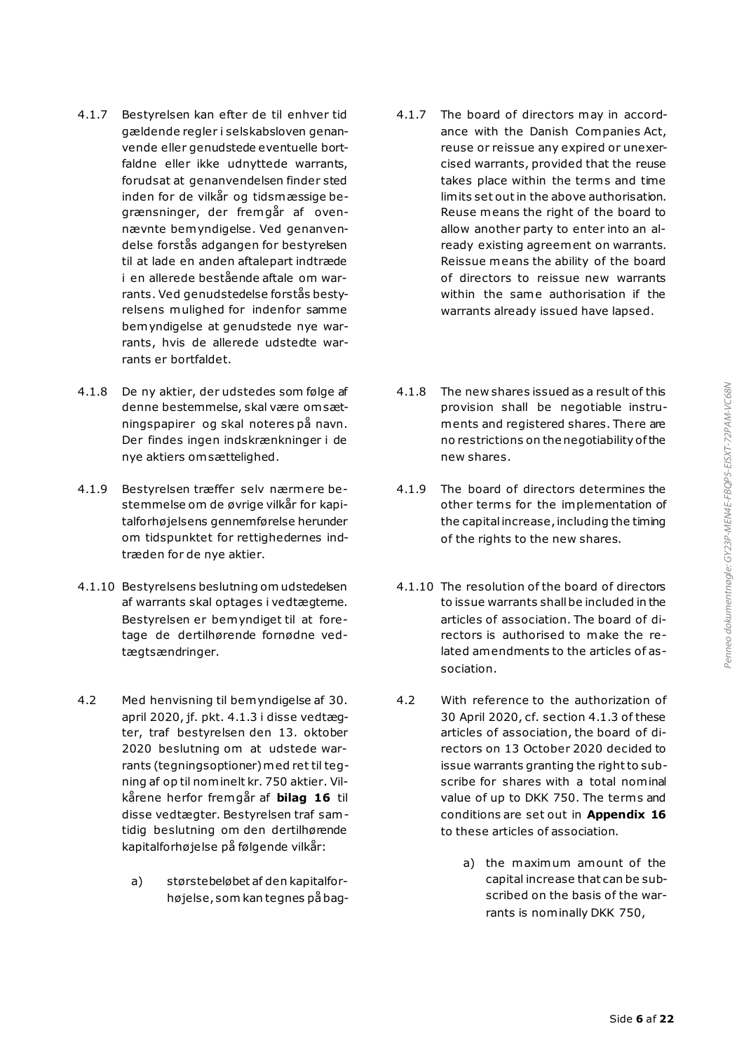- 4.1.7 Bestyrelsen kan efter de til enhver tid gældende regler i selskabsloven genanvende eller genudstede eventuelle bortfaldne eller ikke udnyttede warrants, forudsat at genanvendelsen finder sted inden for de vilkår og tidsmæssige begrænsninger, der fremgår af ovennævnte bemyndigelse. Ved genanvendelse forstås adgangen for bestyrelsen til at lade en anden aftalepart indtræde i en allerede bestående aftale om warrants. Ved genudstedelse forstås bestyrelsens mulighed for indenfor samme bemyndigelse at genudstede nye warrants, hvis de allerede udstedte warrants er bortfaldet.
- 4.1.8 De ny aktier, der udstedes som følge af denne bestemmelse, skal være om sætningspapirer og skal noteres på navn. Der findes ingen indskrænkninger i de nye aktiers om sættelighed.
- 4.1.9 Bestyrelsen træffer selv nærmere bestemmelse om de øvrige vilkår for kapitalforhøjelsens gennemførelse herunder om tidspunktet for rettighedernes indtræden for de nye aktier.
- 4.1.10 Bestyrelsens beslutning om udstedelsen af warrants skal optages i vedtægterne. Bestyrelsen er bemyndiget til at foretage de dertilhørende fornødne vedtægtsændringer.
- 4.2 Med henvisning til bemyndigelse af 30. april 2020, jf. pkt. 4.1.3 i disse vedtægter, traf bestyrelsen den 13. oktober 2020 beslutning om at udstede warrants (tegningsoptioner) med ret til tegning af op til nominelt kr. 750 aktier. Vilkårene herfor fremgår af **bilag 16** til disse vedtægter. Bestyrelsen traf samtidig beslutning om den dertilhørende kapitalforhøjelse på følgende vilkår:
	- a) størstebeløbet af den kapitalforhøjelse, som kan tegnes på bag-
- 4.1.7 The board of directors may in accordance with the Danish Companies Act, reuse or reissue any expired or unexercised warrants, provided that the reuse takes place within the terms and time limits set out in the above authorisation. Reuse means the right of the board to allow another party to enter into an already existing agreement on warrants. Reissue means the ability of the board of directors to reissue new warrants within the same authorisation if the warrants already issued have lapsed.
- 4.1.8 The new shares issued as a result of this provision shall be negotiable instruments and registered shares. There are no restrictions on the negotiability of the new shares.
- 4.1.9 The board of directors determines the other terms for the implementation of the capital increase, including the timing of the rights to the new shares.
- 4.1.10 The resolution of the board of directors to issue warrants shall be included in the articles of association. The board of directors is authorised to make the related amendments to the articles of association.
- 4.2 With reference to the authorization of 30 April 2020, cf. section 4.1.3 of these articles of association, the board of directors on 13 October 2020 decided to issue warrants granting the right to subscribe for shares with a total nominal value of up to DKK 750. The terms and conditions are set out in **Appendix 16** to these articles of association.
	- a) the maximum amount of the capital increase that can be subscribed on the basis of the warrants is nominally DKK 750,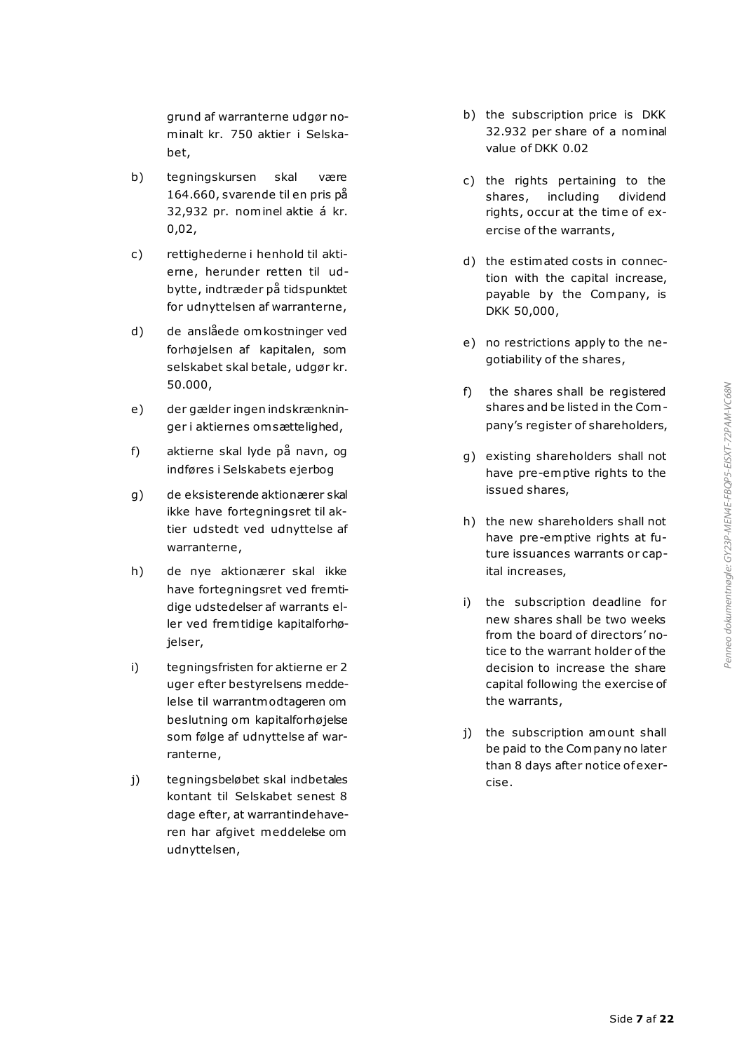grund af warranterne udgør nominalt kr. 750 aktier i Selskabet,

- b) tegningskursen skal være 164.660, svarende til en pris på 32,932 pr. nominel aktie á kr. 0,02,
- c) rettighederne i henhold til aktierne, herunder retten til udbytte, indtræder på tidspunktet for udnyttelsen af warranterne,
- d) de anslåede omkostninger ved forhøjelsen af kapitalen, som selskabet skal betale, udgør kr. 50.000,
- e) der gælder ingen indskrænkninger i aktiernes om sættelighed,
- f) aktierne skal lyde på navn, og indføres i Selskabets ejerbog
- g) de eksisterende aktionærer skal ikke have fortegningsret til aktier udstedt ved udnyttelse af warranterne,
- h) de nye aktionærer skal ikke have fortegningsret ved fremtidige udstedelser af warrants eller ved frem tidige kapitalforhøjelser,
- i) tegningsfristen for aktierne er 2 uger efter bestyrelsens meddelelse til warrantmodtageren om beslutning om kapitalforhøjelse som følge af udnyttelse af warranterne,
- j) tegningsbeløbet skal indbetales kontant til Selskabet senest 8 dage efter, at warrantindehaveren har afgivet meddelelse om udnyttelsen,
- b) the subscription price is DKK 32.932 per share of a nominal value of DKK 0.02
- c) the rights pertaining to the shares, including dividend rights, occur at the time of exercise of the warrants,
- d) the estimated costs in connection with the capital increase, payable by the Company, is DKK 50,000,
- e) no restrictions apply to the negotiability of the shares,
- f) the shares shall be registered shares and be listed in the Company's register of shareholders,
- g) existing shareholders shall not have pre-emptive rights to the issued shares,
- h) the new shareholders shall not have pre-emptive rights at future issuances warrants or capital increases,
- i) the subscription deadline for new shares shall be two weeks from the board of directors' notice to the warrant holder of the decision to increase the share capital following the exercise of the warrants,
- j) the subscription amount shall be paid to the Company no later than 8 days after notice of exercise.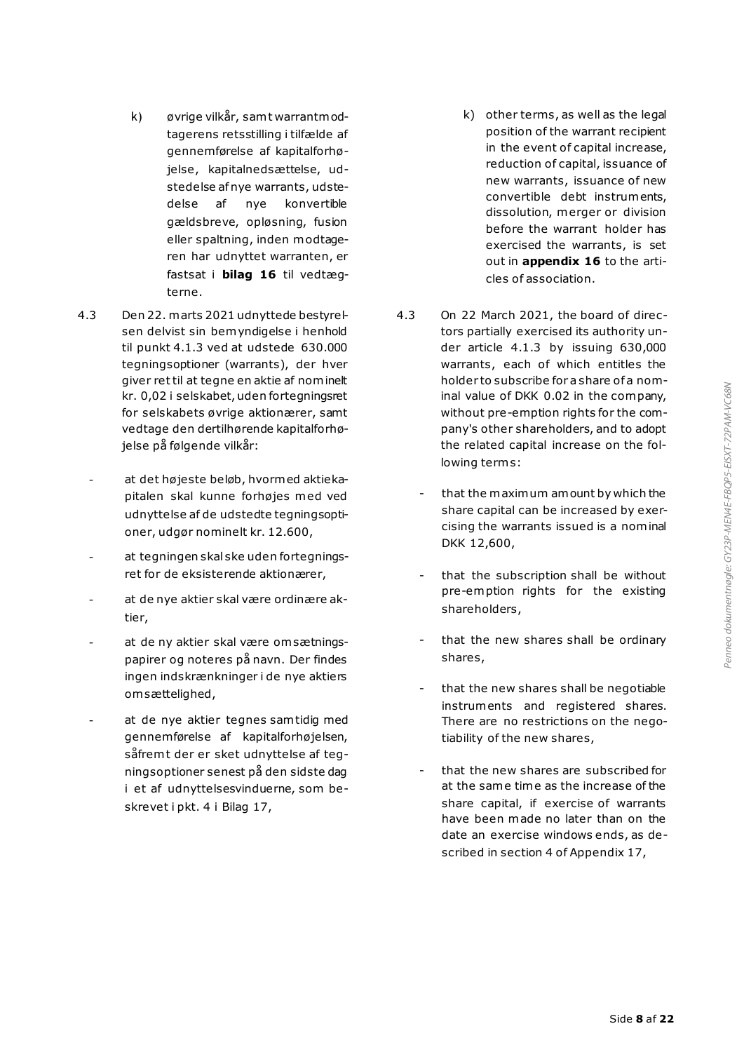- k) øvrige vilkår, samt warrantmodtagerens retsstilling i tilfælde af gennemførelse af kapitalforhøjelse, kapitalnedsættelse, udstedelse af nye warrants, udstedelse af nye konvertible gældsbreve, opløsning, fusion eller spaltning, inden modtageren har udnyttet warranten, er fastsat i **bilag 16** til vedtægterne.
- 4.3 Den 22. marts 2021 udnyttede bestyrelsen delvist sin bemyndigelse i henhold til punkt 4.1.3 ved at udstede 630.000 tegningsoptioner (warrants), der hver giver ret til at tegne en aktie af nominelt kr. 0,02 i selskabet, uden fortegningsret for selskabets øvrige aktionærer, samt vedtage den dertilhørende kapitalforhøjelse på følgende vilkår:
	- at det højeste beløb, hvormed aktiekapitalen skal kunne forhøjes med ved udnyttelse af de udstedte tegningsoptioner, udgør nominelt kr. 12.600,
	- at tegningen skal ske uden fortegningsret for de eksisterende aktionærer,
	- at de nye aktier skal være ordinære aktier,
	- at de ny aktier skal være om sætningspapirer og noteres på navn. Der findes ingen indskrænkninger i de nye aktiers om sættelighed,
	- at de nye aktier tegnes sam tidig med gennemførelse af kapitalforhøjelsen, såfrem t der er sket udnyttelse af tegningsoptioner senest på den sidste dag i et af udnyttelsesvinduerne, som beskrevet i pkt. 4 i Bilag 17,
- k) other terms, as well as the legal position of the warrant recipient in the event of capital increase, reduction of capital, issuance of new warrants, issuance of new convertible debt instruments, dissolution, merger or division before the warrant holder has exercised the warrants, is set out in **appendix 16** to the articles of association.
- 4.3 On 22 March 2021, the board of directors partially exercised its authority under article 4.1.3 by issuing 630,000 warrants, each of which entitles the holder to subscribe for a share of a nominal value of DKK 0.02 in the company, without pre-emption rights for the company's other shareholders, and to adopt the related capital increase on the following term s:
	- that the maximum amount by which the share capital can be increased by exercising the warrants issued is a nominal DKK 12,600,
	- that the subscription shall be without pre-emption rights for the existing shareholders,
	- that the new shares shall be ordinary shares,
	- that the new shares shall be negotiable instruments and registered shares. There are no restrictions on the negotiability of the new shares,
	- that the new shares are subscribed for at the same time as the increase of the share capital, if exercise of warrants have been made no later than on the date an exercise windows ends, as described in section 4 of Appendix 17,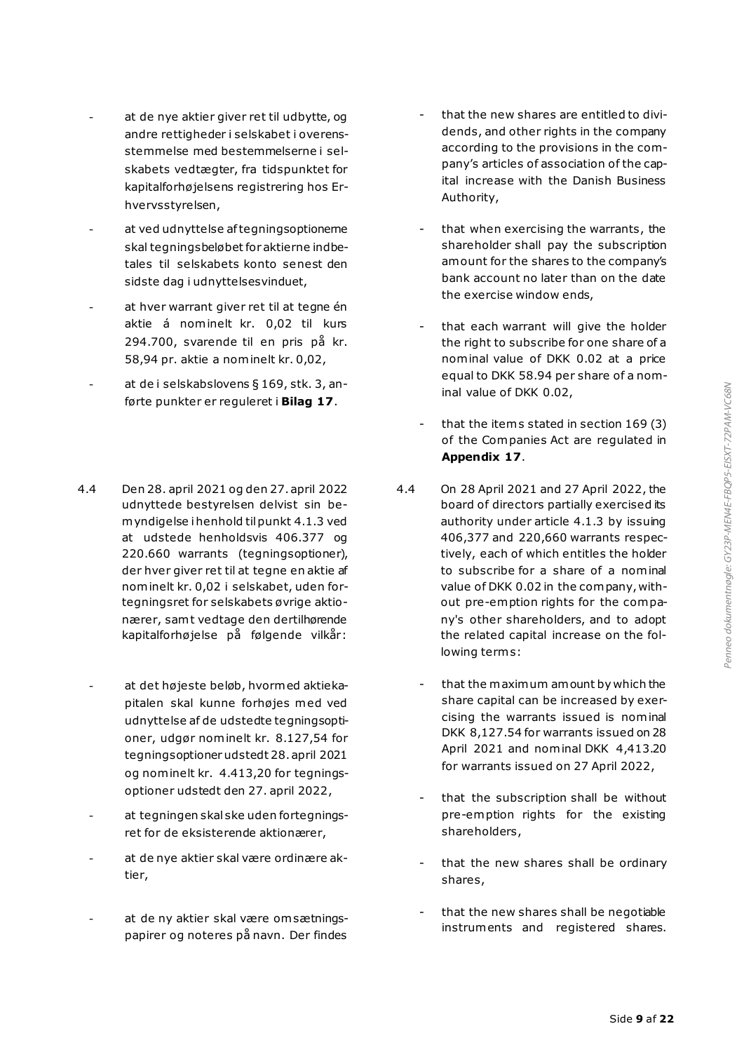- at de nye aktier giver ret til udbytte, og andre rettigheder i selskabet i overensstemmelse med bestemmelserne i selskabets vedtægter, fra tidspunktet for kapitalforhøjelsens registrering hos Erhvervsstyrelsen,
- at ved udnyttelse af tegningsoptionerne skal tegningsbeløbet for aktierne indbetales til selskabets konto senest den sidste dag i udnyttelsesvinduet,
- at hver warrant giver ret til at tegne én aktie á nominelt kr. 0,02 til kurs 294.700, svarende til en pris på kr. 58,94 pr. aktie a nominelt kr. 0,02,
- at de i selskabslovens § 169, stk. 3, anførte punkter er reguleret i **Bilag 17**.
- 4.4 Den 28. april 2021 og den 27. april 2022 udnyttede bestyrelsen delvist sin bemyndigelse i henhold til punkt 4.1.3 ved at udstede henholdsvis 406.377 og 220.660 warrants (tegningsoptioner), der hver giver ret til at tegne en aktie af nominelt kr. 0,02 i selskabet, uden fortegningsret for selskabets øvrige aktionærer, samt vedtage den dertilhørende kapitalforhøjelse på følgende vilkår:
	- at det højeste beløb, hvormed aktiekapitalen skal kunne forhøjes med ved udnyttelse af de udstedte tegningsoptioner, udgør nominelt kr. 8.127,54 for tegningsoptioner udstedt 28. april 2021 og nominelt kr. 4.413,20 for tegningsoptioner udstedt den 27. april 2022,
	- at tegningen skal ske uden fortegningsret for de eksisterende aktionærer,
	- at de nye aktier skal være ordinære aktier,
	- at de ny aktier skal være om sætningspapirer og noteres på navn. Der findes
- that the new shares are entitled to dividends, and other rights in the company according to the provisions in the company's articles of association of the capital increase with the Danish Business Authority,
- that when exercising the warrants, the shareholder shall pay the subscription amount for the shares to the company's bank account no later than on the date the exercise window ends,
- that each warrant will give the holder the right to subscribe for one share of a nominal value of DKK 0.02 at a price equal to DKK 58.94 per share of a nominal value of DKK 0.02,
- that the items stated in section 169 (3) of the Companies Act are regulated in **Appendix 17**.
- 4.4 On 28 April 2021 and 27 April 2022, the board of directors partially exercised its authority under article 4.1.3 by issuing 406,377 and 220,660 warrants respectively, each of which entitles the holder to subscribe for a share of a nominal value of DKK 0.02 in the company, without pre-emption rights for the company's other shareholders, and to adopt the related capital increase on the following term s:
	- that the maximum amount by which the share capital can be increased by exercising the warrants issued is nominal DKK 8,127.54 for warrants issued on 28 April 2021 and nominal DKK 4,413.20 for warrants issued on 27 April 2022,
	- that the subscription shall be without pre-emption rights for the existing shareholders,
	- that the new shares shall be ordinary shares,
	- that the new shares shall be negotiable instruments and registered shares.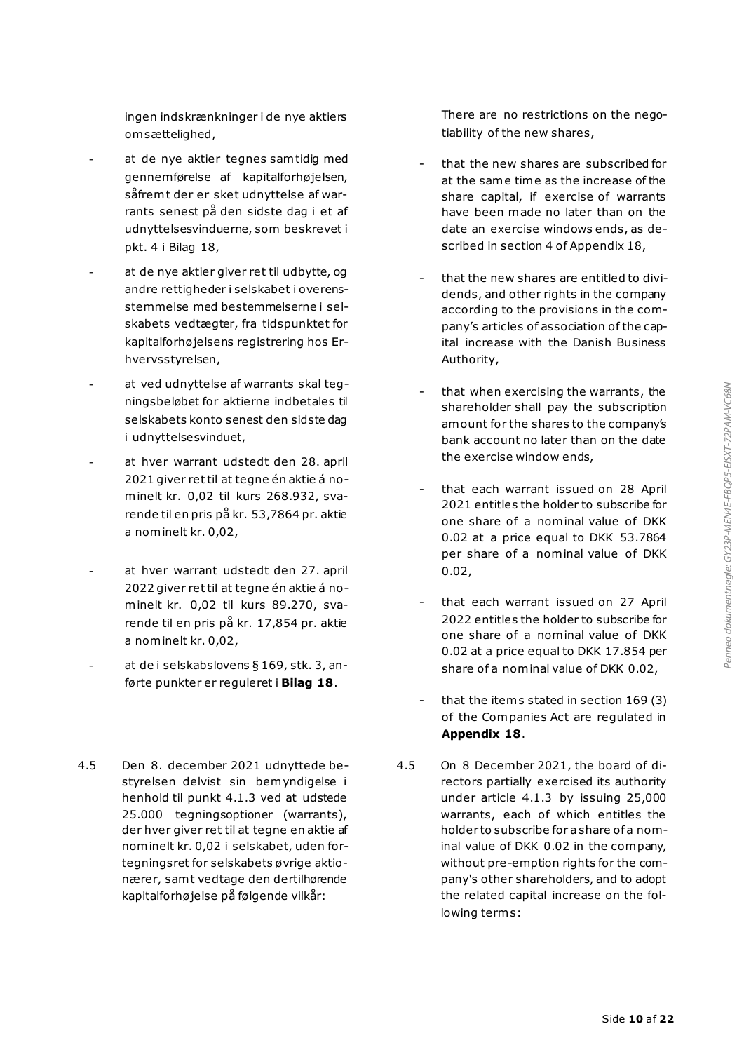ingen indskrænkninger i de nye aktiers om sættelighed,

- at de nye aktier tegnes sam tidig med gennemførelse af kapitalforhøjelsen, såfrem t der er sket udnyttelse af warrants senest på den sidste dag i et af udnyttelsesvinduerne, som beskrevet i pkt. 4 i Bilag 18,
- at de nye aktier giver ret til udbytte, og andre rettigheder i selskabet i overensstemmelse med bestemmelserne i selskabets vedtægter, fra tidspunktet for kapitalforhøjelsens registrering hos Erhvervsstyrelsen,
- at ved udnyttelse af warrants skal tegningsbeløbet for aktierne indbetales til selskabets konto senest den sidste dag i udnyttelsesvinduet,
- at hver warrant udstedt den 28. april 2021 giver ret til at tegne én aktie á nominelt kr. 0,02 til kurs 268.932, svarende til en pris på kr. 53,7864 pr. aktie a nominelt kr. 0,02,
- at hver warrant udstedt den 27. april 2022 giver ret til at tegne én aktie á nominelt kr. 0,02 til kurs 89.270, svarende til en pris på kr. 17,854 pr. aktie a nominelt kr. 0,02,
- at de i selskabslovens § 169, stk. 3, anførte punkter er reguleret i **Bilag 18**.
- 4.5 Den 8. december 2021 udnyttede bestyrelsen delvist sin bemyndigelse i henhold til punkt 4.1.3 ved at udstede 25.000 tegningsoptioner (warrants), der hver giver ret til at tegne en aktie af nominelt kr. 0,02 i selskabet, uden fortegningsret for selskabets øvrige aktionærer, samt vedtage den dertilhørende kapitalforhøjelse på følgende vilkår:

There are no restrictions on the negotiability of the new shares,

- that the new shares are subscribed for at the same time as the increase of the share capital, if exercise of warrants have been made no later than on the date an exercise windows ends, as described in section 4 of Appendix 18,
- that the new shares are entitled to dividends, and other rights in the company according to the provisions in the company's articles of association of the capital increase with the Danish Business Authority,
- that when exercising the warrants, the shareholder shall pay the subscription amount for the shares to the company's bank account no later than on the date the exercise window ends,
- that each warrant issued on 28 April 2021 entitles the holder to subscribe for one share of a nominal value of DKK 0.02 at a price equal to DKK 53.7864 per share of a nominal value of DKK 0.02,
- that each warrant issued on 27 April 2022 entitles the holder to subscribe for one share of a nominal value of DKK 0.02 at a price equal to DKK 17.854 per share of a nominal value of DKK 0.02,
- that the items stated in section  $169(3)$ of the Companies Act are regulated in **Appendix 18**.
- 4.5 On 8 December 2021, the board of directors partially exercised its authority under article 4.1.3 by issuing 25,000 warrants, each of which entitles the holder to subscribe for a share of a nominal value of DKK 0.02 in the company, without pre-emption rights for the company's other shareholders, and to adopt the related capital increase on the following terms: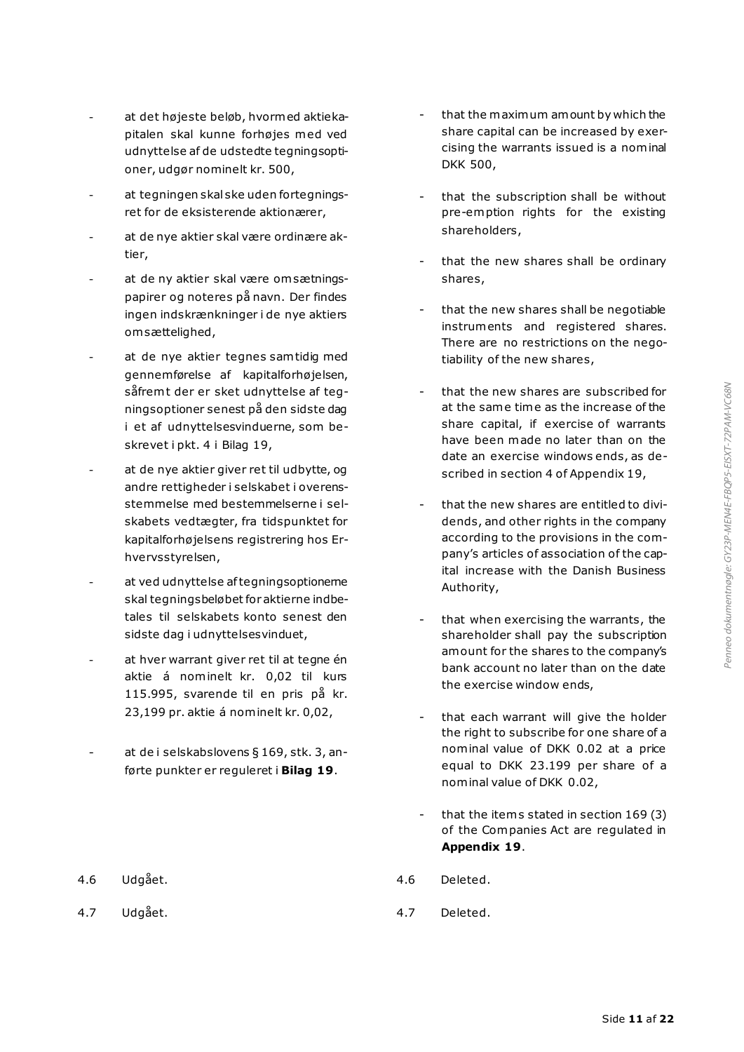- at det højeste beløb, hvormed aktiekapitalen skal kunne forhøjes med ved udnyttelse af de udstedte tegningsoptioner, udgør nominelt kr. 500,
- at tegningen skal ske uden fortegningsret for de eksisterende aktionærer,
- at de nye aktier skal være ordinære aktier,
- at de ny aktier skal være om sætningspapirer og noteres på navn. Der findes ingen indskrænkninger i de nye aktiers om sættelighed,
- at de nye aktier tegnes sam tidig med gennemførelse af kapitalforhøjelsen, såfremt der er sket udnyttelse af tegningsoptioner senest på den sidste dag i et af udnyttelsesvinduerne, som beskrevet i pkt. 4 i Bilag 19,
- at de nye aktier giver ret til udbytte, og andre rettigheder i selskabet i overensstemmelse med bestemmelserne i selskabets vedtægter, fra tidspunktet for kapitalforhøjelsens registrering hos Erhvervsstyrelsen,
- at ved udnyttelse af tegningsoptionerne skal tegningsbeløbet for aktierne indbetales til selskabets konto senest den sidste dag i udnyttelsesvinduet,
- at hver warrant giver ret til at tegne én aktie á nominelt kr. 0,02 til kurs 115.995, svarende til en pris på kr. 23,199 pr. aktie á nominelt kr. 0,02,
- at de i selskabslovens § 169, stk. 3, anførte punkter er reguleret i **Bilag 19**.
- 

- that the maximum amount by which the share capital can be increased by exercising the warrants issued is a nominal DKK 500,
- that the subscription shall be without pre-emption rights for the existing shareholders,
- that the new shares shall be ordinary shares,
- that the new shares shall be negotiable instruments and registered shares. There are no restrictions on the negotiability of the new shares,
- that the new shares are subscribed for at the same time as the increase of the share capital, if exercise of warrants have been made no later than on the date an exercise windows ends, as described in section 4 of Appendix 19,
- that the new shares are entitled to dividends, and other rights in the company according to the provisions in the company's articles of association of the capital increase with the Danish Business Authority,
- that when exercising the warrants, the shareholder shall pay the subscription amount for the shares to the company's bank account no later than on the date the exercise window ends,
- that each warrant will give the holder the right to subscribe for one share of a nominal value of DKK 0.02 at a price equal to DKK 23.199 per share of a nominal value of DKK 0.02,
- that the items stated in section 169 (3) of the Companies Act are regulated in **Appendix 19**.
- 4.6 Udgået. 4.6 Deleted.
- 4.7 Udgået. 4.7 Deleted.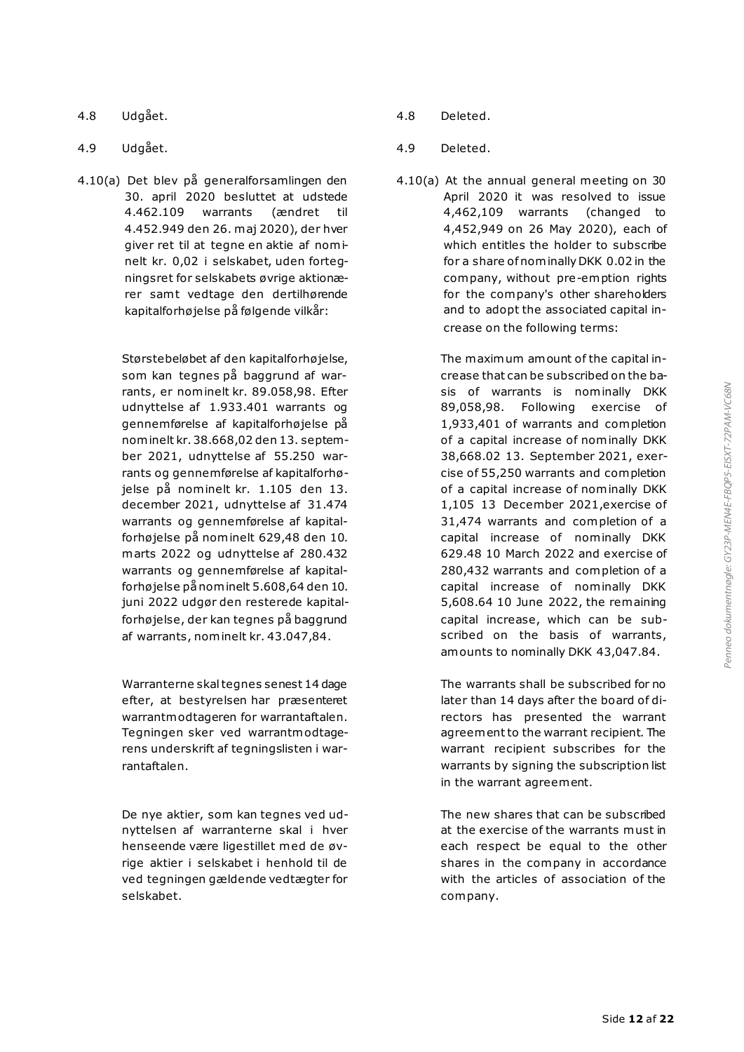- 4.8 Udgået.
- 4.9 Udgået.
- 4.10(a) Det blev på generalforsamlingen den 30. april 2020 besluttet at udstede 4.462.109 warrants (ændret til 4.452.949 den 26. maj 2020), der hver giver ret til at tegne en aktie af nominelt kr. 0,02 i selskabet, uden fortegningsret for selskabets øvrige aktionærer samt vedtage den dertilhørende kapitalforhøjelse på følgende vilkår:

Størstebeløbet af den kapitalforhøjelse, som kan tegnes på baggrund af warrants, er nominelt kr. 89.058,98. Efter udnyttelse af 1.933.401 warrants og gennemførelse af kapitalforhøjelse på nominelt kr. 38.668,02 den 13. september 2021, udnyttelse af 55.250 warrants og gennemførelse af kapitalforhøjelse på nominelt kr. 1.105 den 13. december 2021, udnyttelse af 31.474 warrants og gennemførelse af kapitalforhøjelse på nominelt 629,48 den 10. marts 2022 og udnyttelse af 280.432 warrants og gennemførelse af kapitalforhøjelse på nominelt 5.608,64 den 10. juni 2022 udgør den resterede kapitalforhøjelse, der kan tegnes på baggrund af warrants, nominelt kr. 43.047,84.

Warranterne skal tegnes senest 14 dage efter, at bestyrelsen har præsenteret warrantmodtageren for warrantaftalen. Tegningen sker ved warrantmodtagerens underskrift af tegningslisten i warrantaftalen.

De nye aktier, som kan tegnes ved udnyttelsen af warranterne skal i hver henseende være ligestillet med de øvrige aktier i selskabet i henhold til de ved tegningen gældende vedtægter for selskabet.

- 4.8 Deleted.
- 4.9 Deleted.
- 4.10(a) At the annual general meeting on 30 April 2020 it was resolved to issue 4,462,109 warrants (changed to 4,452,949 on 26 May 2020), each of which entitles the holder to subscribe for a share of nominally DKK 0.02 in the company, without pre-emption rights for the company's other shareholders and to adopt the associated capital increase on the following terms:

The maximum amount of the capital increase that can be subscribed on the basis of warrants is nominally DKK 89,058,98. Following exercise of 1,933,401 of warrants and completion of a capital increase of nominally DKK 38,668.02 13. September 2021, exercise of 55,250 warrants and completion of a capital increase of nominally DKK 1,105 13 December 2021,exercise of 31,474 warrants and completion of a capital increase of nominally DKK 629.48 10 March 2022 and exercise of 280,432 warrants and completion of a capital increase of nominally DKK 5,608.64 10 June 2022, the remaining capital increase, which can be subscribed on the basis of warrants, amounts to nominally DKK 43,047.84.

The warrants shall be subscribed for no later than 14 days after the board of directors has presented the warrant agreement to the warrant recipient. The warrant recipient subscribes for the warrants by signing the subscription list in the warrant agreement.

The new shares that can be subscribed at the exercise of the warrants must in each respect be equal to the other shares in the company in accordance with the articles of association of the company.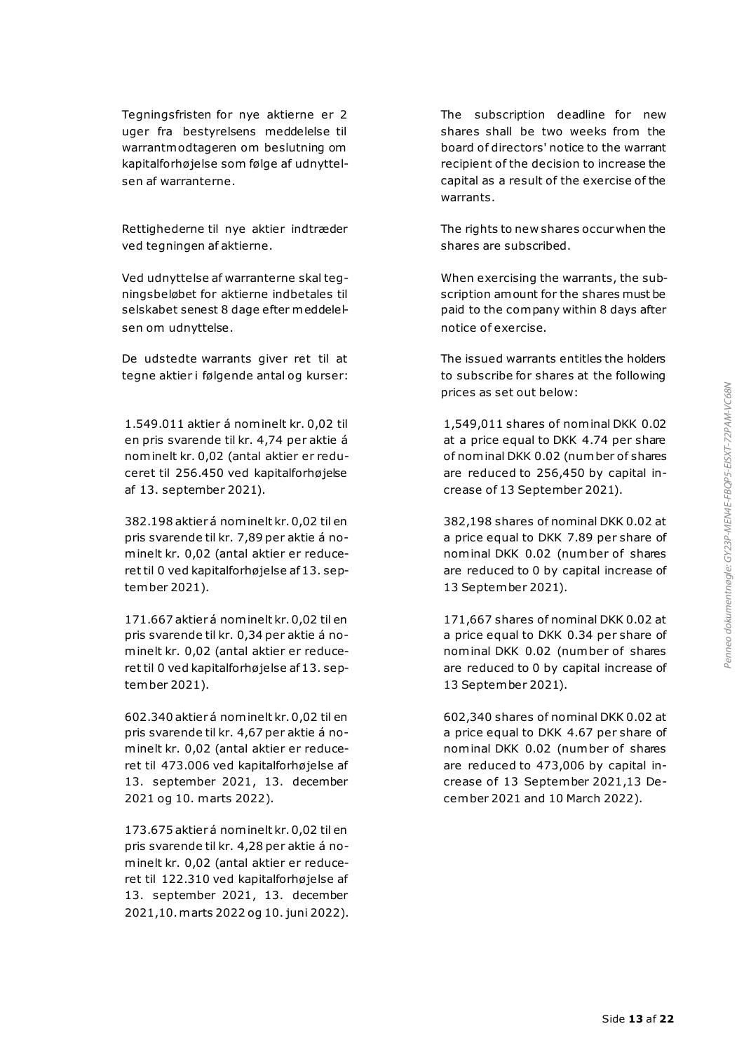Tegningsfristen for nye aktierne er 2 uger fra bestyrelsens meddelelse til warrantmodtageren om beslutning om kapitalforhøjelse som følge af udnyttelsen af warranterne.

Rettighederne til nye aktier indtræder ved tegningen af aktierne.

Ved udnyttelse af warranterne skal tegningsbeløbet for aktierne indbetales til selskabet senest 8 dage efter meddelelsen om udnyttelse.

De udstedte warrants giver ret til at tegne aktier i følgende antal og kurser:

1.549.011 aktier á nominelt kr. 0,02 til en pris svarende til kr. 4,74 per aktie á nominelt kr. 0,02 (antal aktier er reduceret til 256.450 ved kapitalforhøjelse af 13. september 2021).

382.198 aktier á nominelt kr. 0,02 til en pris svarende til kr. 7,89 per aktie á nominelt kr. 0,02 (antal aktier er reduceret til 0 ved kapitalforhøjelse af 13. september 2021).

171.667 aktier á nominelt kr. 0,02 til en pris svarende til kr. 0,34 per aktie á nominelt kr. 0,02 (antal aktier er reduceret til 0 ved kapitalforhøjelse af 13. september 2021).

602.340 aktier á nominelt kr. 0,02 til en pris svarende til kr. 4,67 per aktie á nominelt kr. 0,02 (antal aktier er reduceret til 473.006 ved kapitalforhøjelse af 13. september 2021, 13. december 2021 og 10. marts 2022).

173.675 aktier á nominelt kr. 0,02 til en pris svarende til kr. 4,28 per aktie á nominelt kr. 0,02 (antal aktier er reduceret til 122.310 ved kapitalforhøjelse af 13. september 2021, 13. december 2021,10. marts 2022 og 10. juni 2022). The subscription deadline for new shares shall be two weeks from the board of directors' notice to the warrant recipient of the decision to increase the capital as a result of the exercise of the warrants.

The rights to new shares occur when the shares are subscribed.

When exercising the warrants, the subscription amount for the shares must be paid to the company within 8 days after notice of exercise.

The issued warrants entitles the holders to subscribe for shares at the following prices as set out below:

1,549,011 shares of nominal DKK 0.02 at a price equal to DKK 4.74 per share of nominal DKK 0.02 (number of shares are reduced to 256,450 by capital increase of 13 September 2021).

382,198 shares of nominal DKK 0.02 at a price equal to DKK 7.89 per share of nominal DKK 0.02 (number of shares are reduced to 0 by capital increase of 13 September 2021).

171,667 shares of nominal DKK 0.02 at a price equal to DKK 0.34 per share of nominal DKK 0.02 (number of shares are reduced to 0 by capital increase of 13 September 2021).

602,340 shares of nominal DKK 0.02 at a price equal to DKK 4.67 per share of nominal DKK 0.02 (number of shares are reduced to 473,006 by capital increase of 13 September 2021,13 December 2021 and 10 March 2022).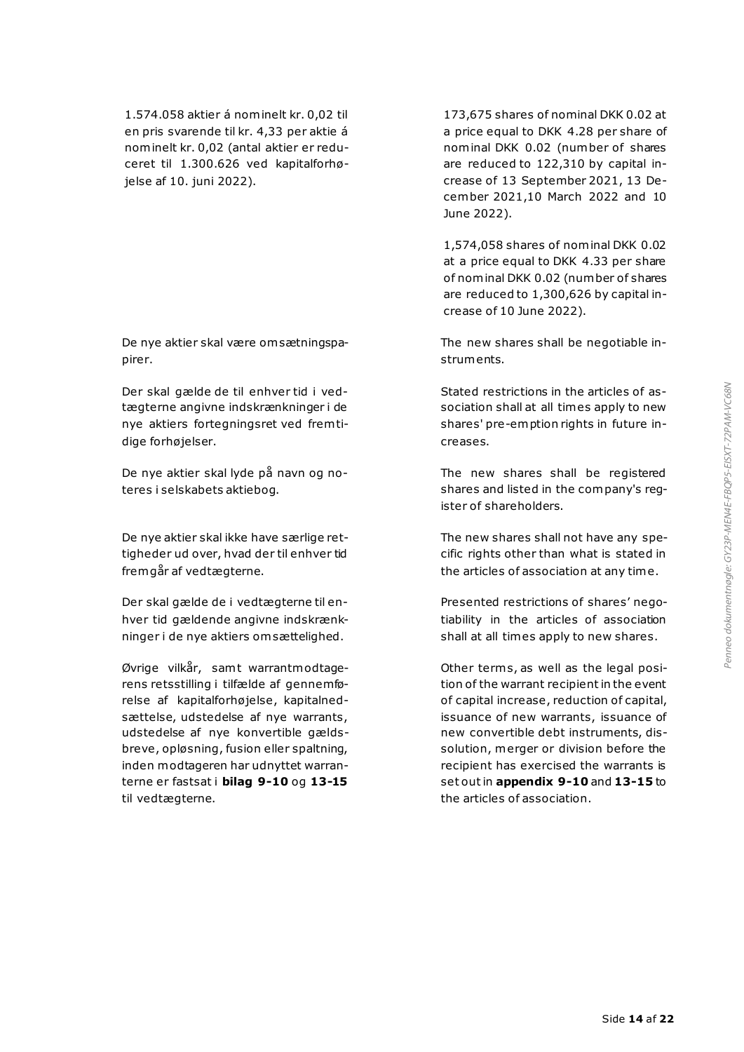1.574.058 aktier á nominelt kr. 0,02 til en pris svarende til kr. 4,33 per aktie á nominelt kr. 0,02 (antal aktier er reduceret til 1.300.626 ved kapitalforhøjelse af 10. juni 2022).

De nye aktier skal være om sætningspapirer.

Der skal gælde de til enhver tid i vedtægterne angivne indskrænkninger i de nye aktiers fortegningsret ved frem tidige forhøjelser.

De nye aktier skal lyde på navn og noteres i selskabets aktiebog.

De nye aktier skal ikke have særlige rettigheder ud over, hvad der til enhver tid fremgår af vedtægterne.

Der skal gælde de i vedtægterne til enhver tid gældende angivne indskrænkninger i de nye aktiers om sættelighed.

Øvrige vilkår, samt warrantmodtagerens retsstilling i tilfælde af gennemførelse af kapitalforhøjelse, kapitalnedsættelse, udstedelse af nye warrants, udstedelse af nye konvertible gældsbreve, opløsning, fusion eller spaltning, inden modtageren har udnyttet warranterne er fastsat i **bilag 9-10** og **13-15** til vedtægterne.

173,675 shares of nominal DKK 0.02 at a price equal to DKK 4.28 per share of nominal DKK 0.02 (number of shares are reduced to 122,310 by capital increase of 13 September 2021, 13 December 2021,10 March 2022 and 10 June 2022).

1,574,058 shares of nominal DKK 0.02 at a price equal to DKK 4.33 per share of nominal DKK 0.02 (number of shares are reduced to 1,300,626 by capital increase of 10 June 2022).

The new shares shall be negotiable instruments.

Stated restrictions in the articles of association shall at all times apply to new shares' pre-emption rights in future increases.

The new shares shall be registered shares and listed in the company's register of shareholders.

The new shares shall not have any specific rights other than what is stated in the articles of association at any time.

Presented restrictions of shares' negotiability in the articles of association shall at all times apply to new shares.

Other term s, as well as the legal position of the warrant recipient in the event of capital increase, reduction of capital, issuance of new warrants, issuance of new convertible debt instruments, dissolution, merger or division before the recipient has exercised the warrants is set out in **appendix 9-10** and **13-15** to the articles of association.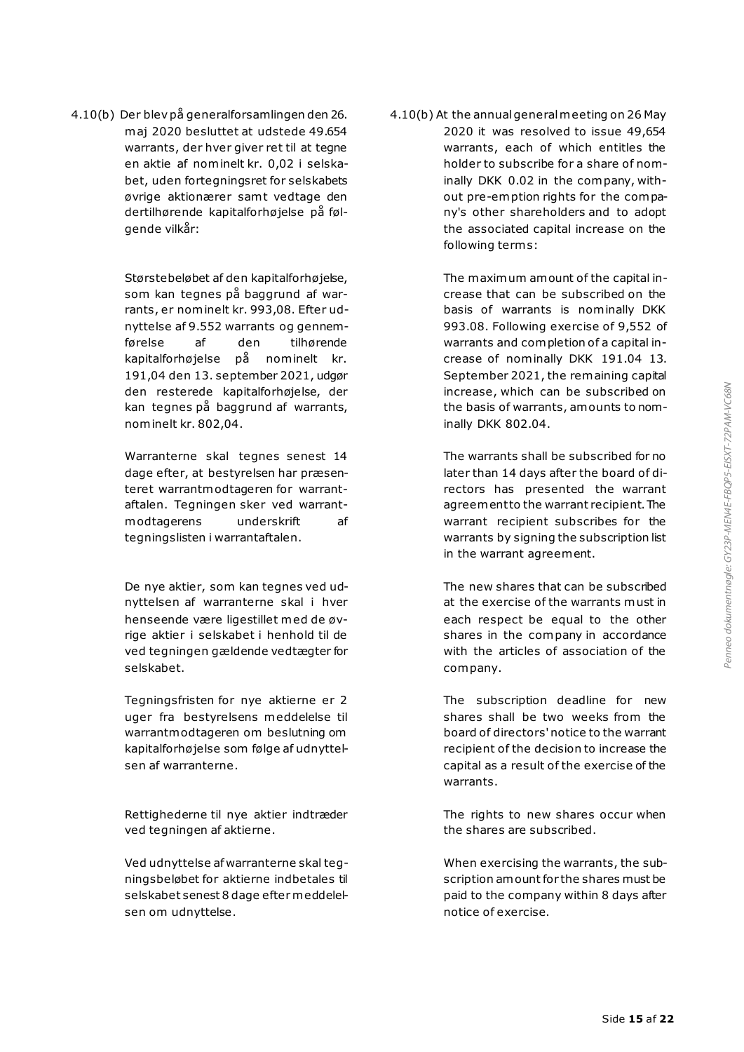4.10(b) Der blev på generalforsamlingen den 26. maj 2020 besluttet at udstede 49.654 warrants, der hver giver ret til at tegne en aktie af nominelt kr. 0,02 i selskabet, uden fortegningsret for selskabets øvrige aktionærer samt vedtage den dertilhørende kapitalforhøjelse på følgende vilkår:

> Størstebeløbet af den kapitalforhøjelse, som kan tegnes på baggrund af warrants, er nominelt kr. 993,08. Efter udnyttelse af 9.552 warrants og gennemførelse af den tilhørende kapitalforhøjelse på nominelt kr. 191,04 den 13. september 2021, udgør den resterede kapitalforhøjelse, der kan tegnes på baggrund af warrants, nominelt kr. 802,04.

> Warranterne skal tegnes senest 14 dage efter, at bestyrelsen har præsenteret warrantmodtageren for warrantaftalen. Tegningen sker ved warrantmodtagerens underskrift af tegningslisten i warrantaftalen.

> De nye aktier, som kan tegnes ved udnyttelsen af warranterne skal i hver henseende være ligestillet med de øvrige aktier i selskabet i henhold til de ved tegningen gældende vedtægter for selskabet.

> Tegningsfristen for nye aktierne er 2 uger fra bestyrelsens meddelelse til warrantmodtageren om beslutning om kapitalforhøjelse som følge af udnyttelsen af warranterne.

> Rettighederne til nye aktier indtræder ved tegningen af aktierne.

> Ved udnyttelse af warranterne skal tegningsbeløbet for aktierne indbetales til selskabet senest 8 dage efter meddelelsen om udnyttelse.

4.10(b) At the annual general meeting on 26 May 2020 it was resolved to issue 49,654 warrants, each of which entitles the holder to subscribe for a share of nominally DKK 0.02 in the company, without pre-emption rights for the company's other shareholders and to adopt the associated capital increase on the following term s:

> The maximum amount of the capital increase that can be subscribed on the basis of warrants is nominally DKK 993.08. Following exercise of 9,552 of warrants and completion of a capital increase of nominally DKK 191.04 13. September 2021, the remaining capital increase, which can be subscribed on the basis of warrants, amounts to nominally DKK 802.04.

> The warrants shall be subscribed for no later than 14 days after the board of directors has presented the warrant agreement to the warrant recipient. The warrant recipient subscribes for the warrants by signing the subscription list in the warrant agreement.

> The new shares that can be subscribed at the exercise of the warrants must in each respect be equal to the other shares in the company in accordance with the articles of association of the company.

> The subscription deadline for new shares shall be two weeks from the board of directors' notice to the warrant recipient of the decision to increase the capital as a result of the exercise of the warrants.

> The rights to new shares occur when the shares are subscribed.

> When exercising the warrants, the subscription amount for the shares must be paid to the company within 8 days after notice of exercise.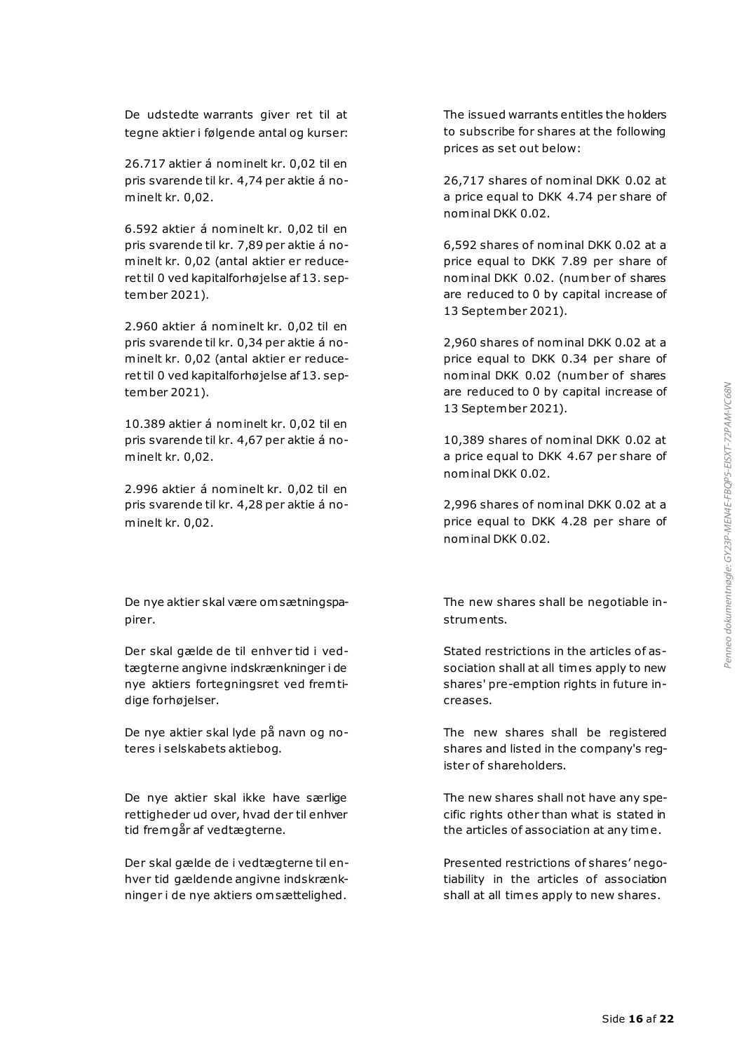De udstedte warrants giver ret til at tegne aktier i følgende antal og kurser:

26.717 aktier á nominelt kr. 0,02 til en pris svarende til kr. 4,74 per aktie á nominelt kr. 0,02.

6.592 aktier á nominelt kr. 0,02 til en pris svarende til kr. 7,89 per aktie á nominelt kr. 0,02 (antal aktier er reduceret til 0 ved kapitalforhøjelse af 13. september 2021).

2.960 aktier á nominelt kr. 0,02 til en pris svarende til kr. 0,34 per aktie á nominelt kr. 0,02 (antal aktier er reduceret til 0 ved kapitalforhøjelse af 13. september 2021).

10.389 aktier á nominelt kr. 0,02 til en pris svarende til kr. 4,67 per aktie á nominelt kr. 0,02.

2.996 aktier á nominelt kr. 0,02 til en pris svarende til kr. 4,28 per aktie á nominelt kr. 0,02.

De nye aktier skal være om sætningspapirer.

Der skal gælde de til enhver tid i vedtægterne angivne indskrænkninger i de nye aktiers fortegningsret ved frem tidige forhøjelser.

De nye aktier skal lyde på navn og noteres i selskabets aktiebog.

De nye aktier skal ikke have særlige rettigheder ud over, hvad der til enhver tid fremgår af vedtægterne.

Der skal gælde de i vedtægterne til enhver tid gældende angivne indskrænkninger i de nye aktiers om sættelighed.

The issued warrants entitles the holders to subscribe for shares at the following prices as set out below:

26,717 shares of nominal DKK 0.02 at a price equal to DKK 4.74 per share of nominal DKK 0.02.

6,592 shares of nominal DKK 0.02 at a price equal to DKK 7.89 per share of nominal DKK 0.02. (number of shares are reduced to 0 by capital increase of 13 September 2021).

2,960 shares of nominal DKK 0.02 at a price equal to DKK 0.34 per share of nominal DKK 0.02 (number of shares are reduced to 0 by capital increase of 13 September 2021).

10,389 shares of nominal DKK 0.02 at a price equal to DKK 4.67 per share of nominal DKK 0.02.

2,996 shares of nominal DKK 0.02 at a price equal to DKK 4.28 per share of nominal DKK 0.02.

The new shares shall be negotiable instruments.

Stated restrictions in the articles of association shall at all times apply to new shares' pre-emption rights in future increases.

The new shares shall be registered shares and listed in the company's register of shareholders.

The new shares shall not have any specific rights other than what is stated in the articles of association at any time.

Presented restrictions of shares' negotiability in the articles of association shall at all times apply to new shares.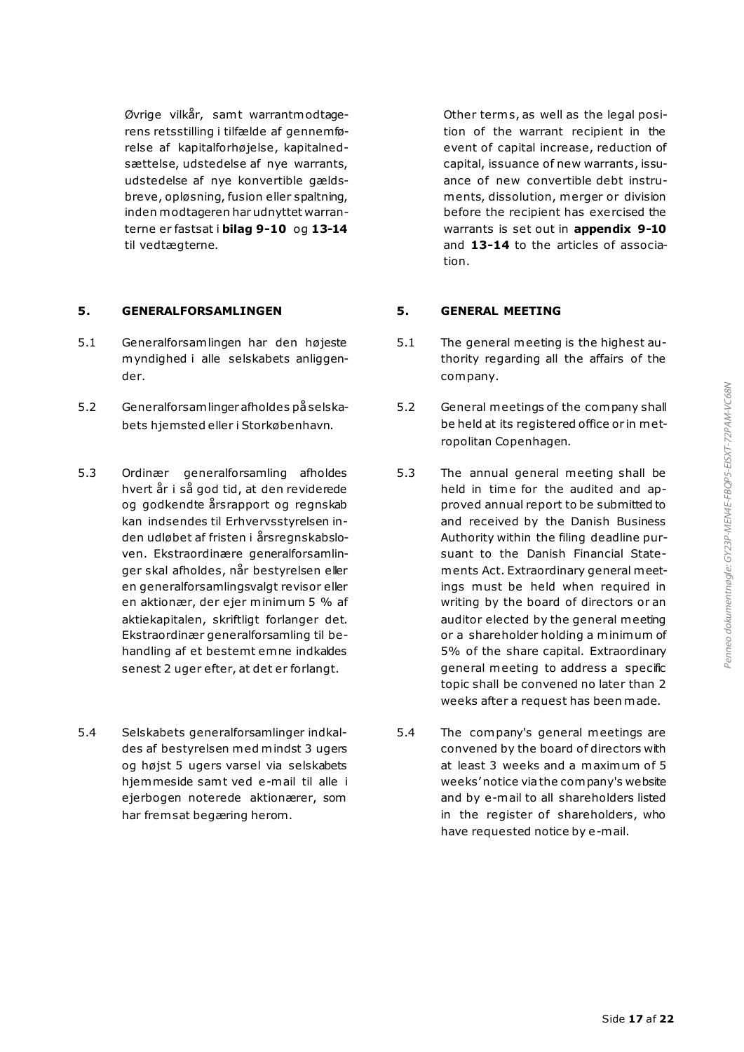Øvrige vilkår, samt warrantmodtagerens retsstilling i tilfælde af gennemførelse af kapitalforhøjelse, kapitalnedsættelse, udstedelse af nye warrants, udstedelse af nye konvertible gældsbreve, opløsning, fusion eller spaltning, inden modtageren har udnyttet warranterne er fastsat i **bilag 9-10** og **13-14** til vedtægterne.

# **5. GENERALFORSAMLINGEN 5. GENERAL MEETING**

- 5.1 Generalforsamlingen har den højeste myndighed i alle selskabets anliggender.
- 5.2 Generalforsamlinger afholdes på selskabets hjemsted eller i Storkøbenhavn.
- 5.3 Ordinær generalforsamling afholdes hvert år i så god tid, at den reviderede og godkendte årsrapport og regnskab kan indsendes til Erhvervsstyrelsen inden udløbet af fristen i årsregnskabsloven. Ekstraordinære generalforsamlinger skal afholdes, når bestyrelsen eller en generalforsamlingsvalgt revisor eller en aktionær, der ejer minimum 5 % af aktiekapitalen, skriftligt forlanger det. Ekstraordinær generalforsamling til behandling af et bestemt emne indkaldes senest 2 uger efter, at det er forlangt.
- 5.4 Selskabets generalforsamlinger indkaldes af bestyrelsen med mindst 3 ugers og højst 5 ugers varsel via selskabets hjemmeside samt ved e-mail til alle i ejerbogen noterede aktionærer, som har frem sat begæring herom.

Other terms, as well as the legal position of the warrant recipient in the event of capital increase, reduction of capital, issuance of new warrants, issuance of new convertible debt instruments, dissolution, merger or division before the recipient has exercised the warrants is set out in **appendix 9-10**  and **13-14** to the articles of association.

- 5.1 The general meeting is the highest authority regarding all the affairs of the company.
- 5.2 General meetings of the company shall be held at its registered office or in metropolitan Copenhagen.
- 5.3 The annual general meeting shall be held in time for the audited and approved annual report to be submitted to and received by the Danish Business Authority within the filing deadline pursuant to the Danish Financial Statements Act. Extraordinary general meetings must be held when required in writing by the board of directors or an auditor elected by the general meeting or a shareholder holding a minimum of 5% of the share capital. Extraordinary general meeting to address a specific topic shall be convened no later than 2 weeks after a request has been made.
- 5.4 The company's general meetings are convened by the board of directors with at least 3 weeks and a maximum of 5 weeks' notice via the company's website and by e-mail to all shareholders listed in the register of shareholders, who have requested notice by e-mail.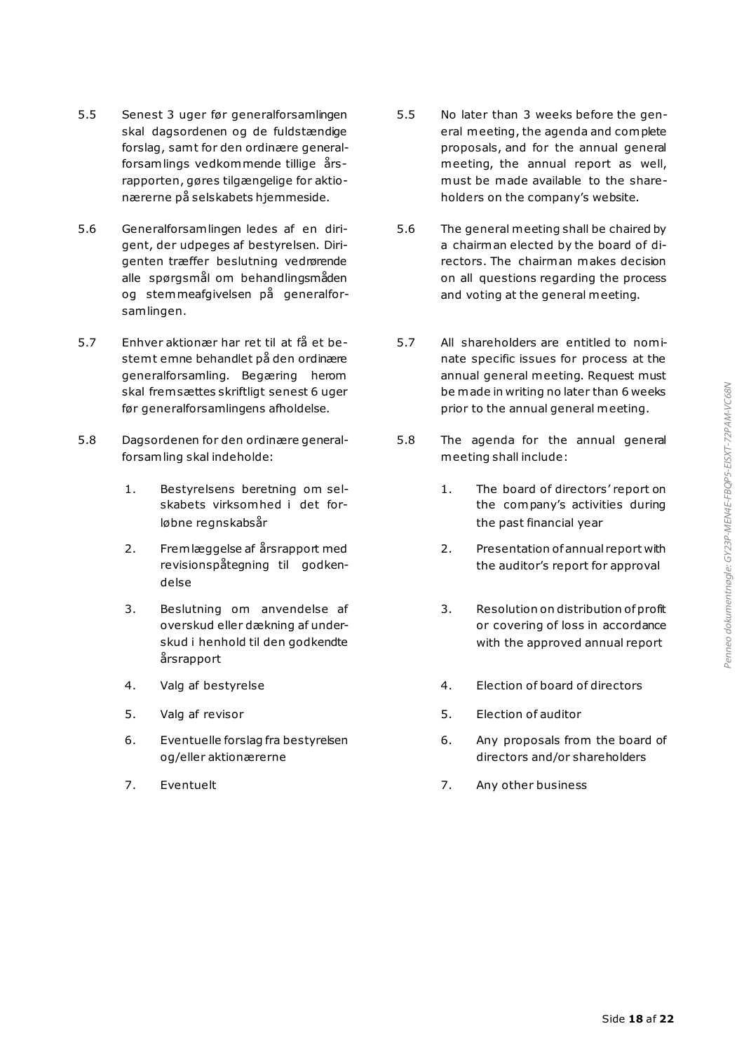- 5.5 Senest 3 uger før generalforsamlingen skal dagsordenen og de fuldstændige forslag, sam t for den ordinære generalforsamlings vedkommende tillige årsrapporten, gøres tilgængelige for aktionærerne på selskabets hjemmeside.
- 5.6 Generalforsamlingen ledes af en dirigent, der udpeges af bestyrelsen. Dirigenten træffer beslutning vedrørende alle spørgsmål om behandlingsmåden og stemmeafgivelsen på generalforsamlingen.
- 5.7 Enhver aktionær har ret til at få et bestem t emne behandlet på den ordinære generalforsamling. Begæring herom skal frem sættes skriftligt senest 6 uger før generalforsamlingens afholdelse.
- 5.8 Dagsordenen for den ordinære generalforsamling skal indeholde:
	- 1. Bestyrelsens beretning om selskabets virksomhed i det forløbne regnskabsår
	- 2. Fremlæggelse af årsrapport med revisionspåtegning til godkendelse
	- 3. Beslutning om anvendelse af overskud eller dækning af underskud i henhold til den godkendte årsrapport
	-
	- 5. Valg af revisor
	- 6. Eventuelle forslag fra bestyrelsen og/eller aktionærerne
	-
- 5.5 No later than 3 weeks before the general meeting, the agenda and complete proposals, and for the annual general meeting, the annual report as well, must be made available to the shareholders on the company's website.
- 5.6 The general meeting shall be chaired by a chairman elected by the board of directors. The chairman makes decision on all questions regarding the process and voting at the general meeting.
- 5.7 All shareholders are entitled to nominate specific issues for process at the annual general meeting. Request must be made in writing no later than 6 weeks prior to the annual general meeting.
- 5.8 The agenda for the annual general meeting shall include:
	- 1. The board of directors' report on the company's activities during the past financial year
	- 2. Presentation of annual report with the auditor's report for approval
	- 3. Resolution on distribution of profit or covering of loss in accordance with the approved annual report
- 4. Valg af bestyrelse 4. Election of board of directors
	- 5. Election of auditor
	- 6. Any proposals from the board of directors and/or shareholders
- 7. Eventuelt 7. Any other business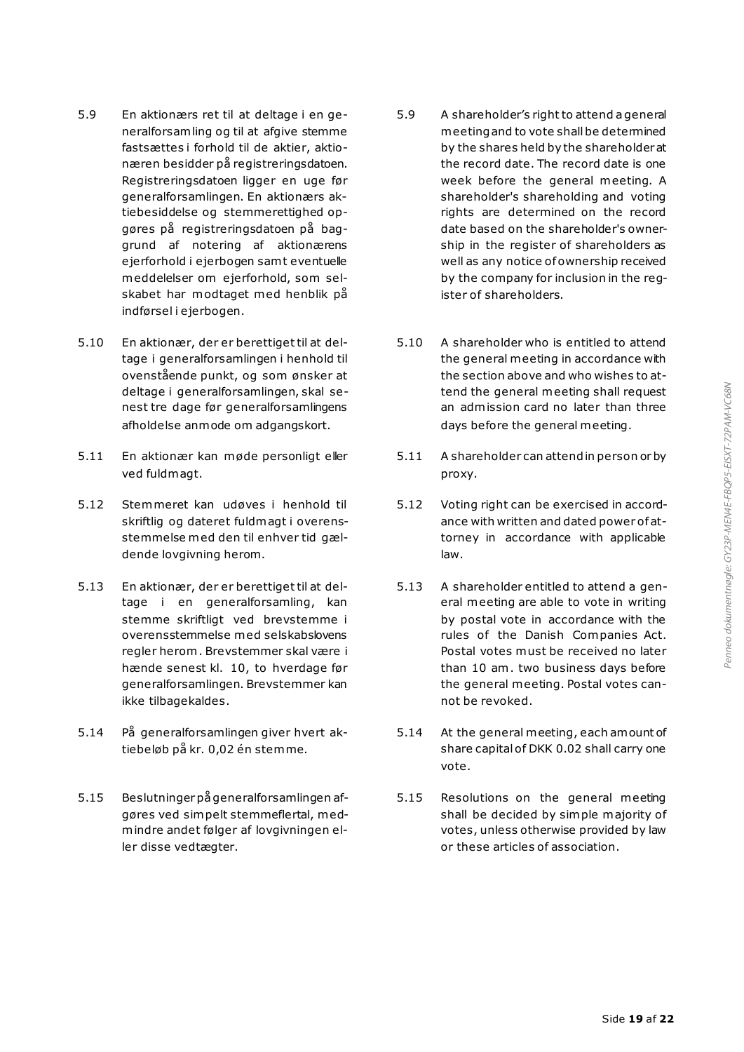- 5.9 En aktionærs ret til at deltage i en generalforsamling og til at afgive stemme fastsættes i forhold til de aktier, aktionæren besidder på registreringsdatoen. Registreringsdatoen ligger en uge før generalforsamlingen. En aktionærs aktiebesiddelse og stemmerettighed opgøres på registreringsdatoen på baggrund af notering af aktionærens ejerforhold i ejerbogen sam t eventuelle meddelelser om ejerforhold, som selskabet har modtaget med henblik på indførsel i ejerbogen.
- 5.10 En aktionær, der er berettiget til at deltage i generalforsamlingen i henhold til ovenstående punkt, og som ønsker at deltage i generalforsamlingen, skal senest tre dage før generalforsamlingens afholdelse anmode om adgangskort.
- 5.11 En aktionær kan møde personligt eller ved fuldmagt.
- 5.12 Stemmeret kan udøves i henhold til skriftlig og dateret fuldmagt i overensstemmelse med den til enhver tid gældende lovgivning herom.
- 5.13 En aktionær, der er berettiget til at deltage i en generalforsamling, kan stemme skriftligt ved brevstemme i overensstemmelse med selskabslovens regler herom . Brevstemmer skal være i hænde senest kl. 10, to hverdage før generalforsamlingen. Brevstemmer kan ikke tilbagekaldes.
- 5.14 På generalforsamlingen giver hvert aktiebeløb på kr. 0,02 én stemme.
- 5.15 Beslutninger på generalforsamlingen afgøres ved simpelt stemmeflertal, medmindre andet følger af lovgivningen eller disse vedtægter.
- 5.9 A shareholder's right to attend a general meeting and to vote shall be determined by the shares held by the shareholder at the record date. The record date is one week before the general meeting. A shareholder's shareholding and voting rights are determined on the record date based on the shareholder's ownership in the register of shareholders as well as any notice of ownership received by the company for inclusion in the register of shareholders.
- 5.10 A shareholder who is entitled to attend the general meeting in accordance with the section above and who wishes to attend the general meeting shall request an admission card no later than three days before the general meeting.
- 5.11 A shareholder can attend in person or by proxy.
- 5.12 Voting right can be exercised in accordance with written and dated power of attorney in accordance with applicable law.
- 5.13 A shareholder entitled to attend a general meeting are able to vote in writing by postal vote in accordance with the rules of the Danish Companies Act. Postal votes must be received no later than 10 am. two business days before the general meeting. Postal votes cannot be revoked.
- 5.14 At the general meeting, each amount of share capital of DKK 0.02 shall carry one vote.
- 5.15 Resolutions on the general meeting shall be decided by simple majority of votes, unless otherwise provided by law or these articles of association.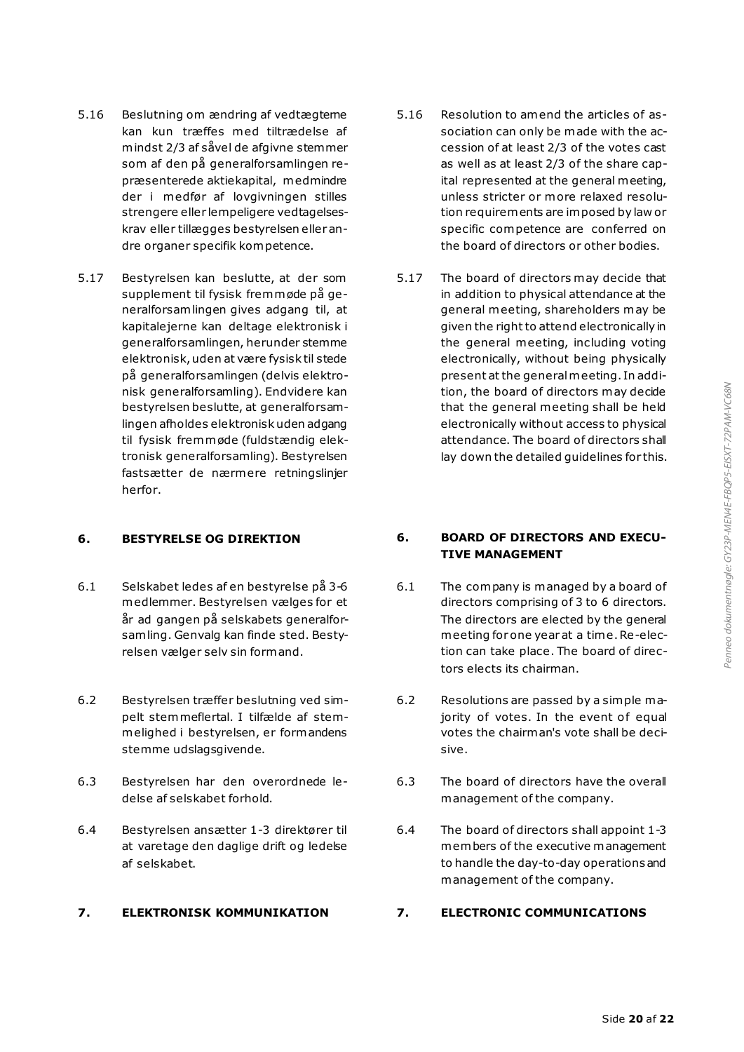- 5.16 Beslutning om ændring af vedtægteme kan kun træffes med tiltrædelse af mindst 2/3 af såvel de afgivne stemmer som af den på generalforsamlingen repræsenterede aktiekapital, medmindre der i medfør af lovgivningen stilles strengere eller lempeligere vedtagelseskrav eller tillægges bestyrelsen eller andre organer specifik kompetence.
- 5.17 Bestyrelsen kan beslutte, at der som supplement til fysisk fremmøde på generalforsamlingen gives adgang til, at kapitalejerne kan deltage elektronisk i generalforsamlingen, herunder stemme elektronisk, uden at være fysisk til stede på generalforsamlingen (delvis elektronisk generalforsamling). Endvidere kan bestyrelsen beslutte, at generalforsamlingen afholdes elektronisk uden adgang til fysisk fremmøde (fuldstændig elektronisk generalforsamling). Bestyrelsen fastsætter de nærmere retningslinjer herfor.

- 6.1 Selskabet ledes af en bestyrelse på 3-6 medlemmer. Bestyrelsen vælges for et år ad gangen på selskabets generalforsamling. Genvalg kan finde sted. Bestyrelsen vælger selv sin formand.
- 6.2 Bestyrelsen træffer beslutning ved simpelt stemmeflertal. I tilfælde af stemmelighed i bestyrelsen, er formandens stemme udslagsgivende.
- 6.3 Bestyrelsen har den overordnede ledelse af selskabet forhold.
- 6.4 Bestyrelsen ansætter 1-3 direktører til at varetage den daglige drift og ledelse af selskabet.

- 5.16 Resolution to amend the articles of association can only be made with the accession of at least 2/3 of the votes cast as well as at least 2/3 of the share capital represented at the general meeting, unless stricter or more relaxed resolution requirements are imposed by law or specific competence are conferred on the board of directors or other bodies.
- 5.17 The board of directors may decide that in addition to physical attendance at the general meeting, shareholders may be given the right to attend electronically in the general meeting, including voting electronically, without being physically present at the general meeting. In addition, the board of directors may decide that the general meeting shall be held electronically without access to physical attendance. The board of directors shall lay down the detailed guidelines for this.

### **6. BESTYRELSE OG DIREKTION 6. BOARD OF DIRECTORS AND EXECU-TIVE MANAGEMENT**

- 6.1 The company is managed by a board of directors comprising of 3 to 6 directors. The directors are elected by the general meeting for one year at a time. Re-election can take place. The board of directors elects its chairman.
- 6.2 Resolutions are passed by a simple majority of votes. In the event of equal votes the chairman's vote shall be decisive.
- 6.3 The board of directors have the overall management of the company.
- 6.4 The board of directors shall appoint 1-3 members of the executive management to handle the day-to-day operations and management of the company.

# **7. ELEKTRONISK KOMMUNIKATION 7. ELECTRONIC COMMUNICATIONS**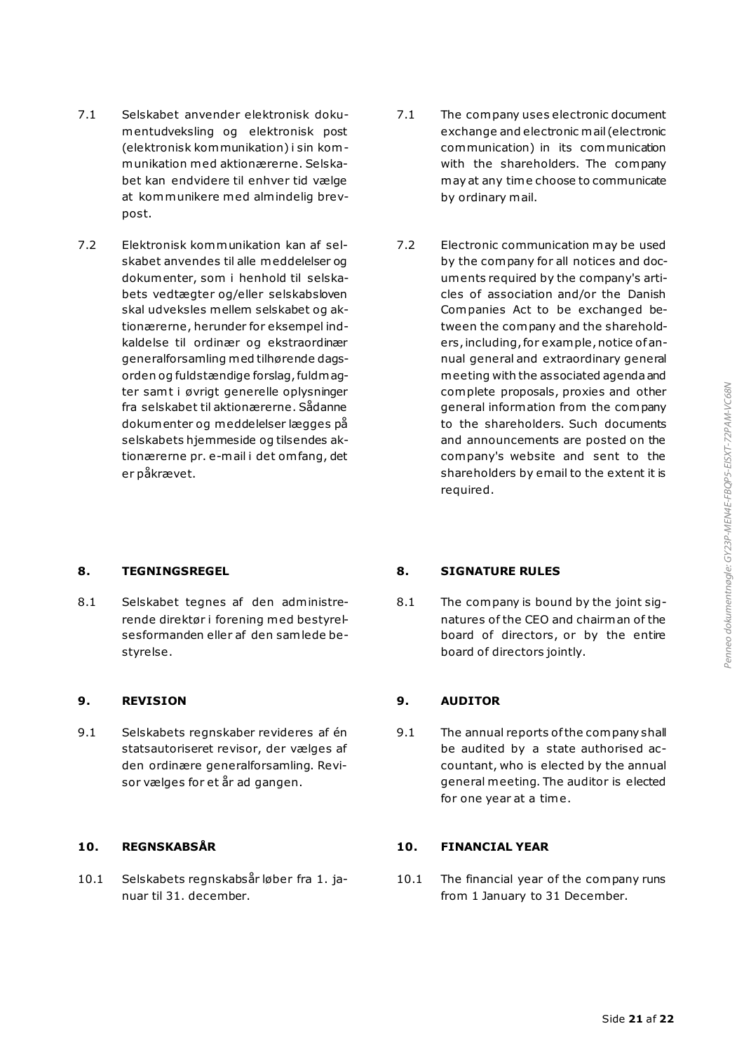- 7.1 Selskabet anvender elektronisk dokumentudveksling og elektronisk post (elektronisk kommunikation) i sin kommunikation med aktionærerne. Selskabet kan endvidere til enhver tid vælge at kommunikere med almindelig brevpost.
- 7.2 Elektronisk kommunikation kan af selskabet anvendes til alle meddelelser og dokumenter, som i henhold til selskabets vedtægter og/eller selskabsloven skal udveksles mellem selskabet og aktionærerne, herunder for eksempel indkaldelse til ordinær og ekstraordinær generalforsamling med tilhørende dagsorden og fuldstændige forslag, fuldmagter samt i øvrigt generelle oplysninger fra selskabet til aktionærerne. Sådanne dokumenter og meddelelser lægges på selskabets hjemmeside og tilsendes aktionærerne pr. e-mail i det om fang, det er påkrævet.
- 
- 8.1 Selskabet tegnes af den administrerende direktør i forening med bestyrelsesformanden eller af den samlede bestyrelse.

### **9. REVISION 9. AUDITOR**

9.1 Selskabets regnskaber revideres af én statsautoriseret revisor, der vælges af den ordinære generalforsamling. Revisor vælges for et år ad gangen.

10.1 Selskabets regnskabsår løber fra 1. januar til 31. december.

- 7.1 The company uses electronic document exchange and electronic mail (electronic communication) in its communication with the shareholders. The company may at any time choose to communicate by ordinary mail.
- 7.2 Electronic communication may be used by the company for all notices and documents required by the company's articles of association and/or the Danish Companies Act to be exchanged between the company and the shareholders, including, for example, notice of annual general and extraordinary general meeting with the associated agenda and complete proposals, proxies and other general information from the company to the shareholders. Such documents and announcements are posted on the company's website and sent to the shareholders by email to the extent it is required.

### **8. TEGNINGSREGEL 8. SIGNATURE RULES**

8.1 The company is bound by the joint signatures of the CEO and chairman of the board of directors, or by the entire board of directors jointly.

9.1 The annual reports of the company shall be audited by a state authorised accountant, who is elected by the annual general meeting. The auditor is elected for one year at a time.

# **10. REGNSKABSÅR 10. FINANCIAL YEAR**

10.1 The financial year of the company runs from 1 January to 31 December.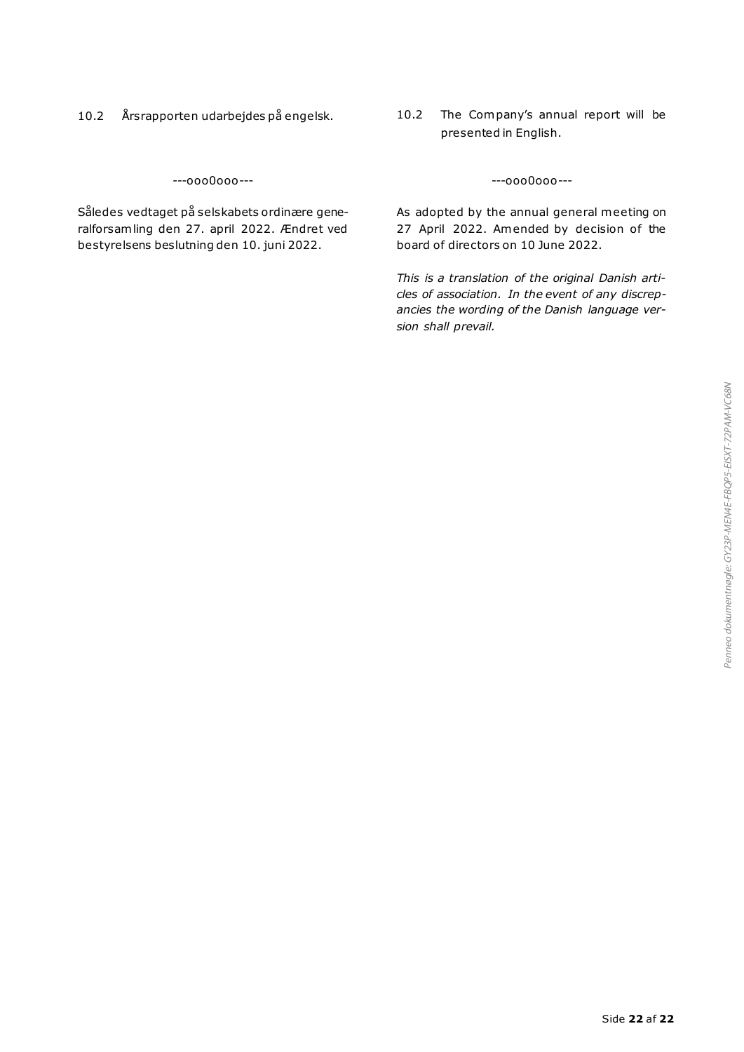- 
- 10.2 Årsrapporten udarbejdes på engelsk. 10.2 The Company's annual report will be presented in English.

---ooo0ooo--- ---ooo0ooo---

Således vedtaget på selskabets ordinære generalforsamling den 27. april 2022. Ændret ved bestyrelsens beslutning den 10. juni 2022.

As adopted by the annual general meeting on 27 April 2022. Amended by decision of the board of directors on 10 June 2022.

*This is a translation of the original Danish articles of association. In the event of any discrepancies the wording of the Danish language version shall prevail.*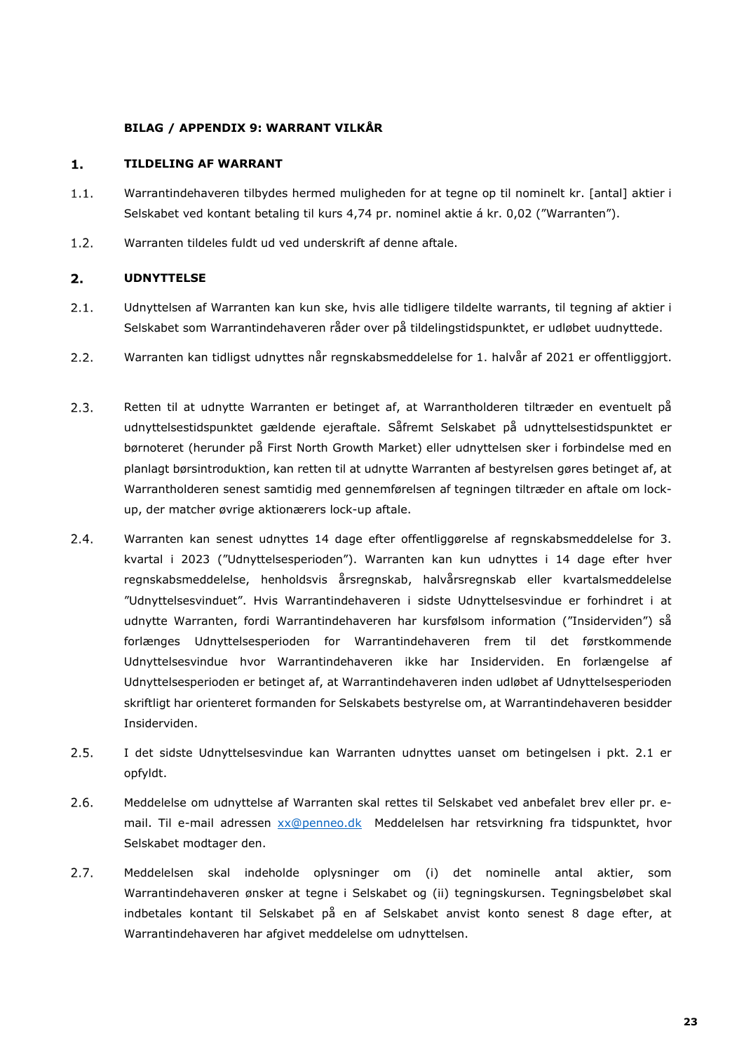### **BILAG / APPENDIX 9: WARRANT VILKÅR**

#### $1.$ **TILDELING AF WARRANT**

- $1.1.$ Warrantindehaveren tilbydes hermed muligheden for at tegne op til nominelt kr. [antal] aktier i Selskabet ved kontant betaling til kurs 4,74 pr. nominel aktie á kr. 0,02 ("Warranten").
- $1.2.$ Warranten tildeles fuldt ud ved underskrift af denne aftale.

### $2.$ **UDNYTTELSE**

- $2.1.$ Udnyttelsen af Warranten kan kun ske, hvis alle tidligere tildelte warrants, til tegning af aktier i Selskabet som Warrantindehaveren råder over på tildelingstidspunktet, er udløbet uudnyttede.
- $2.2.$ Warranten kan tidligst udnyttes når regnskabsmeddelelse for 1. halvår af 2021 er offentliggjort.
- $2.3.$ Retten til at udnytte Warranten er betinget af, at Warrantholderen tiltræder en eventuelt på udnyttelsestidspunktet gældende ejeraftale. Såfremt Selskabet på udnyttelsestidspunktet er børnoteret (herunder på First North Growth Market) eller udnyttelsen sker i forbindelse med en planlagt børsintroduktion, kan retten til at udnytte Warranten af bestyrelsen gøres betinget af, at Warrantholderen senest samtidig med gennemførelsen af tegningen tiltræder en aftale om lockup, der matcher øvrige aktionærers lock-up aftale.
- $2.4.$ Warranten kan senest udnyttes 14 dage efter offentliggørelse af regnskabsmeddelelse for 3. kvartal i 2023 ("Udnyttelsesperioden"). Warranten kan kun udnyttes i 14 dage efter hver regnskabsmeddelelse, henholdsvis årsregnskab, halvårsregnskab eller kvartalsmeddelelse "Udnyttelsesvinduet". Hvis Warrantindehaveren i sidste Udnyttelsesvindue er forhindret i at udnytte Warranten, fordi Warrantindehaveren har kursfølsom information ("Insiderviden") så forlænges Udnyttelsesperioden for Warrantindehaveren frem til det førstkommende Udnyttelsesvindue hvor Warrantindehaveren ikke har Insiderviden. En forlængelse af Udnyttelsesperioden er betinget af, at Warrantindehaveren inden udløbet af Udnyttelsesperioden skriftligt har orienteret formanden for Selskabets bestyrelse om, at Warrantindehaveren besidder Insiderviden.
- $2.5.$ I det sidste Udnyttelsesvindue kan Warranten udnyttes uanset om betingelsen i pkt. 2.1 er opfyldt.
- $2.6.$ Meddelelse om udnyttelse af Warranten skal rettes til Selskabet ved anbefalet brev eller pr. email. Til e-mail adressen [xx@penneo.dk](mailto:xx@penneo.dk) Meddelelsen har retsvirkning fra tidspunktet, hvor Selskabet modtager den.
- $2.7.$ Meddelelsen skal indeholde oplysninger om (i) det nominelle antal aktier, som Warrantindehaveren ønsker at tegne i Selskabet og (ii) tegningskursen. Tegningsbeløbet skal indbetales kontant til Selskabet på en af Selskabet anvist konto senest 8 dage efter, at Warrantindehaveren har afgivet meddelelse om udnyttelsen.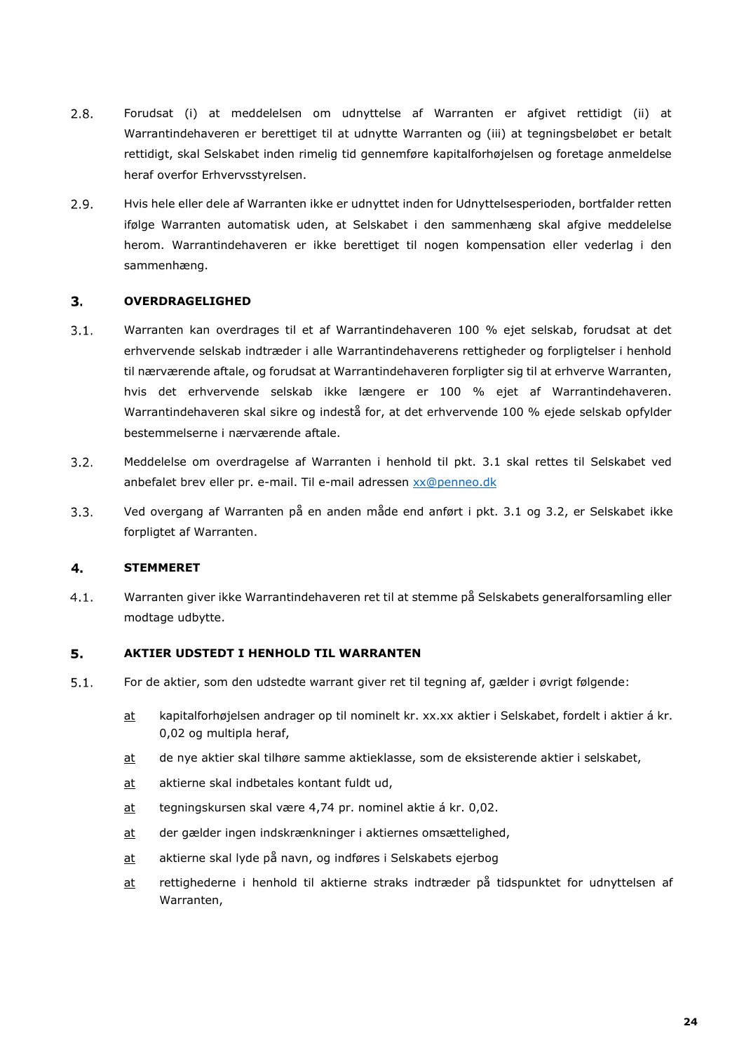- $2.8.$ Forudsat (i) at meddelelsen om udnyttelse af Warranten er afgivet rettidigt (ii) at Warrantindehaveren er berettiget til at udnytte Warranten og (iii) at tegningsbeløbet er betalt rettidigt, skal Selskabet inden rimelig tid gennemføre kapitalforhøjelsen og foretage anmeldelse heraf overfor Erhvervsstyrelsen.
- $2.9.$ Hvis hele eller dele af Warranten ikke er udnyttet inden for Udnyttelsesperioden, bortfalder retten ifølge Warranten automatisk uden, at Selskabet i den sammenhæng skal afgive meddelelse herom. Warrantindehaveren er ikke berettiget til nogen kompensation eller vederlag i den sammenhæng.

#### $3.$ **OVERDRAGELIGHED**

- $3.1.$ Warranten kan overdrages til et af Warrantindehaveren 100 % ejet selskab, forudsat at det erhvervende selskab indtræder i alle Warrantindehaverens rettigheder og forpligtelser i henhold til nærværende aftale, og forudsat at Warrantindehaveren forpligter sig til at erhverve Warranten, hvis det erhvervende selskab ikke længere er 100 % ejet af Warrantindehaveren. Warrantindehaveren skal sikre og indestå for, at det erhvervende 100 % ejede selskab opfylder bestemmelserne i nærværende aftale.
- $3.2.$ Meddelelse om overdragelse af Warranten i henhold til pkt. 3.1 skal rettes til Selskabet ved anbefalet brev eller pr. e-mail. Til e-mail adressen [xx@penneo.dk](mailto:xx@penneo.dk)
- $3.3.$ Ved overgang af Warranten på en anden måde end anført i pkt. 3.1 og 3.2, er Selskabet ikke forpligtet af Warranten.

#### 4. **STEMMERET**

Warranten giver ikke Warrantindehaveren ret til at stemme på Selskabets generalforsamling eller  $4.1.$ modtage udbytte.

#### 5. **AKTIER UDSTEDT I HENHOLD TIL WARRANTEN**

- $5.1.$ For de aktier, som den udstedte warrant giver ret til tegning af, gælder i øvrigt følgende:
	- at kapitalforhøjelsen andrager op til nominelt kr. xx.xx aktier i Selskabet, fordelt i aktier á kr. 0,02 og multipla heraf,
	- at de nye aktier skal tilhøre samme aktieklasse, som de eksisterende aktier i selskabet,
	- at aktierne skal indbetales kontant fuldt ud,
	- at tegningskursen skal være 4,74 pr. nominel aktie á kr. 0,02.
	- at der gælder ingen indskrænkninger i aktiernes omsættelighed,
	- at aktierne skal lyde på navn, og indføres i Selskabets ejerbog
	- at rettighederne i henhold til aktierne straks indtræder på tidspunktet for udnyttelsen af Warranten,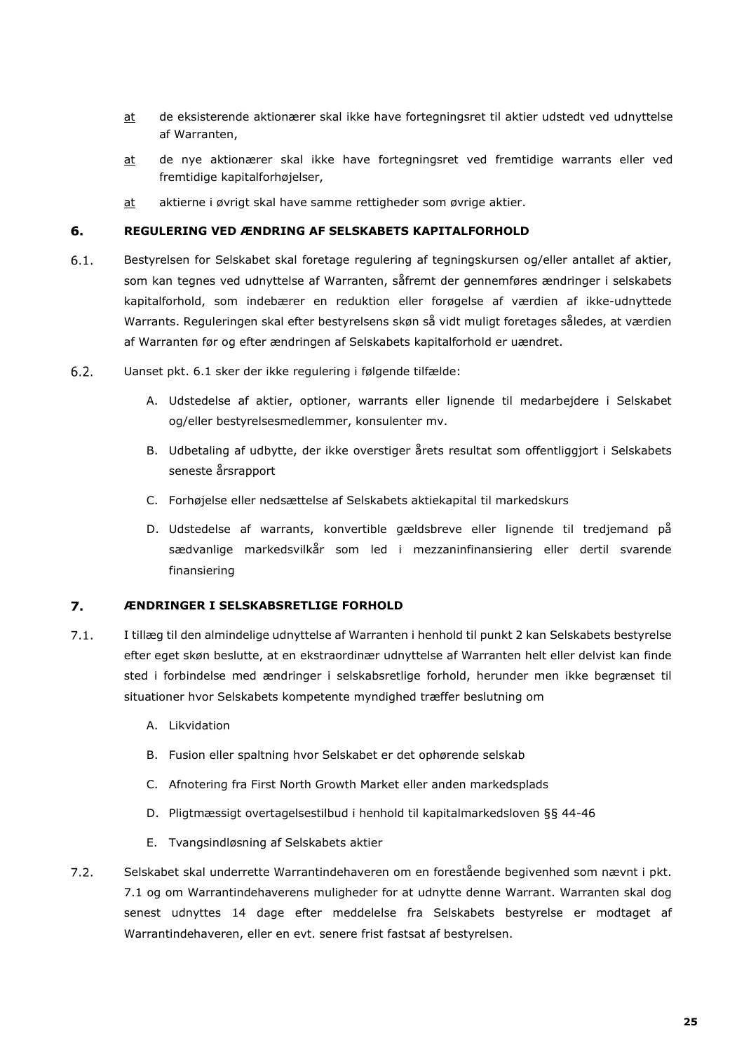- at de eksisterende aktionærer skal ikke have fortegningsret til aktier udstedt ved udnyttelse af Warranten,
- at de nye aktionærer skal ikke have fortegningsret ved fremtidige warrants eller ved fremtidige kapitalforhøjelser,
- at aktierne i øvrigt skal have samme rettigheder som øvrige aktier.

#### 6. **REGULERING VED ÆNDRING AF SELSKABETS KAPITALFORHOLD**

- $6.1.$ Bestyrelsen for Selskabet skal foretage regulering af tegningskursen og/eller antallet af aktier, som kan tegnes ved udnyttelse af Warranten, såfremt der gennemføres ændringer i selskabets kapitalforhold, som indebærer en reduktion eller forøgelse af værdien af ikke-udnyttede Warrants. Reguleringen skal efter bestyrelsens skøn så vidt muligt foretages således, at værdien af Warranten før og efter ændringen af Selskabets kapitalforhold er uændret.
- $6.2.$ Uanset pkt. 6.1 sker der ikke regulering i følgende tilfælde:
	- A. Udstedelse af aktier, optioner, warrants eller lignende til medarbejdere i Selskabet og/eller bestyrelsesmedlemmer, konsulenter mv.
	- B. Udbetaling af udbytte, der ikke overstiger årets resultat som offentliggjort i Selskabets seneste årsrapport
	- C. Forhøjelse eller nedsættelse af Selskabets aktiekapital til markedskurs
	- D. Udstedelse af warrants, konvertible gældsbreve eller lignende til tredjemand på sædvanlige markedsvilkår som led i mezzaninfinansiering eller dertil svarende finansiering

#### 7. **ÆNDRINGER I SELSKABSRETLIGE FORHOLD**

- $7.1.$ I tillæg til den almindelige udnyttelse af Warranten i henhold til punkt 2 kan Selskabets bestyrelse efter eget skøn beslutte, at en ekstraordinær udnyttelse af Warranten helt eller delvist kan finde sted i forbindelse med ændringer i selskabsretlige forhold, herunder men ikke begrænset til situationer hvor Selskabets kompetente myndighed træffer beslutning om
	- A. Likvidation
	- B. Fusion eller spaltning hvor Selskabet er det ophørende selskab
	- C. Afnotering fra First North Growth Market eller anden markedsplads
	- D. Pligtmæssigt overtagelsestilbud i henhold til kapitalmarkedsloven §§ 44-46
	- E. Tvangsindløsning af Selskabets aktier
- $7.2.$ Selskabet skal underrette Warrantindehaveren om en forestående begivenhed som nævnt i pkt. 7.1 og om Warrantindehaverens muligheder for at udnytte denne Warrant. Warranten skal dog senest udnyttes 14 dage efter meddelelse fra Selskabets bestyrelse er modtaget af Warrantindehaveren, eller en evt. senere frist fastsat af bestyrelsen.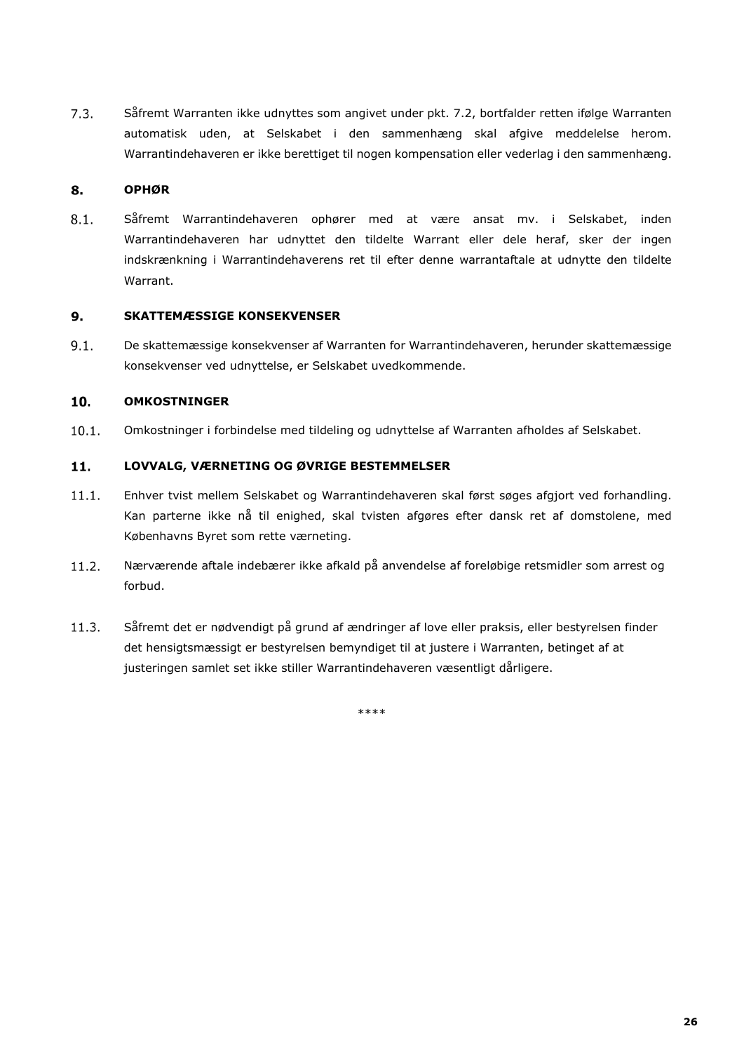$7.3.$ Såfremt Warranten ikke udnyttes som angivet under pkt. 7.2, bortfalder retten ifølge Warranten automatisk uden, at Selskabet i den sammenhæng skal afgive meddelelse herom. Warrantindehaveren er ikke berettiget til nogen kompensation eller vederlag i den sammenhæng.

#### 8. **OPHØR**

 $8.1.$ Såfremt Warrantindehaveren ophører med at være ansat mv. i Selskabet, inden Warrantindehaveren har udnyttet den tildelte Warrant eller dele heraf, sker der ingen indskrænkning i Warrantindehaverens ret til efter denne warrantaftale at udnytte den tildelte Warrant.

#### $9.$ **SKATTEMÆSSIGE KONSEKVENSER**

 $9.1.$ De skattemæssige konsekvenser af Warranten for Warrantindehaveren, herunder skattemæssige konsekvenser ved udnyttelse, er Selskabet uvedkommende.

### 10. **OMKOSTNINGER**

 $10.1.$ Omkostninger i forbindelse med tildeling og udnyttelse af Warranten afholdes af Selskabet.

### $11.$ **LOVVALG, VÆRNETING OG ØVRIGE BESTEMMELSER**

- $11.1.$ Enhver tvist mellem Selskabet og Warrantindehaveren skal først søges afgjort ved forhandling. Kan parterne ikke nå til enighed, skal tvisten afgøres efter dansk ret af domstolene, med Københavns Byret som rette værneting.
- $11.2.$ Nærværende aftale indebærer ikke afkald på anvendelse af foreløbige retsmidler som arrest og forbud.
- $11.3.$ Såfremt det er nødvendigt på grund af ændringer af love eller praksis, eller bestyrelsen finder det hensigtsmæssigt er bestyrelsen bemyndiget til at justere i Warranten, betinget af at justeringen samlet set ikke stiller Warrantindehaveren væsentligt dårligere.

\*\*\*\*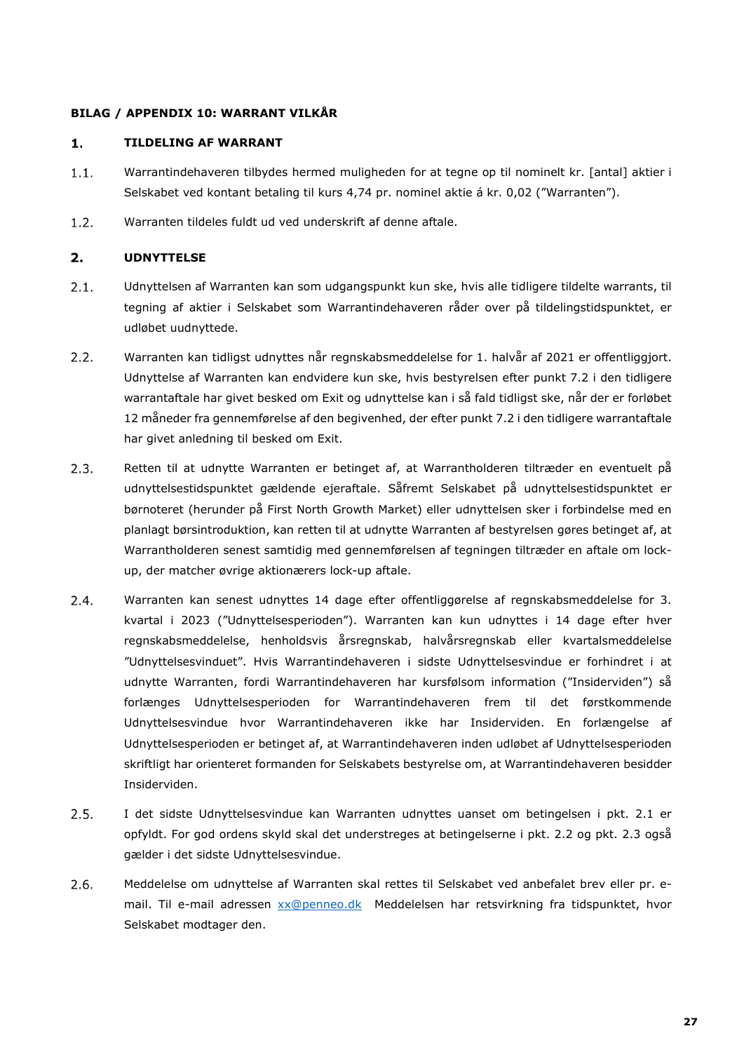### **BILAG / APPENDIX 10: WARRANT VILKÅR**

#### **TILDELING AF WARRANT**  $1.$

- $1.1.$ Warrantindehaveren tilbydes hermed muligheden for at tegne op til nominelt kr. [antal] aktier i Selskabet ved kontant betaling til kurs 4,74 pr. nominel aktie á kr. 0,02 ("Warranten").
- $1.2.$ Warranten tildeles fuldt ud ved underskrift af denne aftale.

#### $2.$ **UDNYTTELSE**

- $2.1.$ Udnyttelsen af Warranten kan som udgangspunkt kun ske, hvis alle tidligere tildelte warrants, til tegning af aktier i Selskabet som Warrantindehaveren råder over på tildelingstidspunktet, er udløbet uudnyttede.
- $2.2.$ Warranten kan tidligst udnyttes når regnskabsmeddelelse for 1. halvår af 2021 er offentliggjort. Udnyttelse af Warranten kan endvidere kun ske, hvis bestyrelsen efter punkt 7.2 i den tidligere warrantaftale har givet besked om Exit og udnyttelse kan i så fald tidligst ske, når der er forløbet 12 måneder fra gennemførelse af den begivenhed, der efter punkt 7.2 i den tidligere warrantaftale har givet anledning til besked om Exit.
- $2.3.$ Retten til at udnytte Warranten er betinget af, at Warrantholderen tiltræder en eventuelt på udnyttelsestidspunktet gældende ejeraftale. Såfremt Selskabet på udnyttelsestidspunktet er børnoteret (herunder på First North Growth Market) eller udnyttelsen sker i forbindelse med en planlagt børsintroduktion, kan retten til at udnytte Warranten af bestyrelsen gøres betinget af, at Warrantholderen senest samtidig med gennemførelsen af tegningen tiltræder en aftale om lockup, der matcher øvrige aktionærers lock-up aftale.
- $2.4.$ Warranten kan senest udnyttes 14 dage efter offentliggørelse af regnskabsmeddelelse for 3. kvartal i 2023 ("Udnyttelsesperioden"). Warranten kan kun udnyttes i 14 dage efter hver regnskabsmeddelelse, henholdsvis årsregnskab, halvårsregnskab eller kvartalsmeddelelse "Udnyttelsesvinduet". Hvis Warrantindehaveren i sidste Udnyttelsesvindue er forhindret i at udnytte Warranten, fordi Warrantindehaveren har kursfølsom information ("Insiderviden") så forlænges Udnyttelsesperioden for Warrantindehaveren frem til det førstkommende Udnyttelsesvindue hvor Warrantindehaveren ikke har Insiderviden. En forlængelse af Udnyttelsesperioden er betinget af, at Warrantindehaveren inden udløbet af Udnyttelsesperioden skriftligt har orienteret formanden for Selskabets bestyrelse om, at Warrantindehaveren besidder Insiderviden.
- $2.5.$ I det sidste Udnyttelsesvindue kan Warranten udnyttes uanset om betingelsen i pkt. 2.1 er opfyldt. For god ordens skyld skal det understreges at betingelserne i pkt. 2.2 og pkt. 2.3 også gælder i det sidste Udnyttelsesvindue.
- $2.6.$ Meddelelse om udnyttelse af Warranten skal rettes til Selskabet ved anbefalet brev eller pr. email. Til e-mail adressen [xx@penneo.dk](mailto:xx@penneo.dk) Meddelelsen har retsvirkning fra tidspunktet, hvor Selskabet modtager den.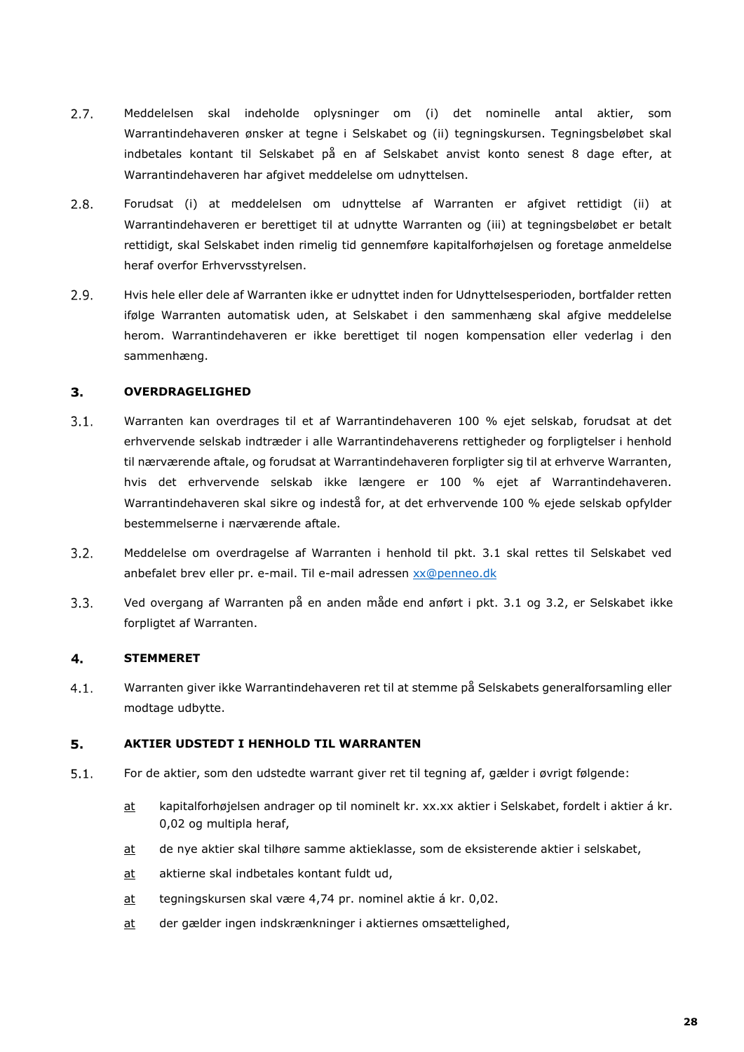- $2.7.$ Meddelelsen skal indeholde oplysninger om (i) det nominelle antal aktier, som Warrantindehaveren ønsker at tegne i Selskabet og (ii) tegningskursen. Tegningsbeløbet skal indbetales kontant til Selskabet på en af Selskabet anvist konto senest 8 dage efter, at Warrantindehaveren har afgivet meddelelse om udnyttelsen.
- $2.8.$ Forudsat (i) at meddelelsen om udnyttelse af Warranten er afgivet rettidigt (ii) at Warrantindehaveren er berettiget til at udnytte Warranten og (iii) at tegningsbeløbet er betalt rettidigt, skal Selskabet inden rimelig tid gennemføre kapitalforhøjelsen og foretage anmeldelse heraf overfor Erhvervsstyrelsen.
- $2.9.$ Hvis hele eller dele af Warranten ikke er udnyttet inden for Udnyttelsesperioden, bortfalder retten ifølge Warranten automatisk uden, at Selskabet i den sammenhæng skal afgive meddelelse herom. Warrantindehaveren er ikke berettiget til nogen kompensation eller vederlag i den sammenhæng.

### $3<sub>1</sub>$ **OVERDRAGELIGHED**

- $3.1.$ Warranten kan overdrages til et af Warrantindehaveren 100 % ejet selskab, forudsat at det erhvervende selskab indtræder i alle Warrantindehaverens rettigheder og forpligtelser i henhold til nærværende aftale, og forudsat at Warrantindehaveren forpligter sig til at erhverve Warranten, hvis det erhvervende selskab ikke længere er 100 % ejet af Warrantindehaveren. Warrantindehaveren skal sikre og indestå for, at det erhvervende 100 % ejede selskab opfylder bestemmelserne i nærværende aftale.
- $3.2.$ Meddelelse om overdragelse af Warranten i henhold til pkt. 3.1 skal rettes til Selskabet ved anbefalet brev eller pr. e-mail. Til e-mail adressen [xx@penneo.dk](mailto:xx@penneo.dk)
- $3.3.$ Ved overgang af Warranten på en anden måde end anført i pkt. 3.1 og 3.2, er Selskabet ikke forpligtet af Warranten.

#### $4.$ **STEMMERET**

 $4.1.$ Warranten giver ikke Warrantindehaveren ret til at stemme på Selskabets generalforsamling eller modtage udbytte.

#### 5. **AKTIER UDSTEDT I HENHOLD TIL WARRANTEN**

- $5.1.$ For de aktier, som den udstedte warrant giver ret til tegning af, gælder i øvrigt følgende:
	- at kapitalforhøjelsen andrager op til nominelt kr. xx.xx aktier i Selskabet, fordelt i aktier á kr. 0,02 og multipla heraf,
	- at de nye aktier skal tilhøre samme aktieklasse, som de eksisterende aktier i selskabet,
	- at aktierne skal indbetales kontant fuldt ud,
	- at tegningskursen skal være 4,74 pr. nominel aktie á kr. 0,02.
	- at der gælder ingen indskrænkninger i aktiernes omsættelighed,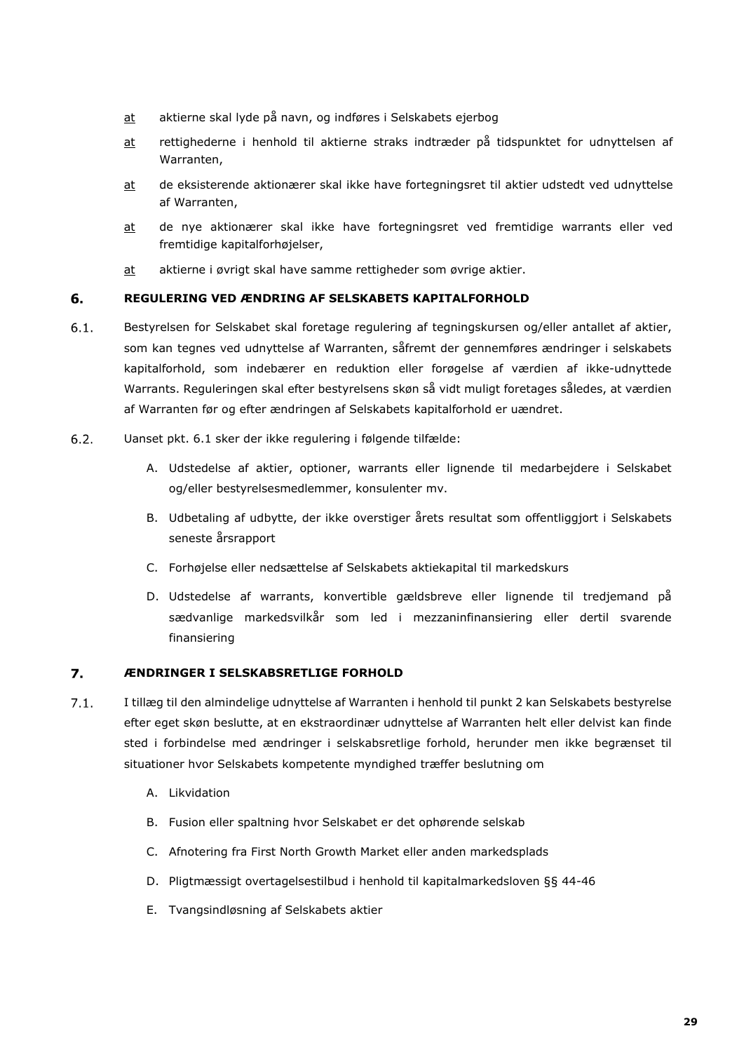- at aktierne skal lyde på navn, og indføres i Selskabets ejerbog
- at rettighederne i henhold til aktierne straks indtræder på tidspunktet for udnyttelsen af Warranten,
- at de eksisterende aktionærer skal ikke have fortegningsret til aktier udstedt ved udnyttelse af Warranten,
- at de nye aktionærer skal ikke have fortegningsret ved fremtidige warrants eller ved fremtidige kapitalforhøjelser,
- at aktierne i øvrigt skal have samme rettigheder som øvrige aktier.

#### 6. **REGULERING VED ÆNDRING AF SELSKABETS KAPITALFORHOLD**

- $6.1.$ Bestyrelsen for Selskabet skal foretage regulering af tegningskursen og/eller antallet af aktier, som kan tegnes ved udnyttelse af Warranten, såfremt der gennemføres ændringer i selskabets kapitalforhold, som indebærer en reduktion eller forøgelse af værdien af ikke-udnyttede Warrants. Reguleringen skal efter bestyrelsens skøn så vidt muligt foretages således, at værdien af Warranten før og efter ændringen af Selskabets kapitalforhold er uændret.
- $6.2.$ Uanset pkt. 6.1 sker der ikke regulering i følgende tilfælde:
	- A. Udstedelse af aktier, optioner, warrants eller lignende til medarbejdere i Selskabet og/eller bestyrelsesmedlemmer, konsulenter mv.
	- B. Udbetaling af udbytte, der ikke overstiger årets resultat som offentliggjort i Selskabets seneste årsrapport
	- C. Forhøjelse eller nedsættelse af Selskabets aktiekapital til markedskurs
	- D. Udstedelse af warrants, konvertible gældsbreve eller lignende til tredjemand på sædvanlige markedsvilkår som led i mezzaninfinansiering eller dertil svarende finansiering

#### 7. **ÆNDRINGER I SELSKABSRETLIGE FORHOLD**

- $7.1.$ I tillæg til den almindelige udnyttelse af Warranten i henhold til punkt 2 kan Selskabets bestyrelse efter eget skøn beslutte, at en ekstraordinær udnyttelse af Warranten helt eller delvist kan finde sted i forbindelse med ændringer i selskabsretlige forhold, herunder men ikke begrænset til situationer hvor Selskabets kompetente myndighed træffer beslutning om
	- A. Likvidation
	- B. Fusion eller spaltning hvor Selskabet er det ophørende selskab
	- C. Afnotering fra First North Growth Market eller anden markedsplads
	- D. Pligtmæssigt overtagelsestilbud i henhold til kapitalmarkedsloven §§ 44-46
	- E. Tvangsindløsning af Selskabets aktier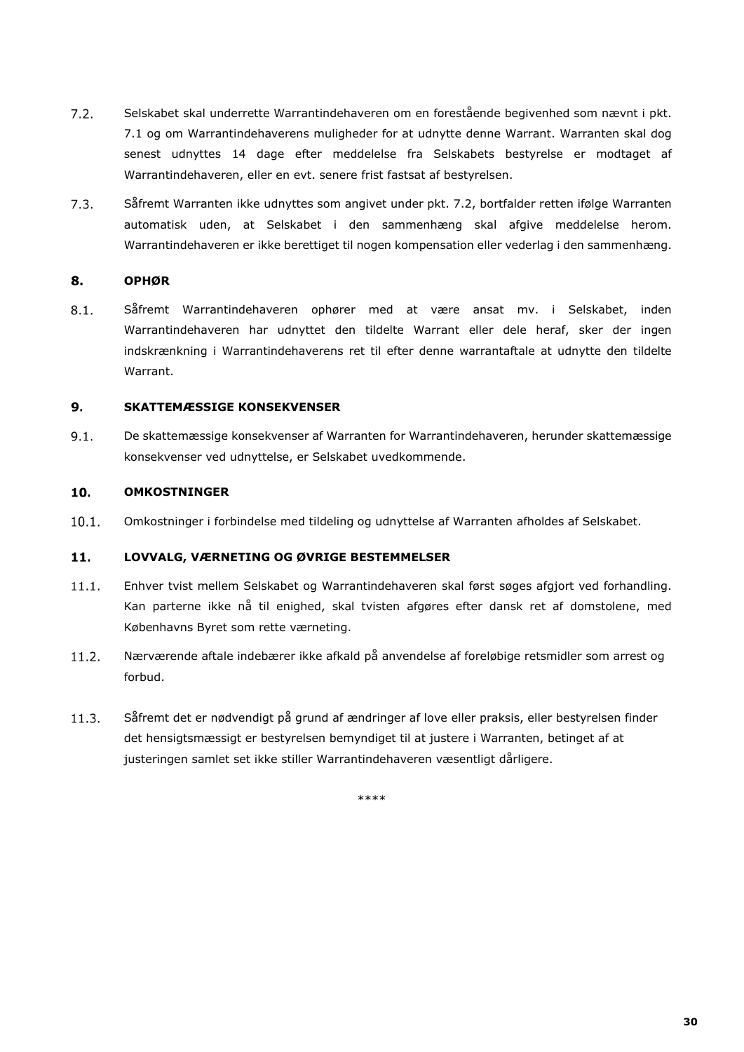- $7.2.$ Selskabet skal underrette Warrantindehaveren om en forestående begivenhed som nævnt i pkt. 7.1 og om Warrantindehaverens muligheder for at udnytte denne Warrant. Warranten skal dog senest udnyttes 14 dage efter meddelelse fra Selskabets bestyrelse er modtaget af Warrantindehaveren, eller en evt. senere frist fastsat af bestyrelsen.
- $7.3.$ Såfremt Warranten ikke udnyttes som angivet under pkt. 7.2, bortfalder retten ifølge Warranten automatisk uden, at Selskabet i den sammenhæng skal afgive meddelelse herom. Warrantindehaveren er ikke berettiget til nogen kompensation eller vederlag i den sammenhæng.

#### 8. **OPHØR**

 $8.1.$ Såfremt Warrantindehaveren ophører med at være ansat mv. i Selskabet, inden Warrantindehaveren har udnyttet den tildelte Warrant eller dele heraf, sker der ingen indskrænkning i Warrantindehaverens ret til efter denne warrantaftale at udnytte den tildelte Warrant.

### **SKATTEMÆSSIGE KONSEKVENSER**  $9.$

 $9.1.$ De skattemæssige konsekvenser af Warranten for Warrantindehaveren, herunder skattemæssige konsekvenser ved udnyttelse, er Selskabet uvedkommende.

#### 10. **OMKOSTNINGER**

 $10.1.$ Omkostninger i forbindelse med tildeling og udnyttelse af Warranten afholdes af Selskabet.

### **LOVVALG, VÆRNETING OG ØVRIGE BESTEMMELSER**  $11.$

- $11.1.$ Enhver tvist mellem Selskabet og Warrantindehaveren skal først søges afgjort ved forhandling. Kan parterne ikke nå til enighed, skal tvisten afgøres efter dansk ret af domstolene, med Københavns Byret som rette værneting.
- $11.2.$ Nærværende aftale indebærer ikke afkald på anvendelse af foreløbige retsmidler som arrest og forbud.
- $11.3.$ Såfremt det er nødvendigt på grund af ændringer af love eller praksis, eller bestyrelsen finder det hensigtsmæssigt er bestyrelsen bemyndiget til at justere i Warranten, betinget af at justeringen samlet set ikke stiller Warrantindehaveren væsentligt dårligere.

\*\*\*\*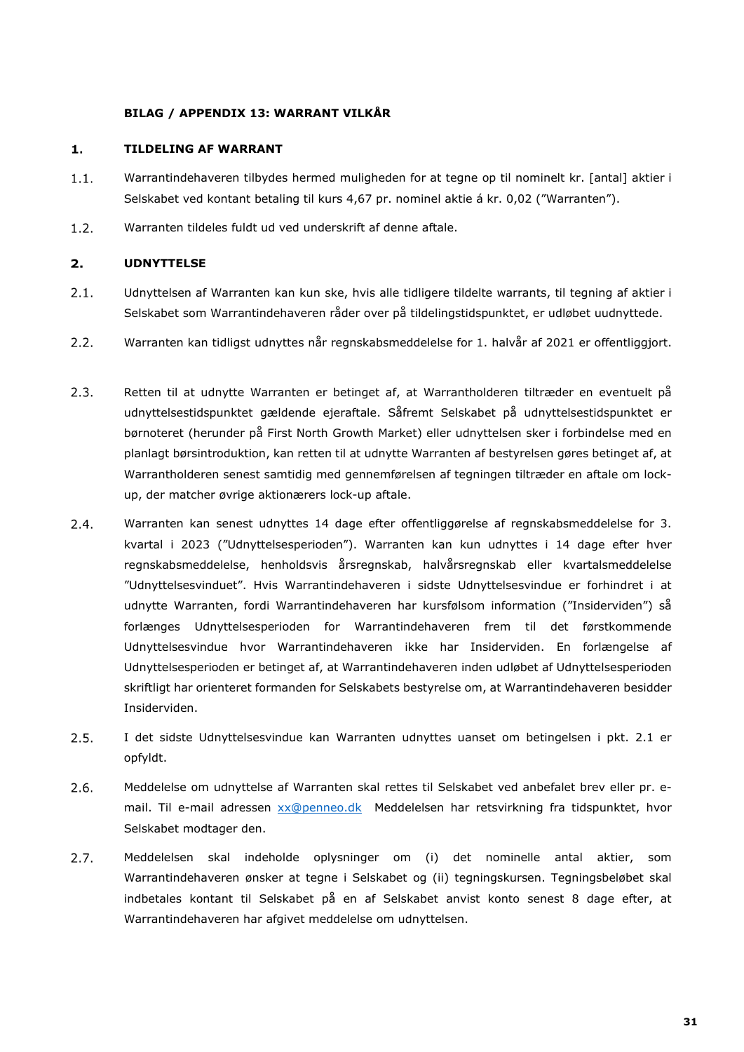### **BILAG / APPENDIX 13: WARRANT VILKÅR**

#### $\mathbf{1}$ . **TILDELING AF WARRANT**

- $1.1.$ Warrantindehaveren tilbydes hermed muligheden for at tegne op til nominelt kr. [antal] aktier i Selskabet ved kontant betaling til kurs 4,67 pr. nominel aktie á kr. 0,02 ("Warranten").
- $1.2.$ Warranten tildeles fuldt ud ved underskrift af denne aftale.

### $2.$ **UDNYTTELSE**

- $2.1.$ Udnyttelsen af Warranten kan kun ske, hvis alle tidligere tildelte warrants, til tegning af aktier i Selskabet som Warrantindehaveren råder over på tildelingstidspunktet, er udløbet uudnyttede.
- $2.2.$ Warranten kan tidligst udnyttes når regnskabsmeddelelse for 1. halvår af 2021 er offentliggjort.
- $2.3.$ Retten til at udnytte Warranten er betinget af, at Warrantholderen tiltræder en eventuelt på udnyttelsestidspunktet gældende ejeraftale. Såfremt Selskabet på udnyttelsestidspunktet er børnoteret (herunder på First North Growth Market) eller udnyttelsen sker i forbindelse med en planlagt børsintroduktion, kan retten til at udnytte Warranten af bestyrelsen gøres betinget af, at Warrantholderen senest samtidig med gennemførelsen af tegningen tiltræder en aftale om lockup, der matcher øvrige aktionærers lock-up aftale.
- $2.4.$ Warranten kan senest udnyttes 14 dage efter offentliggørelse af regnskabsmeddelelse for 3. kvartal i 2023 ("Udnyttelsesperioden"). Warranten kan kun udnyttes i 14 dage efter hver regnskabsmeddelelse, henholdsvis årsregnskab, halvårsregnskab eller kvartalsmeddelelse "Udnyttelsesvinduet". Hvis Warrantindehaveren i sidste Udnyttelsesvindue er forhindret i at udnytte Warranten, fordi Warrantindehaveren har kursfølsom information ("Insiderviden") så forlænges Udnyttelsesperioden for Warrantindehaveren frem til det førstkommende Udnyttelsesvindue hvor Warrantindehaveren ikke har Insiderviden. En forlængelse af Udnyttelsesperioden er betinget af, at Warrantindehaveren inden udløbet af Udnyttelsesperioden skriftligt har orienteret formanden for Selskabets bestyrelse om, at Warrantindehaveren besidder Insiderviden.
- $2.5.$ I det sidste Udnyttelsesvindue kan Warranten udnyttes uanset om betingelsen i pkt. 2.1 er opfyldt.
- $2.6.$ Meddelelse om udnyttelse af Warranten skal rettes til Selskabet ved anbefalet brev eller pr. email. Til e-mail adressen [xx@penneo.dk](mailto:xx@penneo.dk) Meddelelsen har retsvirkning fra tidspunktet, hvor Selskabet modtager den.
- $2.7.$ Meddelelsen skal indeholde oplysninger om (i) det nominelle antal aktier, som Warrantindehaveren ønsker at tegne i Selskabet og (ii) tegningskursen. Tegningsbeløbet skal indbetales kontant til Selskabet på en af Selskabet anvist konto senest 8 dage efter, at Warrantindehaveren har afgivet meddelelse om udnyttelsen.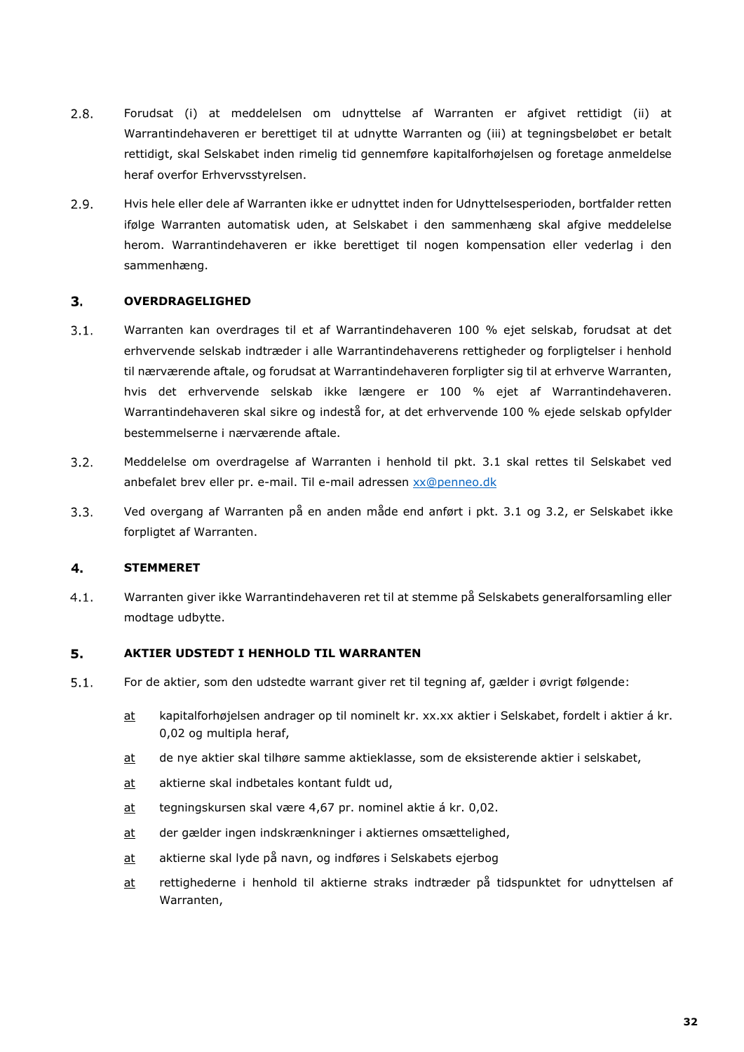- $2.8.$ Forudsat (i) at meddelelsen om udnyttelse af Warranten er afgivet rettidigt (ii) at Warrantindehaveren er berettiget til at udnytte Warranten og (iii) at tegningsbeløbet er betalt rettidigt, skal Selskabet inden rimelig tid gennemføre kapitalforhøjelsen og foretage anmeldelse heraf overfor Erhvervsstyrelsen.
- $2.9.$ Hvis hele eller dele af Warranten ikke er udnyttet inden for Udnyttelsesperioden, bortfalder retten ifølge Warranten automatisk uden, at Selskabet i den sammenhæng skal afgive meddelelse herom. Warrantindehaveren er ikke berettiget til nogen kompensation eller vederlag i den sammenhæng.

#### $3.$ **OVERDRAGELIGHED**

- $3.1.$ Warranten kan overdrages til et af Warrantindehaveren 100 % ejet selskab, forudsat at det erhvervende selskab indtræder i alle Warrantindehaverens rettigheder og forpligtelser i henhold til nærværende aftale, og forudsat at Warrantindehaveren forpligter sig til at erhverve Warranten, hvis det erhvervende selskab ikke længere er 100 % ejet af Warrantindehaveren. Warrantindehaveren skal sikre og indestå for, at det erhvervende 100 % ejede selskab opfylder bestemmelserne i nærværende aftale.
- $3.2.$ Meddelelse om overdragelse af Warranten i henhold til pkt. 3.1 skal rettes til Selskabet ved anbefalet brev eller pr. e-mail. Til e-mail adressen [xx@penneo.dk](mailto:xx@penneo.dk)
- $3.3.$ Ved overgang af Warranten på en anden måde end anført i pkt. 3.1 og 3.2, er Selskabet ikke forpligtet af Warranten.

#### 4. **STEMMERET**

Warranten giver ikke Warrantindehaveren ret til at stemme på Selskabets generalforsamling eller  $4.1.$ modtage udbytte.

#### 5. **AKTIER UDSTEDT I HENHOLD TIL WARRANTEN**

- $5.1.$ For de aktier, som den udstedte warrant giver ret til tegning af, gælder i øvrigt følgende:
	- at kapitalforhøjelsen andrager op til nominelt kr. xx.xx aktier i Selskabet, fordelt i aktier á kr. 0,02 og multipla heraf,
	- at de nye aktier skal tilhøre samme aktieklasse, som de eksisterende aktier i selskabet,
	- at aktierne skal indbetales kontant fuldt ud,
	- at tegningskursen skal være 4,67 pr. nominel aktie á kr. 0,02.
	- at der gælder ingen indskrænkninger i aktiernes omsættelighed,
	- at aktierne skal lyde på navn, og indføres i Selskabets ejerbog
	- at rettighederne i henhold til aktierne straks indtræder på tidspunktet for udnyttelsen af Warranten,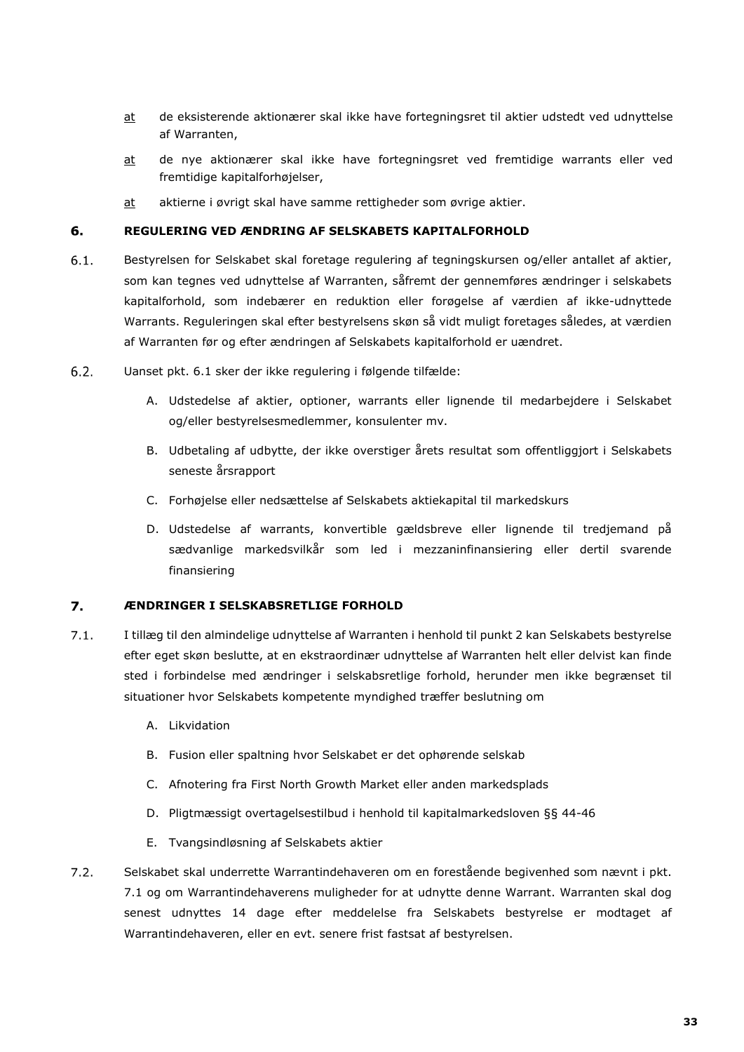- at de eksisterende aktionærer skal ikke have fortegningsret til aktier udstedt ved udnyttelse af Warranten,
- at de nye aktionærer skal ikke have fortegningsret ved fremtidige warrants eller ved fremtidige kapitalforhøjelser,
- at aktierne i øvrigt skal have samme rettigheder som øvrige aktier.

#### 6. **REGULERING VED ÆNDRING AF SELSKABETS KAPITALFORHOLD**

- $6.1.$ Bestyrelsen for Selskabet skal foretage regulering af tegningskursen og/eller antallet af aktier, som kan tegnes ved udnyttelse af Warranten, såfremt der gennemføres ændringer i selskabets kapitalforhold, som indebærer en reduktion eller forøgelse af værdien af ikke-udnyttede Warrants. Reguleringen skal efter bestyrelsens skøn så vidt muligt foretages således, at værdien af Warranten før og efter ændringen af Selskabets kapitalforhold er uændret.
- $6.2.$ Uanset pkt. 6.1 sker der ikke regulering i følgende tilfælde:
	- A. Udstedelse af aktier, optioner, warrants eller lignende til medarbejdere i Selskabet og/eller bestyrelsesmedlemmer, konsulenter mv.
	- B. Udbetaling af udbytte, der ikke overstiger årets resultat som offentliggjort i Selskabets seneste årsrapport
	- C. Forhøjelse eller nedsættelse af Selskabets aktiekapital til markedskurs
	- D. Udstedelse af warrants, konvertible gældsbreve eller lignende til tredjemand på sædvanlige markedsvilkår som led i mezzaninfinansiering eller dertil svarende finansiering

#### 7. **ÆNDRINGER I SELSKABSRETLIGE FORHOLD**

- $7.1.$ I tillæg til den almindelige udnyttelse af Warranten i henhold til punkt 2 kan Selskabets bestyrelse efter eget skøn beslutte, at en ekstraordinær udnyttelse af Warranten helt eller delvist kan finde sted i forbindelse med ændringer i selskabsretlige forhold, herunder men ikke begrænset til situationer hvor Selskabets kompetente myndighed træffer beslutning om
	- A. Likvidation
	- B. Fusion eller spaltning hvor Selskabet er det ophørende selskab
	- C. Afnotering fra First North Growth Market eller anden markedsplads
	- D. Pligtmæssigt overtagelsestilbud i henhold til kapitalmarkedsloven §§ 44-46
	- E. Tvangsindløsning af Selskabets aktier
- $7.2.$ Selskabet skal underrette Warrantindehaveren om en forestående begivenhed som nævnt i pkt. 7.1 og om Warrantindehaverens muligheder for at udnytte denne Warrant. Warranten skal dog senest udnyttes 14 dage efter meddelelse fra Selskabets bestyrelse er modtaget af Warrantindehaveren, eller en evt. senere frist fastsat af bestyrelsen.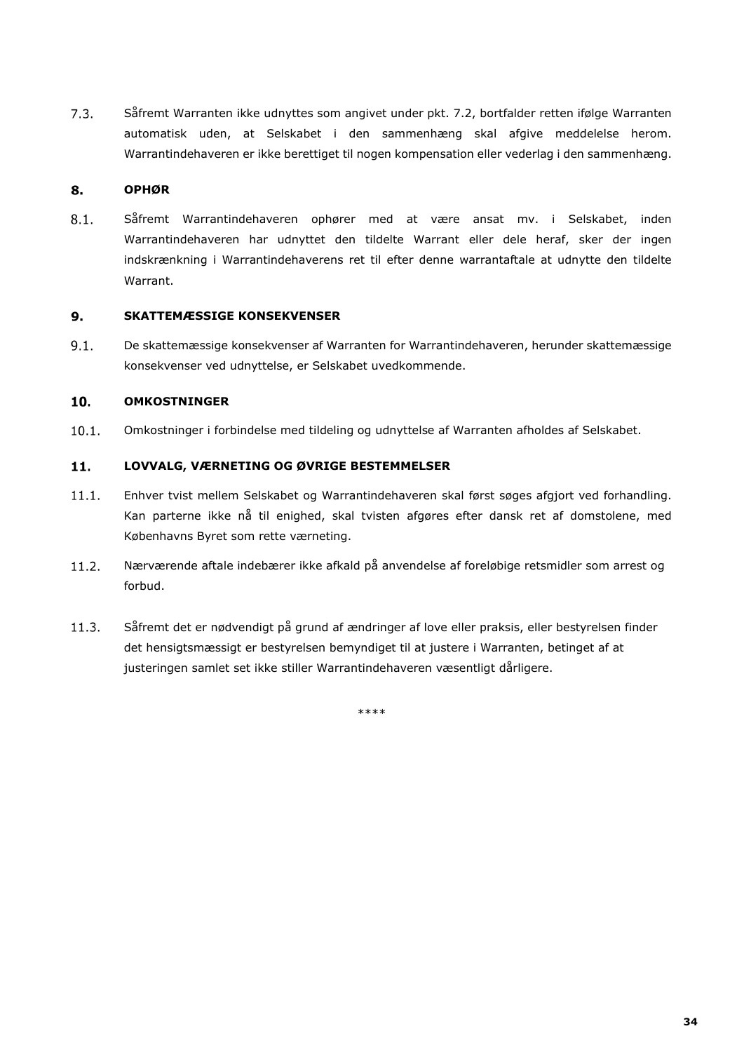$7.3.$ Såfremt Warranten ikke udnyttes som angivet under pkt. 7.2, bortfalder retten ifølge Warranten automatisk uden, at Selskabet i den sammenhæng skal afgive meddelelse herom. Warrantindehaveren er ikke berettiget til nogen kompensation eller vederlag i den sammenhæng.

#### 8. **OPHØR**

 $8.1.$ Såfremt Warrantindehaveren ophører med at være ansat mv. i Selskabet, inden Warrantindehaveren har udnyttet den tildelte Warrant eller dele heraf, sker der ingen indskrænkning i Warrantindehaverens ret til efter denne warrantaftale at udnytte den tildelte Warrant.

#### $9.$ **SKATTEMÆSSIGE KONSEKVENSER**

 $9.1.$ De skattemæssige konsekvenser af Warranten for Warrantindehaveren, herunder skattemæssige konsekvenser ved udnyttelse, er Selskabet uvedkommende.

#### 10. **OMKOSTNINGER**

 $10.1.$ Omkostninger i forbindelse med tildeling og udnyttelse af Warranten afholdes af Selskabet.

### $11.$ **LOVVALG, VÆRNETING OG ØVRIGE BESTEMMELSER**

- $11.1.$ Enhver tvist mellem Selskabet og Warrantindehaveren skal først søges afgjort ved forhandling. Kan parterne ikke nå til enighed, skal tvisten afgøres efter dansk ret af domstolene, med Københavns Byret som rette værneting.
- $11.2.$ Nærværende aftale indebærer ikke afkald på anvendelse af foreløbige retsmidler som arrest og forbud.
- $11.3.$ Såfremt det er nødvendigt på grund af ændringer af love eller praksis, eller bestyrelsen finder det hensigtsmæssigt er bestyrelsen bemyndiget til at justere i Warranten, betinget af at justeringen samlet set ikke stiller Warrantindehaveren væsentligt dårligere.

\*\*\*\*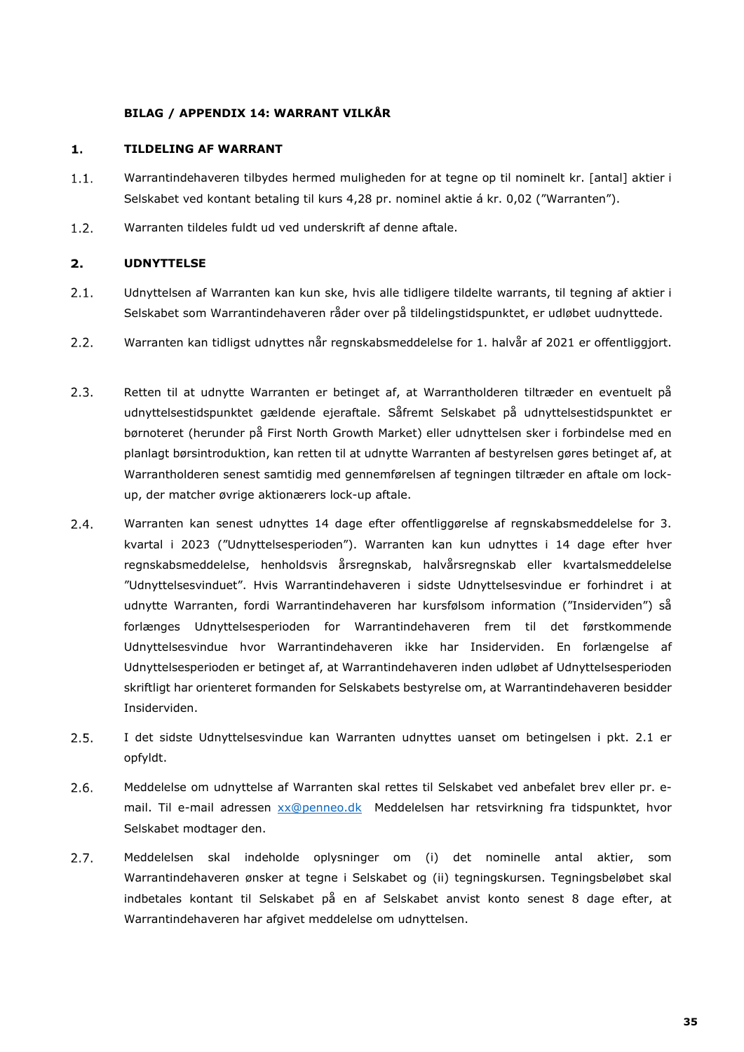### **BILAG / APPENDIX 14: WARRANT VILKÅR**

#### $\mathbf{1}$ . **TILDELING AF WARRANT**

- $1.1.$ Warrantindehaveren tilbydes hermed muligheden for at tegne op til nominelt kr. [antal] aktier i Selskabet ved kontant betaling til kurs 4,28 pr. nominel aktie á kr. 0,02 ("Warranten").
- $1.2.$ Warranten tildeles fuldt ud ved underskrift af denne aftale.

### $2.$ **UDNYTTELSE**

- $2.1.$ Udnyttelsen af Warranten kan kun ske, hvis alle tidligere tildelte warrants, til tegning af aktier i Selskabet som Warrantindehaveren råder over på tildelingstidspunktet, er udløbet uudnyttede.
- $2.2.$ Warranten kan tidligst udnyttes når regnskabsmeddelelse for 1. halvår af 2021 er offentliggjort.
- $2.3.$ Retten til at udnytte Warranten er betinget af, at Warrantholderen tiltræder en eventuelt på udnyttelsestidspunktet gældende ejeraftale. Såfremt Selskabet på udnyttelsestidspunktet er børnoteret (herunder på First North Growth Market) eller udnyttelsen sker i forbindelse med en planlagt børsintroduktion, kan retten til at udnytte Warranten af bestyrelsen gøres betinget af, at Warrantholderen senest samtidig med gennemførelsen af tegningen tiltræder en aftale om lockup, der matcher øvrige aktionærers lock-up aftale.
- $2.4.$ Warranten kan senest udnyttes 14 dage efter offentliggørelse af regnskabsmeddelelse for 3. kvartal i 2023 ("Udnyttelsesperioden"). Warranten kan kun udnyttes i 14 dage efter hver regnskabsmeddelelse, henholdsvis årsregnskab, halvårsregnskab eller kvartalsmeddelelse "Udnyttelsesvinduet". Hvis Warrantindehaveren i sidste Udnyttelsesvindue er forhindret i at udnytte Warranten, fordi Warrantindehaveren har kursfølsom information ("Insiderviden") så forlænges Udnyttelsesperioden for Warrantindehaveren frem til det førstkommende Udnyttelsesvindue hvor Warrantindehaveren ikke har Insiderviden. En forlængelse af Udnyttelsesperioden er betinget af, at Warrantindehaveren inden udløbet af Udnyttelsesperioden skriftligt har orienteret formanden for Selskabets bestyrelse om, at Warrantindehaveren besidder Insiderviden.
- $2.5.$ I det sidste Udnyttelsesvindue kan Warranten udnyttes uanset om betingelsen i pkt. 2.1 er opfyldt.
- $2.6.$ Meddelelse om udnyttelse af Warranten skal rettes til Selskabet ved anbefalet brev eller pr. email. Til e-mail adressen [xx@penneo.dk](mailto:xx@penneo.dk) Meddelelsen har retsvirkning fra tidspunktet, hvor Selskabet modtager den.
- $2.7.$ Meddelelsen skal indeholde oplysninger om (i) det nominelle antal aktier, som Warrantindehaveren ønsker at tegne i Selskabet og (ii) tegningskursen. Tegningsbeløbet skal indbetales kontant til Selskabet på en af Selskabet anvist konto senest 8 dage efter, at Warrantindehaveren har afgivet meddelelse om udnyttelsen.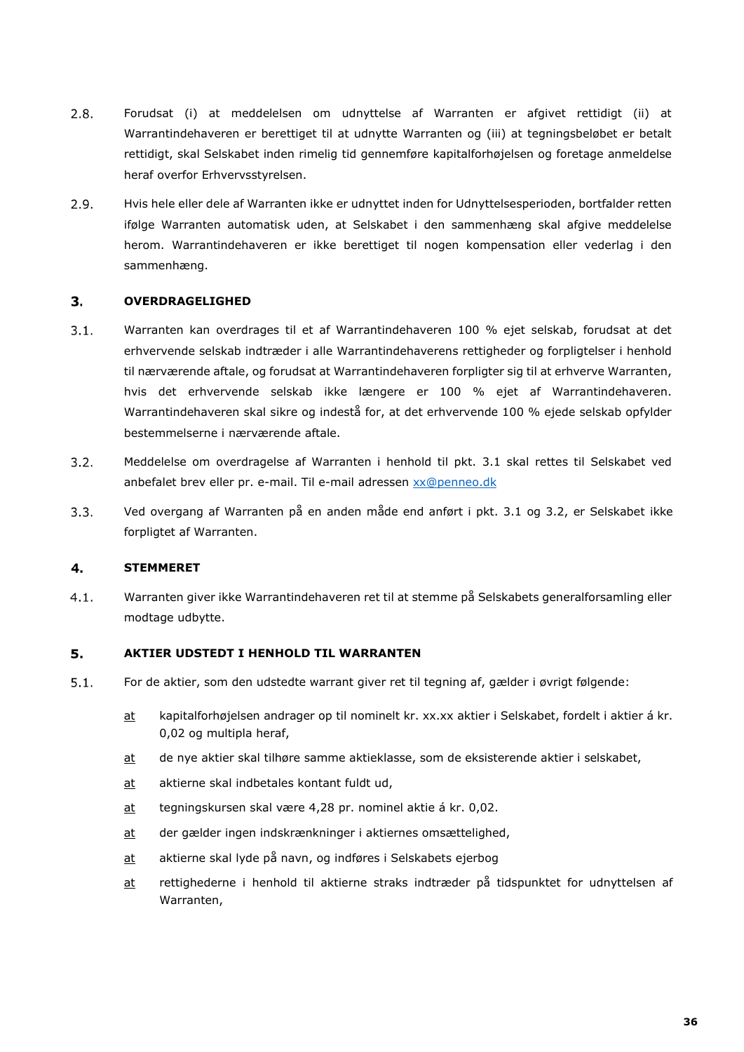- $2.8.$ Forudsat (i) at meddelelsen om udnyttelse af Warranten er afgivet rettidigt (ii) at Warrantindehaveren er berettiget til at udnytte Warranten og (iii) at tegningsbeløbet er betalt rettidigt, skal Selskabet inden rimelig tid gennemføre kapitalforhøjelsen og foretage anmeldelse heraf overfor Erhvervsstyrelsen.
- $2.9.$ Hvis hele eller dele af Warranten ikke er udnyttet inden for Udnyttelsesperioden, bortfalder retten ifølge Warranten automatisk uden, at Selskabet i den sammenhæng skal afgive meddelelse herom. Warrantindehaveren er ikke berettiget til nogen kompensation eller vederlag i den sammenhæng.

#### $3.$ **OVERDRAGELIGHED**

- $3.1.$ Warranten kan overdrages til et af Warrantindehaveren 100 % ejet selskab, forudsat at det erhvervende selskab indtræder i alle Warrantindehaverens rettigheder og forpligtelser i henhold til nærværende aftale, og forudsat at Warrantindehaveren forpligter sig til at erhverve Warranten, hvis det erhvervende selskab ikke længere er 100 % ejet af Warrantindehaveren. Warrantindehaveren skal sikre og indestå for, at det erhvervende 100 % ejede selskab opfylder bestemmelserne i nærværende aftale.
- $3.2.$ Meddelelse om overdragelse af Warranten i henhold til pkt. 3.1 skal rettes til Selskabet ved anbefalet brev eller pr. e-mail. Til e-mail adressen [xx@penneo.dk](mailto:xx@penneo.dk)
- $3.3.$ Ved overgang af Warranten på en anden måde end anført i pkt. 3.1 og 3.2, er Selskabet ikke forpligtet af Warranten.

#### 4. **STEMMERET**

Warranten giver ikke Warrantindehaveren ret til at stemme på Selskabets generalforsamling eller  $4.1.$ modtage udbytte.

#### 5. **AKTIER UDSTEDT I HENHOLD TIL WARRANTEN**

- $5.1.$ For de aktier, som den udstedte warrant giver ret til tegning af, gælder i øvrigt følgende:
	- at kapitalforhøjelsen andrager op til nominelt kr. xx.xx aktier i Selskabet, fordelt i aktier á kr. 0,02 og multipla heraf,
	- at de nye aktier skal tilhøre samme aktieklasse, som de eksisterende aktier i selskabet,
	- at aktierne skal indbetales kontant fuldt ud,
	- at tegningskursen skal være 4,28 pr. nominel aktie á kr. 0,02.
	- at der gælder ingen indskrænkninger i aktiernes omsættelighed,
	- at aktierne skal lyde på navn, og indføres i Selskabets ejerbog
	- at rettighederne i henhold til aktierne straks indtræder på tidspunktet for udnyttelsen af Warranten,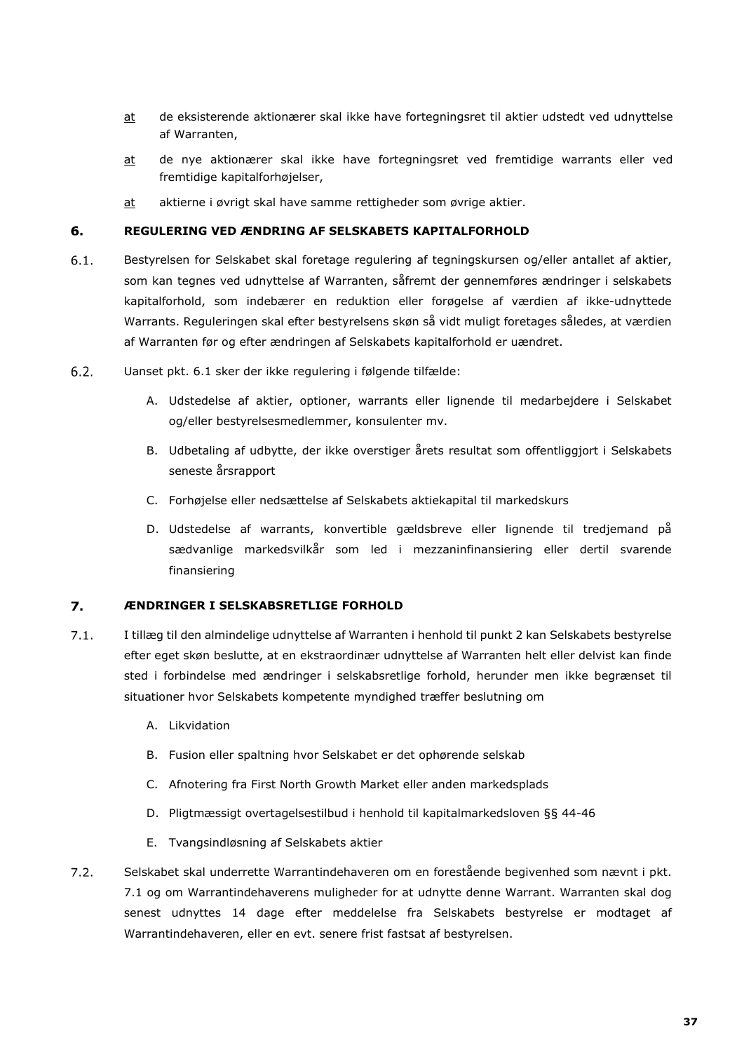- at de eksisterende aktionærer skal ikke have fortegningsret til aktier udstedt ved udnyttelse af Warranten,
- at de nye aktionærer skal ikke have fortegningsret ved fremtidige warrants eller ved fremtidige kapitalforhøjelser,
- at aktierne i øvrigt skal have samme rettigheder som øvrige aktier.

### 6. **REGULERING VED ÆNDRING AF SELSKABETS KAPITALFORHOLD**

- $6.1.$ Bestyrelsen for Selskabet skal foretage regulering af tegningskursen og/eller antallet af aktier, som kan tegnes ved udnyttelse af Warranten, såfremt der gennemføres ændringer i selskabets kapitalforhold, som indebærer en reduktion eller forøgelse af værdien af ikke-udnyttede Warrants. Reguleringen skal efter bestyrelsens skøn så vidt muligt foretages således, at værdien af Warranten før og efter ændringen af Selskabets kapitalforhold er uændret.
- $6.2.$ Uanset pkt. 6.1 sker der ikke regulering i følgende tilfælde:
	- A. Udstedelse af aktier, optioner, warrants eller lignende til medarbejdere i Selskabet og/eller bestyrelsesmedlemmer, konsulenter mv.
	- B. Udbetaling af udbytte, der ikke overstiger årets resultat som offentliggjort i Selskabets seneste årsrapport
	- C. Forhøjelse eller nedsættelse af Selskabets aktiekapital til markedskurs
	- D. Udstedelse af warrants, konvertible gældsbreve eller lignende til tredjemand på sædvanlige markedsvilkår som led i mezzaninfinansiering eller dertil svarende finansiering

### 7. **ÆNDRINGER I SELSKABSRETLIGE FORHOLD**

- $7.1.$ I tillæg til den almindelige udnyttelse af Warranten i henhold til punkt 2 kan Selskabets bestyrelse efter eget skøn beslutte, at en ekstraordinær udnyttelse af Warranten helt eller delvist kan finde sted i forbindelse med ændringer i selskabsretlige forhold, herunder men ikke begrænset til situationer hvor Selskabets kompetente myndighed træffer beslutning om
	- A. Likvidation
	- B. Fusion eller spaltning hvor Selskabet er det ophørende selskab
	- C. Afnotering fra First North Growth Market eller anden markedsplads
	- D. Pligtmæssigt overtagelsestilbud i henhold til kapitalmarkedsloven §§ 44-46
	- E. Tvangsindløsning af Selskabets aktier
- $7.2.$ Selskabet skal underrette Warrantindehaveren om en forestående begivenhed som nævnt i pkt. 7.1 og om Warrantindehaverens muligheder for at udnytte denne Warrant. Warranten skal dog senest udnyttes 14 dage efter meddelelse fra Selskabets bestyrelse er modtaget af Warrantindehaveren, eller en evt. senere frist fastsat af bestyrelsen.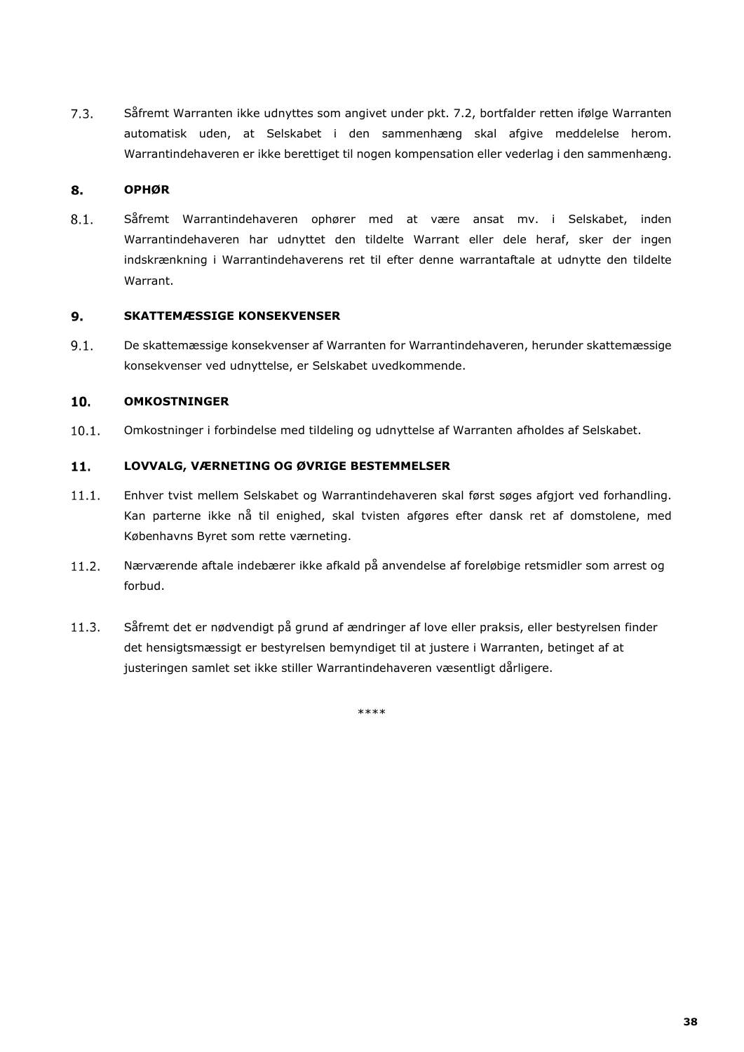$7.3.$ Såfremt Warranten ikke udnyttes som angivet under pkt. 7.2, bortfalder retten ifølge Warranten automatisk uden, at Selskabet i den sammenhæng skal afgive meddelelse herom. Warrantindehaveren er ikke berettiget til nogen kompensation eller vederlag i den sammenhæng.

### 8. **OPHØR**

 $8.1.$ Såfremt Warrantindehaveren ophører med at være ansat mv. i Selskabet, inden Warrantindehaveren har udnyttet den tildelte Warrant eller dele heraf, sker der ingen indskrænkning i Warrantindehaverens ret til efter denne warrantaftale at udnytte den tildelte Warrant.

### $9.$ **SKATTEMÆSSIGE KONSEKVENSER**

 $9.1.$ De skattemæssige konsekvenser af Warranten for Warrantindehaveren, herunder skattemæssige konsekvenser ved udnyttelse, er Selskabet uvedkommende.

### 10. **OMKOSTNINGER**

 $10.1.$ Omkostninger i forbindelse med tildeling og udnyttelse af Warranten afholdes af Selskabet.

### $11.$ **LOVVALG, VÆRNETING OG ØVRIGE BESTEMMELSER**

- $11.1.$ Enhver tvist mellem Selskabet og Warrantindehaveren skal først søges afgjort ved forhandling. Kan parterne ikke nå til enighed, skal tvisten afgøres efter dansk ret af domstolene, med Københavns Byret som rette værneting.
- $11.2.$ Nærværende aftale indebærer ikke afkald på anvendelse af foreløbige retsmidler som arrest og forbud.
- $11.3.$ Såfremt det er nødvendigt på grund af ændringer af love eller praksis, eller bestyrelsen finder det hensigtsmæssigt er bestyrelsen bemyndiget til at justere i Warranten, betinget af at justeringen samlet set ikke stiller Warrantindehaveren væsentligt dårligere.

\*\*\*\*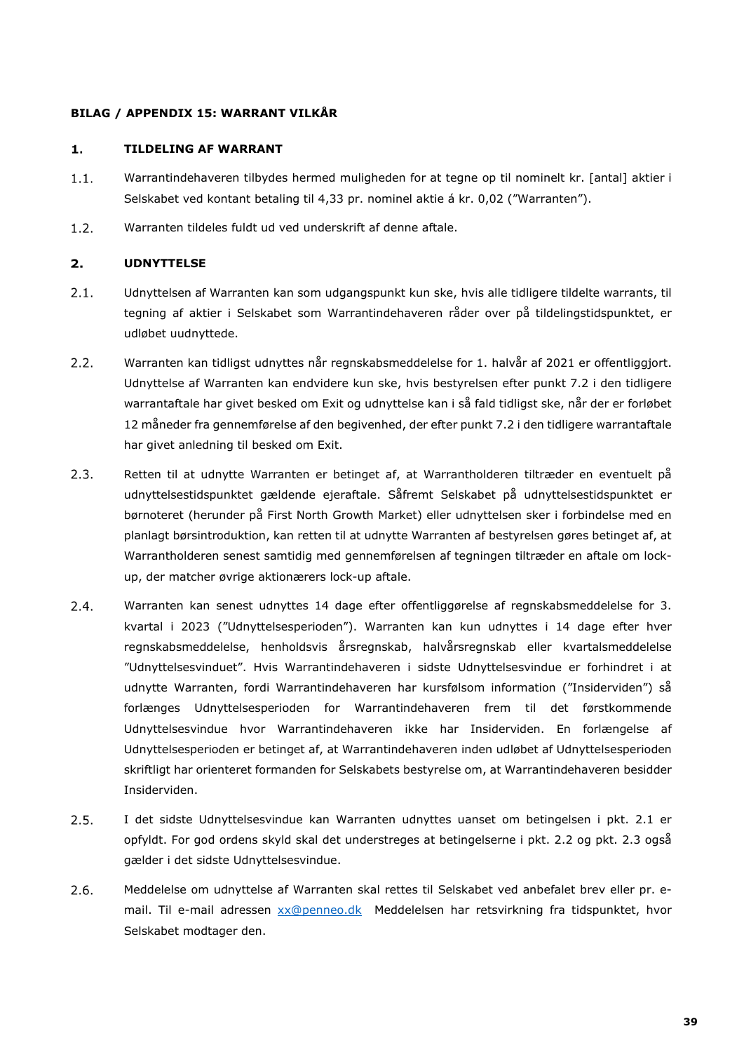# **BILAG / APPENDIX 15: WARRANT VILKÅR**

### **TILDELING AF WARRANT**  $\mathbf{1}$ .

- $1.1.$ Warrantindehaveren tilbydes hermed muligheden for at tegne op til nominelt kr. [antal] aktier i Selskabet ved kontant betaling til 4,33 pr. nominel aktie á kr. 0,02 ("Warranten").
- $1.2.$ Warranten tildeles fuldt ud ved underskrift af denne aftale.

### $2.$ **UDNYTTELSE**

- $2.1.$ Udnyttelsen af Warranten kan som udgangspunkt kun ske, hvis alle tidligere tildelte warrants, til tegning af aktier i Selskabet som Warrantindehaveren råder over på tildelingstidspunktet, er udløbet uudnyttede.
- $2.2.$ Warranten kan tidligst udnyttes når regnskabsmeddelelse for 1. halvår af 2021 er offentliggjort. Udnyttelse af Warranten kan endvidere kun ske, hvis bestyrelsen efter punkt 7.2 i den tidligere warrantaftale har givet besked om Exit og udnyttelse kan i så fald tidligst ske, når der er forløbet 12 måneder fra gennemførelse af den begivenhed, der efter punkt 7.2 i den tidligere warrantaftale har givet anledning til besked om Exit.
- $2.3.$ Retten til at udnytte Warranten er betinget af, at Warrantholderen tiltræder en eventuelt på udnyttelsestidspunktet gældende ejeraftale. Såfremt Selskabet på udnyttelsestidspunktet er børnoteret (herunder på First North Growth Market) eller udnyttelsen sker i forbindelse med en planlagt børsintroduktion, kan retten til at udnytte Warranten af bestyrelsen gøres betinget af, at Warrantholderen senest samtidig med gennemførelsen af tegningen tiltræder en aftale om lockup, der matcher øvrige aktionærers lock-up aftale.
- $2.4.$ Warranten kan senest udnyttes 14 dage efter offentliggørelse af regnskabsmeddelelse for 3. kvartal i 2023 ("Udnyttelsesperioden"). Warranten kan kun udnyttes i 14 dage efter hver regnskabsmeddelelse, henholdsvis årsregnskab, halvårsregnskab eller kvartalsmeddelelse "Udnyttelsesvinduet". Hvis Warrantindehaveren i sidste Udnyttelsesvindue er forhindret i at udnytte Warranten, fordi Warrantindehaveren har kursfølsom information ("Insiderviden") så forlænges Udnyttelsesperioden for Warrantindehaveren frem til det førstkommende Udnyttelsesvindue hvor Warrantindehaveren ikke har Insiderviden. En forlængelse af Udnyttelsesperioden er betinget af, at Warrantindehaveren inden udløbet af Udnyttelsesperioden skriftligt har orienteret formanden for Selskabets bestyrelse om, at Warrantindehaveren besidder Insiderviden.
- I det sidste Udnyttelsesvindue kan Warranten udnyttes uanset om betingelsen i pkt. 2.1 er  $2.5.$ opfyldt. For god ordens skyld skal det understreges at betingelserne i pkt. 2.2 og pkt. 2.3 også gælder i det sidste Udnyttelsesvindue.
- $2.6.$ Meddelelse om udnyttelse af Warranten skal rettes til Selskabet ved anbefalet brev eller pr. email. Til e-mail adressen [xx@penneo.dk](mailto:xx@penneo.dk) Meddelelsen har retsvirkning fra tidspunktet, hvor Selskabet modtager den.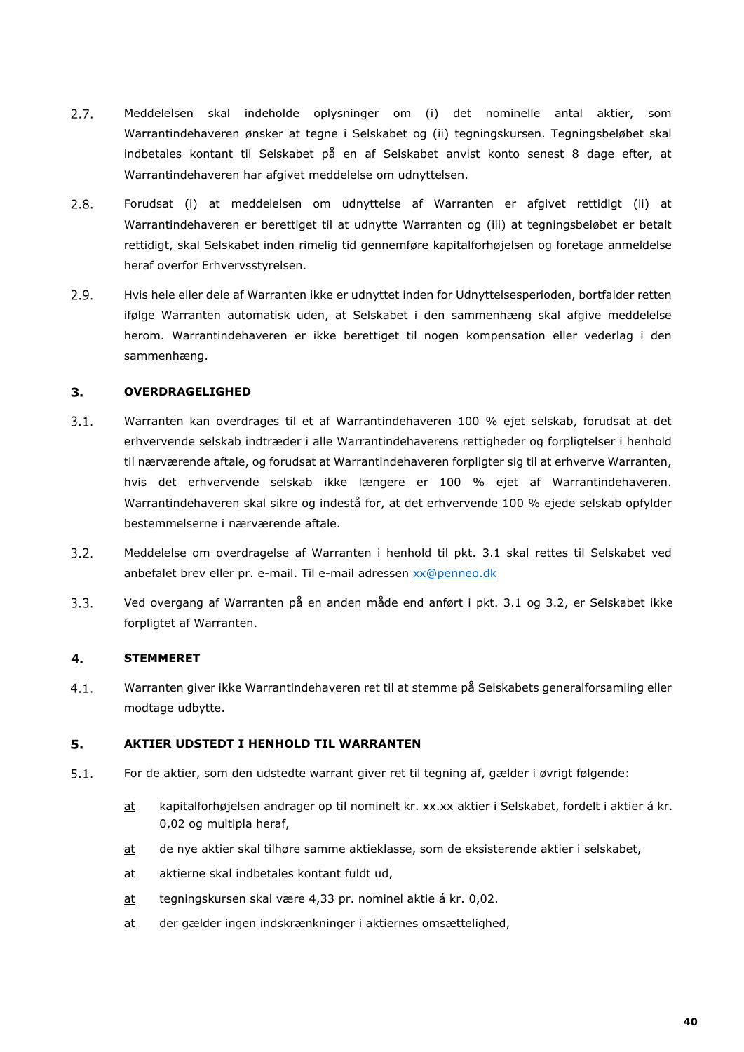- $2.7.$ Meddelelsen skal indeholde oplysninger om (i) det nominelle antal aktier, som Warrantindehaveren ønsker at tegne i Selskabet og (ii) tegningskursen. Tegningsbeløbet skal indbetales kontant til Selskabet på en af Selskabet anvist konto senest 8 dage efter, at Warrantindehaveren har afgivet meddelelse om udnyttelsen.
- $2.8.$ Forudsat (i) at meddelelsen om udnyttelse af Warranten er afgivet rettidigt (ii) at Warrantindehaveren er berettiget til at udnytte Warranten og (iii) at tegningsbeløbet er betalt rettidigt, skal Selskabet inden rimelig tid gennemføre kapitalforhøjelsen og foretage anmeldelse heraf overfor Erhvervsstyrelsen.
- $2.9.$ Hvis hele eller dele af Warranten ikke er udnyttet inden for Udnyttelsesperioden, bortfalder retten ifølge Warranten automatisk uden, at Selskabet i den sammenhæng skal afgive meddelelse herom. Warrantindehaveren er ikke berettiget til nogen kompensation eller vederlag i den sammenhæng.

### $3<sub>1</sub>$ **OVERDRAGELIGHED**

- $3.1.$ Warranten kan overdrages til et af Warrantindehaveren 100 % ejet selskab, forudsat at det erhvervende selskab indtræder i alle Warrantindehaverens rettigheder og forpligtelser i henhold til nærværende aftale, og forudsat at Warrantindehaveren forpligter sig til at erhverve Warranten, hvis det erhvervende selskab ikke længere er 100 % ejet af Warrantindehaveren. Warrantindehaveren skal sikre og indestå for, at det erhvervende 100 % ejede selskab opfylder bestemmelserne i nærværende aftale.
- $3.2.$ Meddelelse om overdragelse af Warranten i henhold til pkt. 3.1 skal rettes til Selskabet ved anbefalet brev eller pr. e-mail. Til e-mail adressen [xx@penneo.dk](mailto:xx@penneo.dk)
- $3.3.$ Ved overgang af Warranten på en anden måde end anført i pkt. 3.1 og 3.2, er Selskabet ikke forpligtet af Warranten.

### $4.$ **STEMMERET**

 $4.1.$ Warranten giver ikke Warrantindehaveren ret til at stemme på Selskabets generalforsamling eller modtage udbytte.

### 5. **AKTIER UDSTEDT I HENHOLD TIL WARRANTEN**

- $5.1.$ For de aktier, som den udstedte warrant giver ret til tegning af, gælder i øvrigt følgende:
	- at kapitalforhøjelsen andrager op til nominelt kr. xx.xx aktier i Selskabet, fordelt i aktier á kr. 0,02 og multipla heraf,
	- at de nye aktier skal tilhøre samme aktieklasse, som de eksisterende aktier i selskabet,
	- at aktierne skal indbetales kontant fuldt ud,
	- at tegningskursen skal være 4,33 pr. nominel aktie á kr. 0,02.
	- at der gælder ingen indskrænkninger i aktiernes omsættelighed,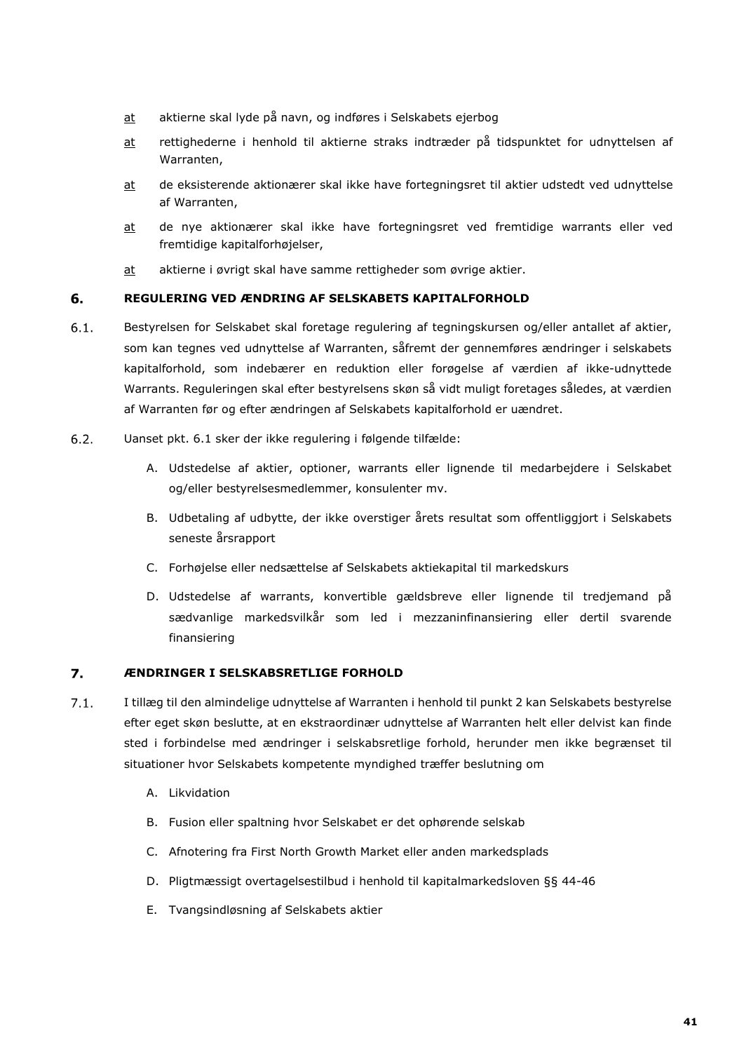- at aktierne skal lyde på navn, og indføres i Selskabets ejerbog
- at rettighederne i henhold til aktierne straks indtræder på tidspunktet for udnyttelsen af Warranten,
- at de eksisterende aktionærer skal ikke have fortegningsret til aktier udstedt ved udnyttelse af Warranten,
- at de nye aktionærer skal ikke have fortegningsret ved fremtidige warrants eller ved fremtidige kapitalforhøjelser,
- at aktierne i øvrigt skal have samme rettigheder som øvrige aktier.

### 6. **REGULERING VED ÆNDRING AF SELSKABETS KAPITALFORHOLD**

- $6.1.$ Bestyrelsen for Selskabet skal foretage regulering af tegningskursen og/eller antallet af aktier, som kan tegnes ved udnyttelse af Warranten, såfremt der gennemføres ændringer i selskabets kapitalforhold, som indebærer en reduktion eller forøgelse af værdien af ikke-udnyttede Warrants. Reguleringen skal efter bestyrelsens skøn så vidt muligt foretages således, at værdien af Warranten før og efter ændringen af Selskabets kapitalforhold er uændret.
- $6.2.$ Uanset pkt. 6.1 sker der ikke regulering i følgende tilfælde:
	- A. Udstedelse af aktier, optioner, warrants eller lignende til medarbejdere i Selskabet og/eller bestyrelsesmedlemmer, konsulenter mv.
	- B. Udbetaling af udbytte, der ikke overstiger årets resultat som offentliggjort i Selskabets seneste årsrapport
	- C. Forhøjelse eller nedsættelse af Selskabets aktiekapital til markedskurs
	- D. Udstedelse af warrants, konvertible gældsbreve eller lignende til tredjemand på sædvanlige markedsvilkår som led i mezzaninfinansiering eller dertil svarende finansiering

### 7. **ÆNDRINGER I SELSKABSRETLIGE FORHOLD**

- $7.1.$ I tillæg til den almindelige udnyttelse af Warranten i henhold til punkt 2 kan Selskabets bestyrelse efter eget skøn beslutte, at en ekstraordinær udnyttelse af Warranten helt eller delvist kan finde sted i forbindelse med ændringer i selskabsretlige forhold, herunder men ikke begrænset til situationer hvor Selskabets kompetente myndighed træffer beslutning om
	- A. Likvidation
	- B. Fusion eller spaltning hvor Selskabet er det ophørende selskab
	- C. Afnotering fra First North Growth Market eller anden markedsplads
	- D. Pligtmæssigt overtagelsestilbud i henhold til kapitalmarkedsloven §§ 44-46
	- E. Tvangsindløsning af Selskabets aktier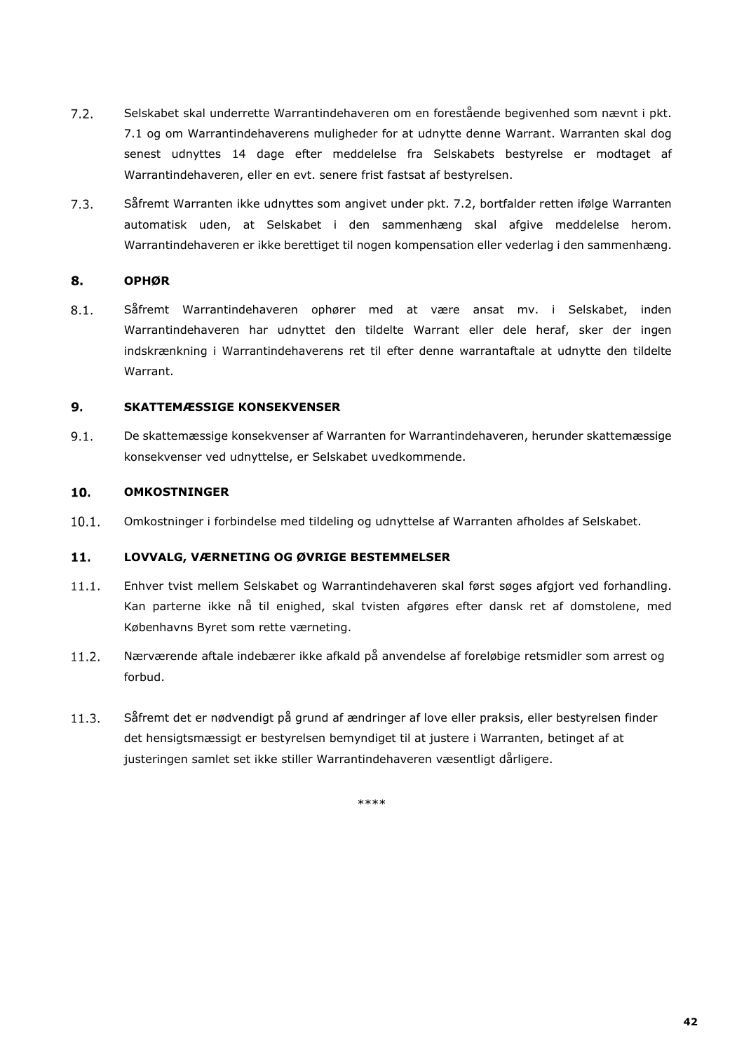- $7.2.$ Selskabet skal underrette Warrantindehaveren om en forestående begivenhed som nævnt i pkt. 7.1 og om Warrantindehaverens muligheder for at udnytte denne Warrant. Warranten skal dog senest udnyttes 14 dage efter meddelelse fra Selskabets bestyrelse er modtaget af Warrantindehaveren, eller en evt. senere frist fastsat af bestyrelsen.
- $7.3.$ Såfremt Warranten ikke udnyttes som angivet under pkt. 7.2, bortfalder retten ifølge Warranten automatisk uden, at Selskabet i den sammenhæng skal afgive meddelelse herom. Warrantindehaveren er ikke berettiget til nogen kompensation eller vederlag i den sammenhæng.

### 8. **OPHØR**

 $8.1.$ Såfremt Warrantindehaveren ophører med at være ansat mv. i Selskabet, inden Warrantindehaveren har udnyttet den tildelte Warrant eller dele heraf, sker der ingen indskrænkning i Warrantindehaverens ret til efter denne warrantaftale at udnytte den tildelte Warrant.

### $9.$ **SKATTEMÆSSIGE KONSEKVENSER**

 $9.1.$ De skattemæssige konsekvenser af Warranten for Warrantindehaveren, herunder skattemæssige konsekvenser ved udnyttelse, er Selskabet uvedkommende.

### 10. **OMKOSTNINGER**

 $10.1.$ Omkostninger i forbindelse med tildeling og udnyttelse af Warranten afholdes af Selskabet.

### **LOVVALG, VÆRNETING OG ØVRIGE BESTEMMELSER**  $11.$

- $11.1.$ Enhver tvist mellem Selskabet og Warrantindehaveren skal først søges afgjort ved forhandling. Kan parterne ikke nå til enighed, skal tvisten afgøres efter dansk ret af domstolene, med Københavns Byret som rette værneting.
- $11.2.$ Nærværende aftale indebærer ikke afkald på anvendelse af foreløbige retsmidler som arrest og forbud.
- $11.3.$ Såfremt det er nødvendigt på grund af ændringer af love eller praksis, eller bestyrelsen finder det hensigtsmæssigt er bestyrelsen bemyndiget til at justere i Warranten, betinget af at justeringen samlet set ikke stiller Warrantindehaveren væsentligt dårligere.

\*\*\*\*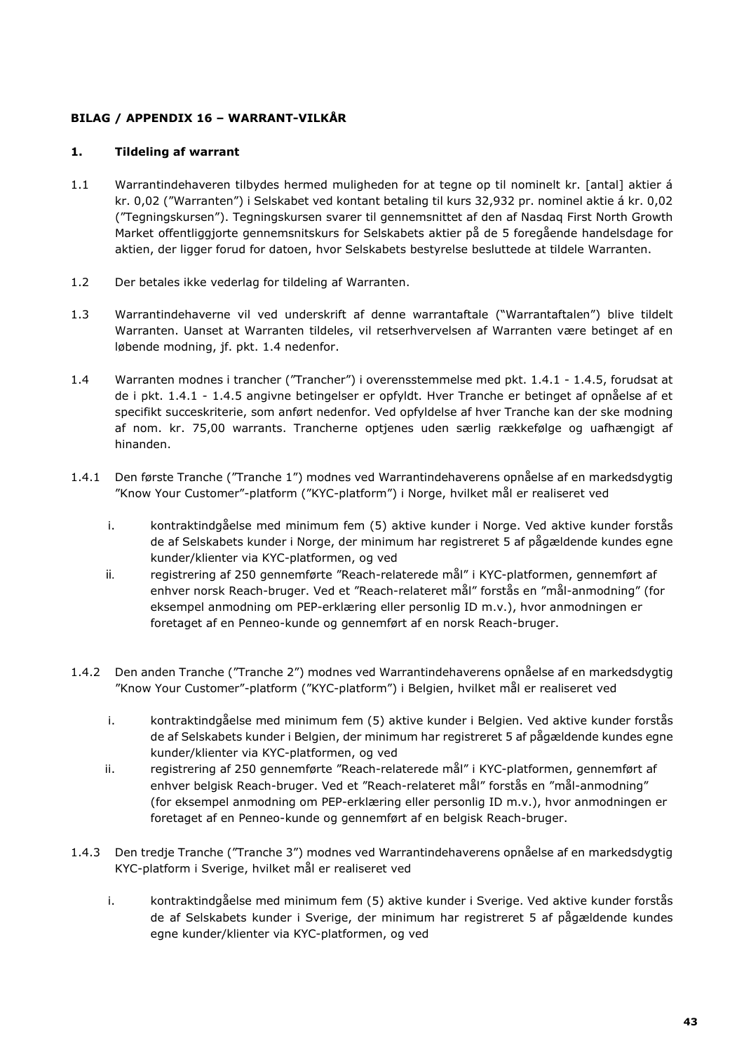# **BILAG / APPENDIX 16 – WARRANT-VILKÅR**

# **1. Tildeling af warrant**

- 1.1 Warrantindehaveren tilbydes hermed muligheden for at tegne op til nominelt kr. [antal] aktier á kr. 0,02 ("Warranten") i Selskabet ved kontant betaling til kurs 32,932 pr. nominel aktie á kr. 0,02 ("Tegningskursen"). Tegningskursen svarer til gennemsnittet af den af Nasdaq First North Growth Market offentliggjorte gennemsnitskurs for Selskabets aktier på de 5 foregående handelsdage for aktien, der ligger forud for datoen, hvor Selskabets bestyrelse besluttede at tildele Warranten.
- 1.2 Der betales ikke vederlag for tildeling af Warranten.
- 1.3 Warrantindehaverne vil ved underskrift af denne warrantaftale ("Warrantaftalen") blive tildelt Warranten. Uanset at Warranten tildeles, vil retserhvervelsen af Warranten være betinget af en løbende modning, jf. pkt. 1.4 nedenfor.
- 1.4 Warranten modnes i trancher ("Trancher") i overensstemmelse med pkt. 1.4.1 1.4.5, forudsat at de i pkt. 1.4.1 - 1.4.5 angivne betingelser er opfyldt. Hver Tranche er betinget af opnåelse af et specifikt succeskriterie, som anført nedenfor. Ved opfyldelse af hver Tranche kan der ske modning af nom. kr. 75,00 warrants. Trancherne optjenes uden særlig rækkefølge og uafhængigt af hinanden.
- 1.4.1 Den første Tranche ("Tranche 1") modnes ved Warrantindehaverens opnåelse af en markedsdygtig "Know Your Customer"-platform ("KYC-platform") i Norge, hvilket mål er realiseret ved
	- i. kontraktindgåelse med minimum fem (5) aktive kunder i Norge. Ved aktive kunder forstås de af Selskabets kunder i Norge, der minimum har registreret 5 af pågældende kundes egne kunder/klienter via KYC-platformen, og ved
	- ii. registrering af 250 gennemførte "Reach-relaterede mål" i KYC-platformen, gennemført af enhver norsk Reach-bruger. Ved et "Reach-relateret mål" forstås en "mål-anmodning" (for eksempel anmodning om PEP-erklæring eller personlig ID m.v.), hvor anmodningen er foretaget af en Penneo-kunde og gennemført af en norsk Reach-bruger.
- 1.4.2 Den anden Tranche ("Tranche 2") modnes ved Warrantindehaverens opnåelse af en markedsdygtig "Know Your Customer"-platform ("KYC-platform") i Belgien, hvilket mål er realiseret ved
	- i. kontraktindgåelse med minimum fem (5) aktive kunder i Belgien. Ved aktive kunder forstås de af Selskabets kunder i Belgien, der minimum har registreret 5 af pågældende kundes egne kunder/klienter via KYC-platformen, og ved
	- ii. registrering af 250 gennemførte "Reach-relaterede mål" i KYC-platformen, gennemført af enhver belgisk Reach-bruger. Ved et "Reach-relateret mål" forstås en "mål-anmodning" (for eksempel anmodning om PEP-erklæring eller personlig ID m.v.), hvor anmodningen er foretaget af en Penneo-kunde og gennemført af en belgisk Reach-bruger.
- 1.4.3 Den tredje Tranche ("Tranche 3") modnes ved Warrantindehaverens opnåelse af en markedsdygtig KYC-platform i Sverige, hvilket mål er realiseret ved
	- i. kontraktindgåelse med minimum fem (5) aktive kunder i Sverige. Ved aktive kunder forstås de af Selskabets kunder i Sverige, der minimum har registreret 5 af pågældende kundes egne kunder/klienter via KYC-platformen, og ved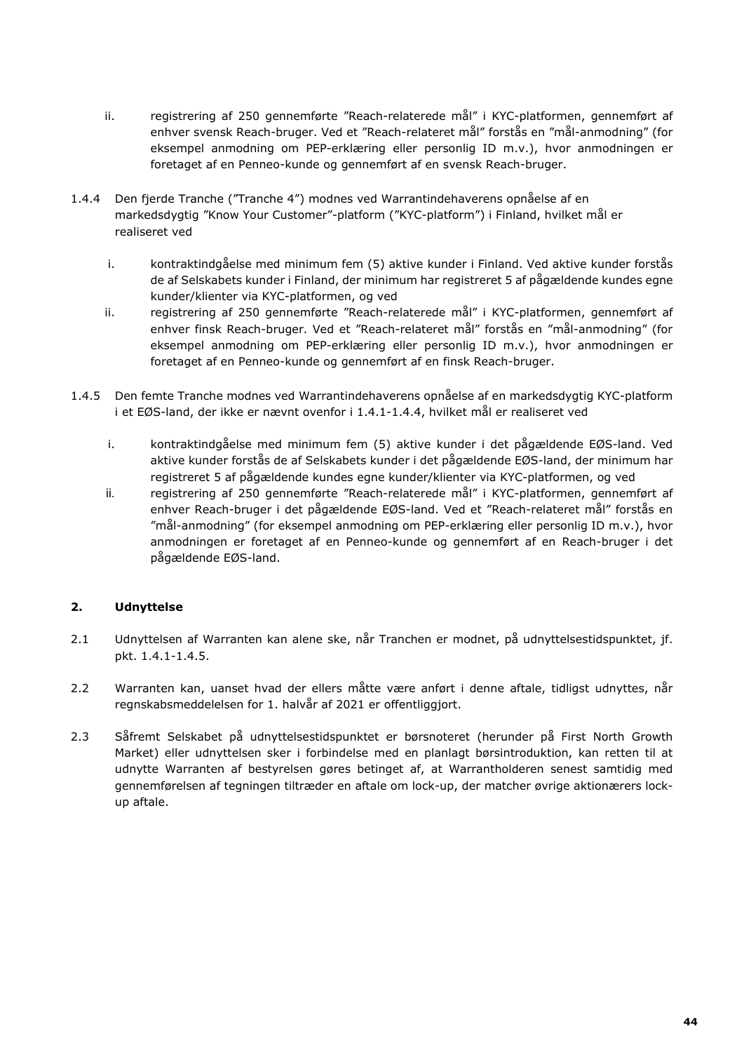- ii. registrering af 250 gennemførte "Reach-relaterede mål" i KYC-platformen, gennemført af enhver svensk Reach-bruger. Ved et "Reach-relateret mål" forstås en "mål-anmodning" (for eksempel anmodning om PEP-erklæring eller personlig ID m.v.), hvor anmodningen er foretaget af en Penneo-kunde og gennemført af en svensk Reach-bruger.
- 1.4.4 Den fjerde Tranche ("Tranche 4") modnes ved Warrantindehaverens opnåelse af en markedsdygtig "Know Your Customer"-platform ("KYC-platform") i Finland, hvilket mål er realiseret ved
	- i. kontraktindgåelse med minimum fem (5) aktive kunder i Finland. Ved aktive kunder forstås de af Selskabets kunder i Finland, der minimum har registreret 5 af pågældende kundes egne kunder/klienter via KYC-platformen, og ved
	- ii. registrering af 250 gennemførte "Reach-relaterede mål" i KYC-platformen, gennemført af enhver finsk Reach-bruger. Ved et "Reach-relateret mål" forstås en "mål-anmodning" (for eksempel anmodning om PEP-erklæring eller personlig ID m.v.), hvor anmodningen er foretaget af en Penneo-kunde og gennemført af en finsk Reach-bruger.
- 1.4.5 Den femte Tranche modnes ved Warrantindehaverens opnåelse af en markedsdygtig KYC-platform i et EØS-land, der ikke er nævnt ovenfor i 1.4.1-1.4.4, hvilket mål er realiseret ved
	- i. kontraktindgåelse med minimum fem (5) aktive kunder i det pågældende EØS-land. Ved aktive kunder forstås de af Selskabets kunder i det pågældende EØS-land, der minimum har registreret 5 af pågældende kundes egne kunder/klienter via KYC-platformen, og ved
	- ii. registrering af 250 gennemførte "Reach-relaterede mål" i KYC-platformen, gennemført af enhver Reach-bruger i det pågældende EØS-land. Ved et "Reach-relateret mål" forstås en "mål-anmodning" (for eksempel anmodning om PEP-erklæring eller personlig ID m.v.), hvor anmodningen er foretaget af en Penneo-kunde og gennemført af en Reach-bruger i det pågældende EØS-land.

# **2. Udnyttelse**

- 2.1 Udnyttelsen af Warranten kan alene ske, når Tranchen er modnet, på udnyttelsestidspunktet, jf. pkt. 1.4.1-1.4.5.
- 2.2 Warranten kan, uanset hvad der ellers måtte være anført i denne aftale, tidligst udnyttes, når regnskabsmeddelelsen for 1. halvår af 2021 er offentliggjort.
- 2.3 Såfremt Selskabet på udnyttelsestidspunktet er børsnoteret (herunder på First North Growth Market) eller udnyttelsen sker i forbindelse med en planlagt børsintroduktion, kan retten til at udnytte Warranten af bestyrelsen gøres betinget af, at Warrantholderen senest samtidig med gennemførelsen af tegningen tiltræder en aftale om lock-up, der matcher øvrige aktionærers lockup aftale.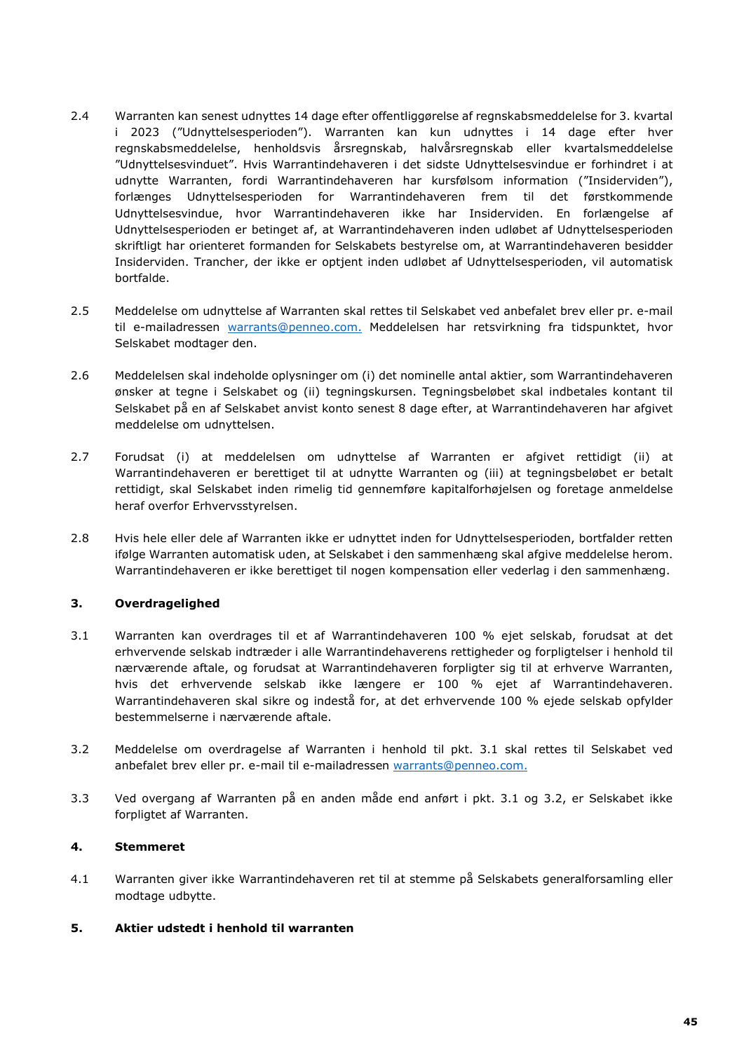- 2.4 Warranten kan senest udnyttes 14 dage efter offentliggørelse af regnskabsmeddelelse for 3. kvartal i 2023 ("Udnyttelsesperioden"). Warranten kan kun udnyttes i 14 dage efter hver regnskabsmeddelelse, henholdsvis årsregnskab, halvårsregnskab eller kvartalsmeddelelse "Udnyttelsesvinduet". Hvis Warrantindehaveren i det sidste Udnyttelsesvindue er forhindret i at udnytte Warranten, fordi Warrantindehaveren har kursfølsom information ("Insiderviden"), forlænges Udnyttelsesperioden for Warrantindehaveren frem til det førstkommende Udnyttelsesvindue, hvor Warrantindehaveren ikke har Insiderviden. En forlængelse af Udnyttelsesperioden er betinget af, at Warrantindehaveren inden udløbet af Udnyttelsesperioden skriftligt har orienteret formanden for Selskabets bestyrelse om, at Warrantindehaveren besidder Insiderviden. Trancher, der ikke er optjent inden udløbet af Udnyttelsesperioden, vil automatisk bortfalde.
- 2.5 Meddelelse om udnyttelse af Warranten skal rettes til Selskabet ved anbefalet brev eller pr. e-mail til e-mailadressen [warrants@penneo.com.](mailto:warrants@penneo.com.) Meddelelsen har retsvirkning fra tidspunktet, hvor Selskabet modtager den.
- 2.6 Meddelelsen skal indeholde oplysninger om (i) det nominelle antal aktier, som Warrantindehaveren ønsker at tegne i Selskabet og (ii) tegningskursen. Tegningsbeløbet skal indbetales kontant til Selskabet på en af Selskabet anvist konto senest 8 dage efter, at Warrantindehaveren har afgivet meddelelse om udnyttelsen.
- 2.7 Forudsat (i) at meddelelsen om udnyttelse af Warranten er afgivet rettidigt (ii) at Warrantindehaveren er berettiget til at udnytte Warranten og (iii) at tegningsbeløbet er betalt rettidigt, skal Selskabet inden rimelig tid gennemføre kapitalforhøjelsen og foretage anmeldelse heraf overfor Erhvervsstyrelsen.
- 2.8 Hvis hele eller dele af Warranten ikke er udnyttet inden for Udnyttelsesperioden, bortfalder retten ifølge Warranten automatisk uden, at Selskabet i den sammenhæng skal afgive meddelelse herom. Warrantindehaveren er ikke berettiget til nogen kompensation eller vederlag i den sammenhæng.

# **3. Overdragelighed**

- 3.1 Warranten kan overdrages til et af Warrantindehaveren 100 % ejet selskab, forudsat at det erhvervende selskab indtræder i alle Warrantindehaverens rettigheder og forpligtelser i henhold til nærværende aftale, og forudsat at Warrantindehaveren forpligter sig til at erhverve Warranten, hvis det erhvervende selskab ikke længere er 100 % ejet af Warrantindehaveren. Warrantindehaveren skal sikre og indestå for, at det erhvervende 100 % ejede selskab opfylder bestemmelserne i nærværende aftale.
- 3.2 Meddelelse om overdragelse af Warranten i henhold til pkt. 3.1 skal rettes til Selskabet ved anbefalet brev eller pr. e-mail til e-mailadressen warrants@penneo.com.
- 3.3 Ved overgang af Warranten på en anden måde end anført i pkt. 3.1 og 3.2, er Selskabet ikke forpligtet af Warranten.

# **4. Stemmeret**

- 4.1 Warranten giver ikke Warrantindehaveren ret til at stemme på Selskabets generalforsamling eller modtage udbytte.
- **5. Aktier udstedt i henhold til warranten**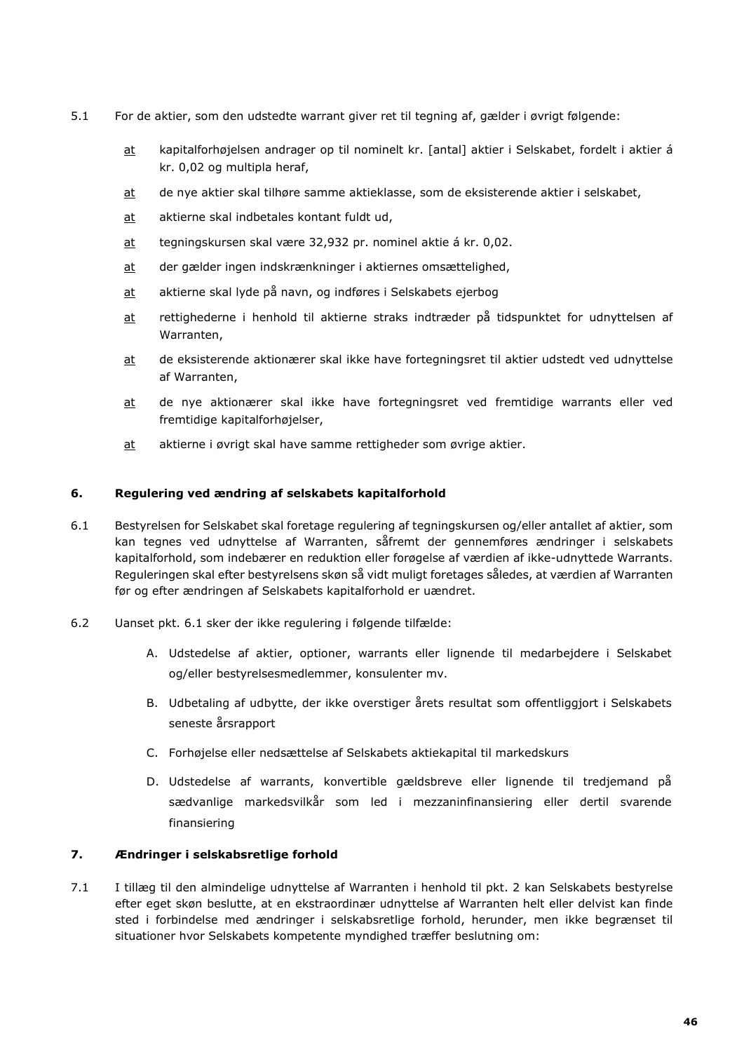- 5.1 For de aktier, som den udstedte warrant giver ret til tegning af, gælder i øvrigt følgende:
	- at kapitalforhøjelsen andrager op til nominelt kr. [antal] aktier i Selskabet, fordelt i aktier á kr. 0,02 og multipla heraf,
	- at de nye aktier skal tilhøre samme aktieklasse, som de eksisterende aktier i selskabet,
	- at aktierne skal indbetales kontant fuldt ud,
	- at tegningskursen skal være 32,932 pr. nominel aktie á kr. 0,02.
	- at der gælder ingen indskrænkninger i aktiernes omsættelighed,
	- at aktierne skal lyde på navn, og indføres i Selskabets ejerbog
	- at rettighederne i henhold til aktierne straks indtræder på tidspunktet for udnyttelsen af Warranten,
	- at de eksisterende aktionærer skal ikke have fortegningsret til aktier udstedt ved udnyttelse af Warranten,
	- at de nye aktionærer skal ikke have fortegningsret ved fremtidige warrants eller ved fremtidige kapitalforhøjelser,
	- at aktierne i øvrigt skal have samme rettigheder som øvrige aktier.

# **6. Regulering ved ændring af selskabets kapitalforhold**

- 6.1 Bestyrelsen for Selskabet skal foretage regulering af tegningskursen og/eller antallet af aktier, som kan tegnes ved udnyttelse af Warranten, såfremt der gennemføres ændringer i selskabets kapitalforhold, som indebærer en reduktion eller forøgelse af værdien af ikke-udnyttede Warrants. Reguleringen skal efter bestyrelsens skøn så vidt muligt foretages således, at værdien af Warranten før og efter ændringen af Selskabets kapitalforhold er uændret.
- 6.2 Uanset pkt. 6.1 sker der ikke regulering i følgende tilfælde:
	- A. Udstedelse af aktier, optioner, warrants eller lignende til medarbejdere i Selskabet og/eller bestyrelsesmedlemmer, konsulenter mv.
	- B. Udbetaling af udbytte, der ikke overstiger årets resultat som offentliggjort i Selskabets seneste årsrapport
	- C. Forhøjelse eller nedsættelse af Selskabets aktiekapital til markedskurs
	- D. Udstedelse af warrants, konvertible gældsbreve eller lignende til tredjemand på sædvanlige markedsvilkår som led i mezzaninfinansiering eller dertil svarende finansiering

# **7. Ændringer i selskabsretlige forhold**

7.1 I tillæg til den almindelige udnyttelse af Warranten i henhold til pkt. 2 kan Selskabets bestyrelse efter eget skøn beslutte, at en ekstraordinær udnyttelse af Warranten helt eller delvist kan finde sted i forbindelse med ændringer i selskabsretlige forhold, herunder, men ikke begrænset til situationer hvor Selskabets kompetente myndighed træffer beslutning om: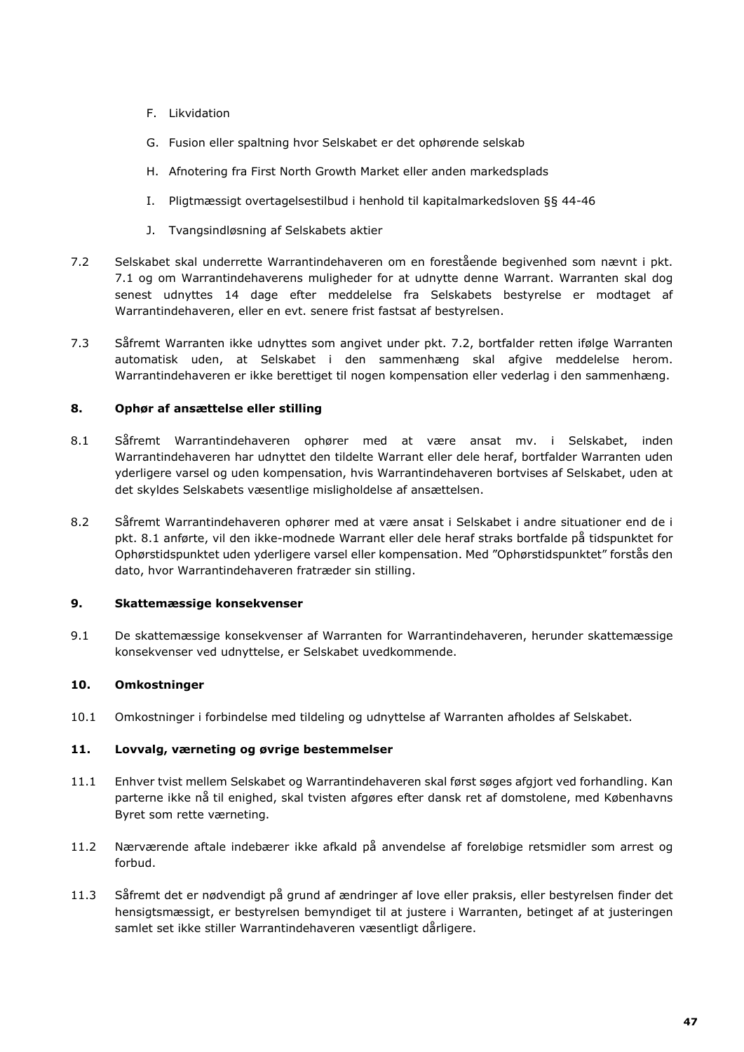- F. Likvidation
- G. Fusion eller spaltning hvor Selskabet er det ophørende selskab
- H. Afnotering fra First North Growth Market eller anden markedsplads
- I. Pligtmæssigt overtagelsestilbud i henhold til kapitalmarkedsloven §§ 44-46
- J. Tvangsindløsning af Selskabets aktier
- 7.2 Selskabet skal underrette Warrantindehaveren om en forestående begivenhed som nævnt i pkt. 7.1 og om Warrantindehaverens muligheder for at udnytte denne Warrant. Warranten skal dog senest udnyttes 14 dage efter meddelelse fra Selskabets bestyrelse er modtaget af Warrantindehaveren, eller en evt. senere frist fastsat af bestyrelsen.
- 7.3 Såfremt Warranten ikke udnyttes som angivet under pkt. 7.2, bortfalder retten ifølge Warranten automatisk uden, at Selskabet i den sammenhæng skal afgive meddelelse herom. Warrantindehaveren er ikke berettiget til nogen kompensation eller vederlag i den sammenhæng.

# **8. Ophør af ansættelse eller stilling**

- 8.1 Såfremt Warrantindehaveren ophører med at være ansat mv. i Selskabet, inden Warrantindehaveren har udnyttet den tildelte Warrant eller dele heraf, bortfalder Warranten uden yderligere varsel og uden kompensation, hvis Warrantindehaveren bortvises af Selskabet, uden at det skyldes Selskabets væsentlige misligholdelse af ansættelsen.
- 8.2 Såfremt Warrantindehaveren ophører med at være ansat i Selskabet i andre situationer end de i pkt. 8.1 anførte, vil den ikke-modnede Warrant eller dele heraf straks bortfalde på tidspunktet for Ophørstidspunktet uden yderligere varsel eller kompensation. Med "Ophørstidspunktet" forstås den dato, hvor Warrantindehaveren fratræder sin stilling.

# **9. Skattemæssige konsekvenser**

9.1 De skattemæssige konsekvenser af Warranten for Warrantindehaveren, herunder skattemæssige konsekvenser ved udnyttelse, er Selskabet uvedkommende.

# **10. Omkostninger**

10.1 Omkostninger i forbindelse med tildeling og udnyttelse af Warranten afholdes af Selskabet.

# **11. Lovvalg, værneting og øvrige bestemmelser**

- 11.1 Enhver tvist mellem Selskabet og Warrantindehaveren skal først søges afgjort ved forhandling. Kan parterne ikke nå til enighed, skal tvisten afgøres efter dansk ret af domstolene, med Københavns Byret som rette værneting.
- 11.2 Nærværende aftale indebærer ikke afkald på anvendelse af foreløbige retsmidler som arrest og forbud.
- 11.3 Såfremt det er nødvendigt på grund af ændringer af love eller praksis, eller bestyrelsen finder det hensigtsmæssigt, er bestyrelsen bemyndiget til at justere i Warranten, betinget af at justeringen samlet set ikke stiller Warrantindehaveren væsentligt dårligere.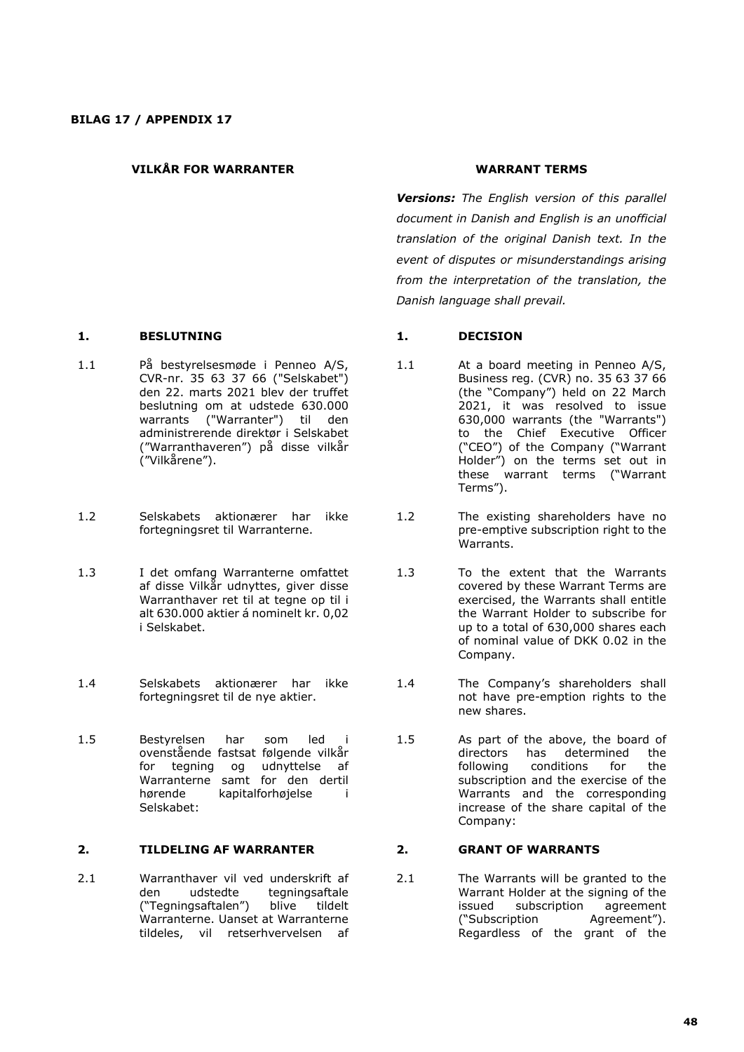## **VILKÅR FOR WARRANTER WARRANT TERMS**

# **1. BESLUTNING 1. DECISION**

- 1.1 På bestyrelsesmøde i Penneo A/S, CVR-nr. 35 63 37 66 ("Selskabet") den 22. marts 2021 blev der truffet beslutning om at udstede 630.000 warrants ("Warranter") til den administrerende direktør i Selskabet ("Warranthaveren") på disse vilkår ("Vilkårene").
- 1.2 Selskabets aktionærer har ikke fortegningsret til Warranterne.
- 1.3 I det omfang Warranterne omfattet af disse Vilkår udnyttes, giver disse Warranthaver ret til at tegne op til i alt 630.000 aktier á nominelt kr. 0,02 i Selskabet.
- 1.4 Selskabets aktionærer har ikke fortegningsret til de nye aktier.
- 1.5 Bestyrelsen har som led i ovenstående fastsat følgende vilkår for tegning og udnyttelse af Warranterne samt for den dertil<br>hørende kapitalforhøjelse i kapitalforhøjelse i Selskabet:

## **2. TILDELING AF WARRANTER 2. GRANT OF WARRANTS**

2.1 Warranthaver vil ved underskrift af den udstedte tegningsaftale ("Tegningsaftalen") blive tildelt Warranterne. Uanset at Warranterne tildeles, vil retserhvervelsen af

*Versions: The English version of this parallel document in Danish and English is an unofficial translation of the original Danish text. In the event of disputes or misunderstandings arising from the interpretation of the translation, the Danish language shall prevail.*

- 1.1 At a board meeting in Penneo A/S, Business reg. (CVR) no. 35 63 37 66 (the "Company") held on 22 March 2021, it was resolved to issue 630,000 warrants (the "Warrants") to the Chief Executive Officer ("CEO") of the Company ("Warrant Holder") on the terms set out in these warrant terms ("Warrant Terms").
- 1.2 The existing shareholders have no pre-emptive subscription right to the Warrants.
- 1.3 To the extent that the Warrants covered by these Warrant Terms are exercised, the Warrants shall entitle the Warrant Holder to subscribe for up to a total of 630,000 shares each of nominal value of DKK 0.02 in the Company.
- 1.4 The Company's shareholders shall not have pre-emption rights to the new shares.
- 1.5 As part of the above, the board of directors has determined the following conditions for the subscription and the exercise of the Warrants and the corresponding increase of the share capital of the Company:

2.1 The Warrants will be granted to the Warrant Holder at the signing of the issued subscription agreement ("Subscription Agreement"). Regardless of the grant of the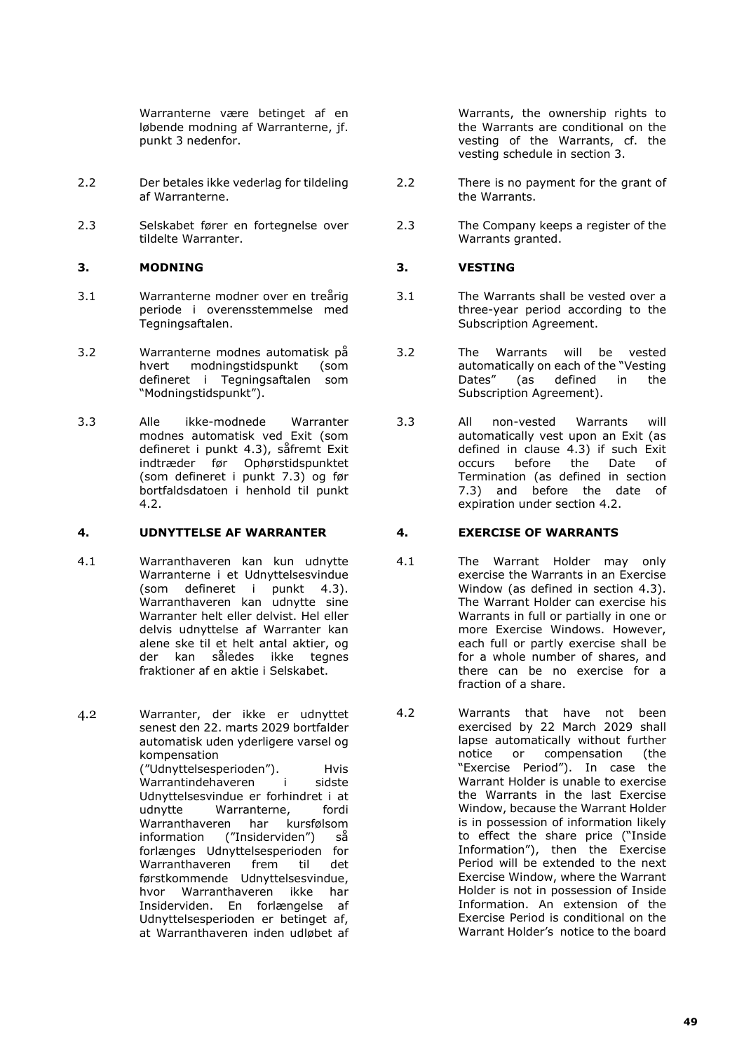Warranterne være betinget af en løbende modning af Warranterne, jf. punkt 3 nedenfor.

- 2.2 Der betales ikke vederlag for tildeling af Warranterne.
- 2.3 Selskabet fører en fortegnelse over tildelte Warranter.

# **3. MODNING 3. VESTING**

- 3.1 Warranterne modner over en treårig periode i overensstemmelse med Tegningsaftalen.
- 3.2 Warranterne modnes automatisk på modningstidspunkt (som defineret i Tegningsaftalen som "Modningstidspunkt").
- 3.3 Alle ikke-modnede Warranter modnes automatisk ved Exit (som defineret i punkt 4.3), såfremt Exit indtræder før Ophørstidspunktet (som defineret i punkt 7.3) og før bortfaldsdatoen i henhold til punkt 4.2.

### **4. UDNYTTELSE AF WARRANTER 4. EXERCISE OF WARRANTS**

4.1 Warranthaveren kan kun udnytte Warranterne i et Udnyttelsesvindue (som defineret i punkt 4.3). Warranthaveren kan udnytte sine Warranter helt eller delvist. Hel eller delvis udnyttelse af Warranter kan alene ske til et helt antal aktier, og der kan således ikke tegnes fraktioner af en aktie i Selskabet.

4.2 Warranter, der ikke er udnyttet senest den 22. marts 2029 bortfalder automatisk uden yderligere varsel og kompensation ("Udnyttelsesperioden"). Hvis Warrantindehaveren i sidste Udnyttelsesvindue er forhindret i at udnytte Warranterne, fordi Warranthaveren har kursfølsom information ("Insiderviden") så forlænges Udnyttelsesperioden for<br>Warranthaveren frem til det Warranthaveren frem førstkommende Udnyttelsesvindue, hvor Warranthaveren ikke har Insiderviden. En forlængelse af Udnyttelsesperioden er betinget af, at Warranthaveren inden udløbet af

Warrants, the ownership rights to the Warrants are conditional on the vesting of the Warrants, cf. the vesting schedule in section 3.

- 2.2 There is no payment for the grant of the Warrants.
- 2.3 The Company keeps a register of the Warrants granted.

- 3.1 The Warrants shall be vested over a three-year period according to the Subscription Agreement.
- 3.2 The Warrants will be vested automatically on each of the "Vesting Dates" (as defined in the Subscription Agreement).
- 3.3 All non-vested Warrants will automatically vest upon an Exit (as defined in clause 4.3) if such Exit occurs before the Date of Termination (as defined in section 7.3) and before the date of expiration under section 4.2.

- 4.1 The Warrant Holder may only exercise the Warrants in an Exercise Window (as defined in section 4.3). The Warrant Holder can exercise his Warrants in full or partially in one or more Exercise Windows. However, each full or partly exercise shall be for a whole number of shares, and there can be no exercise for a fraction of a share.
- 4.2 Warrants that have not been exercised by 22 March 2029 shall lapse automatically without further notice or compensation (the "Exercise Period"). In case the Warrant Holder is unable to exercise the Warrants in the last Exercise Window, because the Warrant Holder is in possession of information likely to effect the share price ("Inside Information"), then the Exercise Period will be extended to the next Exercise Window, where the Warrant Holder is not in possession of Inside Information. An extension of the Exercise Period is conditional on the Warrant Holder's notice to the board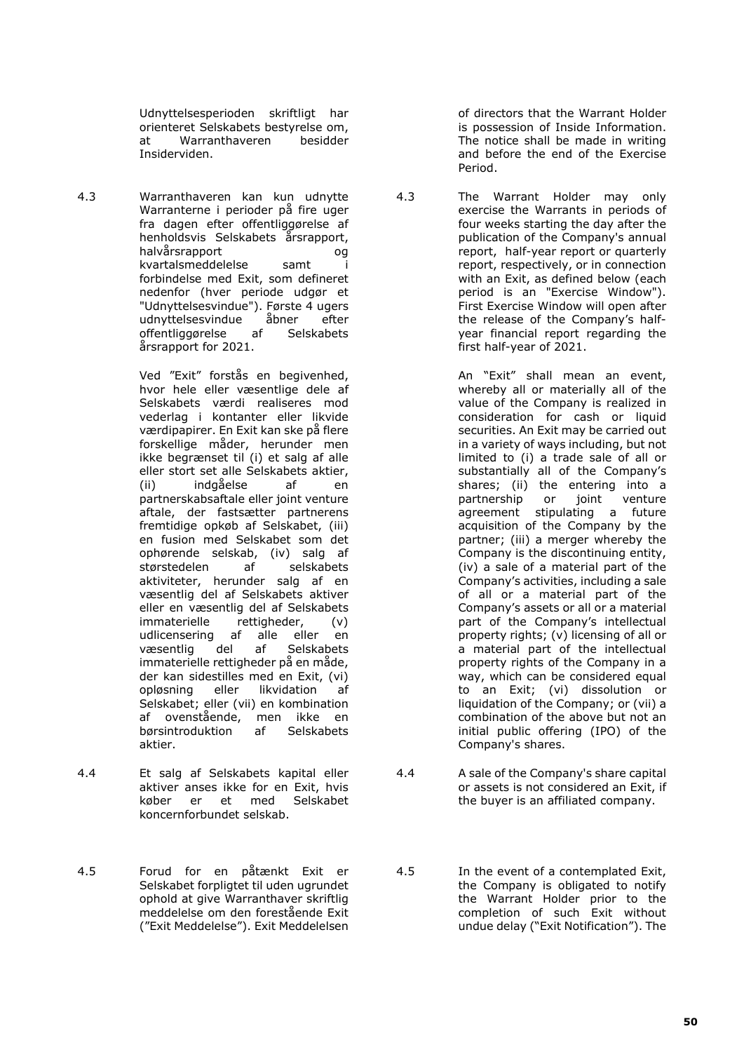Udnyttelsesperioden skriftligt har orienteret Selskabets bestyrelse om, at Warranthaveren besidder Insiderviden.

4.3 Warranthaveren kan kun udnytte Warranterne i perioder på fire uger fra dagen efter offentliggørelse af henholdsvis Selskabets årsrapport, halvårsrapport og kvartalsmeddelelse samt i forbindelse med Exit, som defineret nedenfor (hver periode udgør et "Udnyttelsesvindue"). Første 4 ugers udnyttelsesvindue åbner efter<br>offentliggørelse af Selskabets offentliggørelse af Selskabets årsrapport for 2021.

> Ved "Exit" forstås en begivenhed, hvor hele eller væsentlige dele af Selskabets værdi realiseres mod vederlag i kontanter eller likvide værdipapirer. En Exit kan ske på flere forskellige måder, herunder men ikke begrænset til (i) et salg af alle eller stort set alle Selskabets aktier,<br>(ii) indgåelse af en indgåelse af en partnerskabsaftale eller joint venture aftale, der fastsætter partnerens fremtidige opkøb af Selskabet, (iii) en fusion med Selskabet som det ophørende selskab, (iv) salg af størstedelen af selskabets aktiviteter, herunder salg af en væsentlig del af Selskabets aktiver eller en væsentlig del af Selskabets<br>immaterielle rettigheder. (v) immaterielle rettigheder, (v)<br>udlicensering af alle eller en udlicensering af alle eller en<br>væsentlig del af Selskabets Selskabets immaterielle rettigheder på en måde, der kan sidestilles med en Exit, (vi) opløsning eller likvidation af Selskabet; eller (vii) en kombination af ovenstående, men ikke en<br>børsintroduktion af Selskabets børsintroduktion aktier.

- 4.4 Et salg af Selskabets kapital eller aktiver anses ikke for en Exit, hvis køber er et med Selskabet koncernforbundet selskab.
- 4.5 Forud for en påtænkt Exit er Selskabet forpligtet til uden ugrundet ophold at give Warranthaver skriftlig meddelelse om den forestående Exit ("Exit Meddelelse"). Exit Meddelelsen

of directors that the Warrant Holder is possession of Inside Information. The notice shall be made in writing and before the end of the Exercise Period.

4.3 The Warrant Holder may only exercise the Warrants in periods of four weeks starting the day after the publication of the Company's annual report, half-year report or quarterly report, respectively, or in connection with an Exit, as defined below (each period is an "Exercise Window"). First Exercise Window will open after the release of the Company's halfyear financial report regarding the first half-year of 2021.

> An "Exit" shall mean an event, whereby all or materially all of the value of the Company is realized in consideration for cash or liquid securities. An Exit may be carried out in a variety of ways including, but not limited to (i) a trade sale of all or substantially all of the Company's shares; (ii) the entering into a partnership or joint venture agreement stipulating a future acquisition of the Company by the partner; (iii) a merger whereby the Company is the discontinuing entity, (iv) a sale of a material part of the Company's activities, including a sale of all or a material part of the Company's assets or all or a material part of the Company's intellectual property rights; (v) licensing of all or a material part of the intellectual property rights of the Company in a way, which can be considered equal to an Exit; (vi) dissolution or liquidation of the Company; or (vii) a combination of the above but not an initial public offering (IPO) of the Company's shares.

- 4.4 A sale of the Company's share capital or assets is not considered an Exit, if the buyer is an affiliated company.
- 4.5 In the event of a contemplated Exit, the Company is obligated to notify the Warrant Holder prior to the completion of such Exit without undue delay ("Exit Notification"). The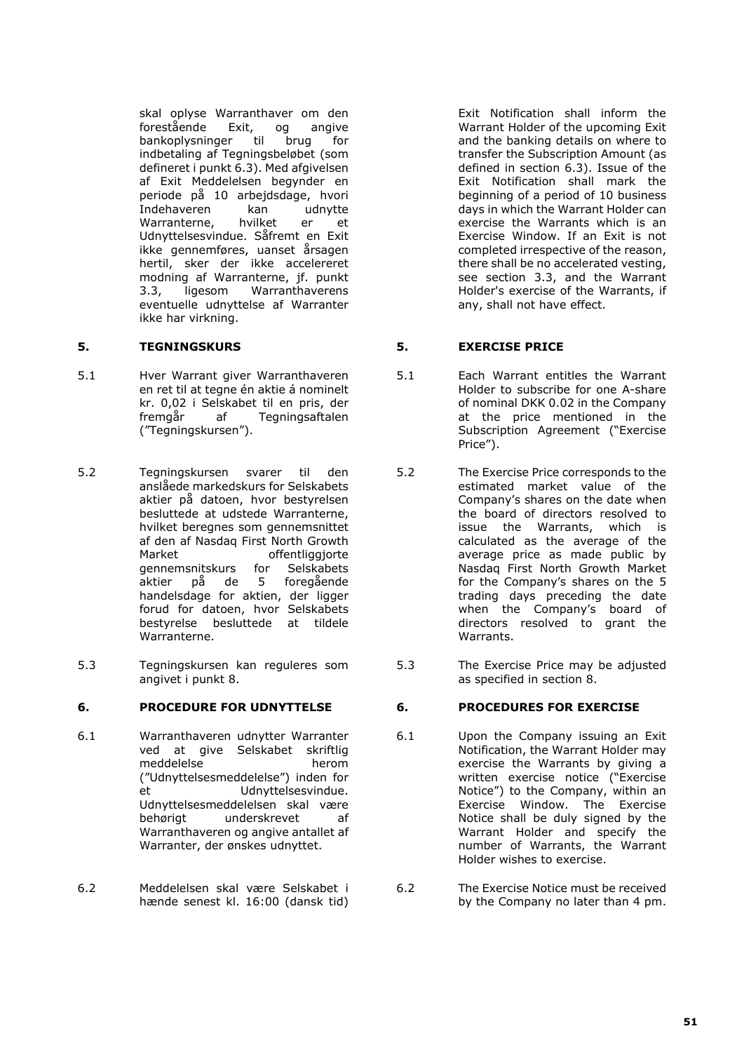skal oplyse Warranthaver om den forestående Exit, og angive bankoplysninger til brug for indbetaling af Tegningsbeløbet (som defineret i punkt 6.3). Med afgivelsen af Exit Meddelelsen begynder en periode på 10 arbejdsdage, hvori Indehaveren kan udnytte<br>Warranterne hvilket er et Warranterne, hvilket er et Udnyttelsesvindue. Såfremt en Exit ikke gennemføres, uanset årsagen hertil, sker der ikke accelereret modning af Warranterne, jf. punkt 3.3, ligesom Warranthaverens eventuelle udnyttelse af Warranter ikke har virkning.

- 5.1 Hver Warrant giver Warranthaveren en ret til at tegne én aktie á nominelt kr. 0,02 i Selskabet til en pris, der fremgår af Tegningsaftalen ("Tegningskursen").
- 5.2 Tegningskursen svarer til den anslåede markedskurs for Selskabets aktier på datoen, hvor bestyrelsen besluttede at udstede Warranterne, hvilket beregnes som gennemsnittet af den af Nasdaq First North Growth Market offentliggjorte<br>gennemsnitskurs for Selskabets gennemsnitskurs aktier på de 5 foregående handelsdage for aktien, der ligger forud for datoen, hvor Selskabets bestyrelse besluttede at tildele Warranterne.
- 5.3 Tegningskursen kan reguleres som angivet i punkt 8.

### **6. PROCEDURE FOR UDNYTTELSE 6. PROCEDURES FOR EXERCISE**

- 6.1 Warranthaveren udnytter Warranter ved at give Selskabet skriftlig meddelelse herom ("Udnyttelsesmeddelelse") inden for et Udnyttelsesvindue. Udnyttelsesmeddelelsen skal være<br>hehørigt underskrevet af underskrevet af Warranthaveren og angive antallet af Warranter, der ønskes udnyttet.
- 6.2 Meddelelsen skal være Selskabet i hænde senest kl. 16:00 (dansk tid)

Exit Notification shall inform the Warrant Holder of the upcoming Exit and the banking details on where to transfer the Subscription Amount (as defined in section 6.3). Issue of the Exit Notification shall mark the beginning of a period of 10 business days in which the Warrant Holder can exercise the Warrants which is an Exercise Window. If an Exit is not completed irrespective of the reason, there shall be no accelerated vesting, see section 3.3, and the Warrant Holder's exercise of the Warrants, if any, shall not have effect.

# **5. TEGNINGSKURS 5. EXERCISE PRICE**

- 5.1 Each Warrant entitles the Warrant Holder to subscribe for one A-share of nominal DKK 0.02 in the Company at the price mentioned in the Subscription Agreement ("Exercise Price").
- 5.2 The Exercise Price corresponds to the estimated market value of the Company's shares on the date when the board of directors resolved to issue the Warrants, which is calculated as the average of the average price as made public by Nasdaq First North Growth Market for the Company's shares on the 5 trading days preceding the date when the Company's board of directors resolved to grant the Warrants.
- 5.3 The Exercise Price may be adjusted as specified in section 8.

- 6.1 Upon the Company issuing an Exit Notification, the Warrant Holder may exercise the Warrants by giving a written exercise notice ("Exercise Notice") to the Company, within an Exercise Window. The Exercise Notice shall be duly signed by the Warrant Holder and specify the number of Warrants, the Warrant Holder wishes to exercise.
- 6.2 The Exercise Notice must be received by the Company no later than 4 pm.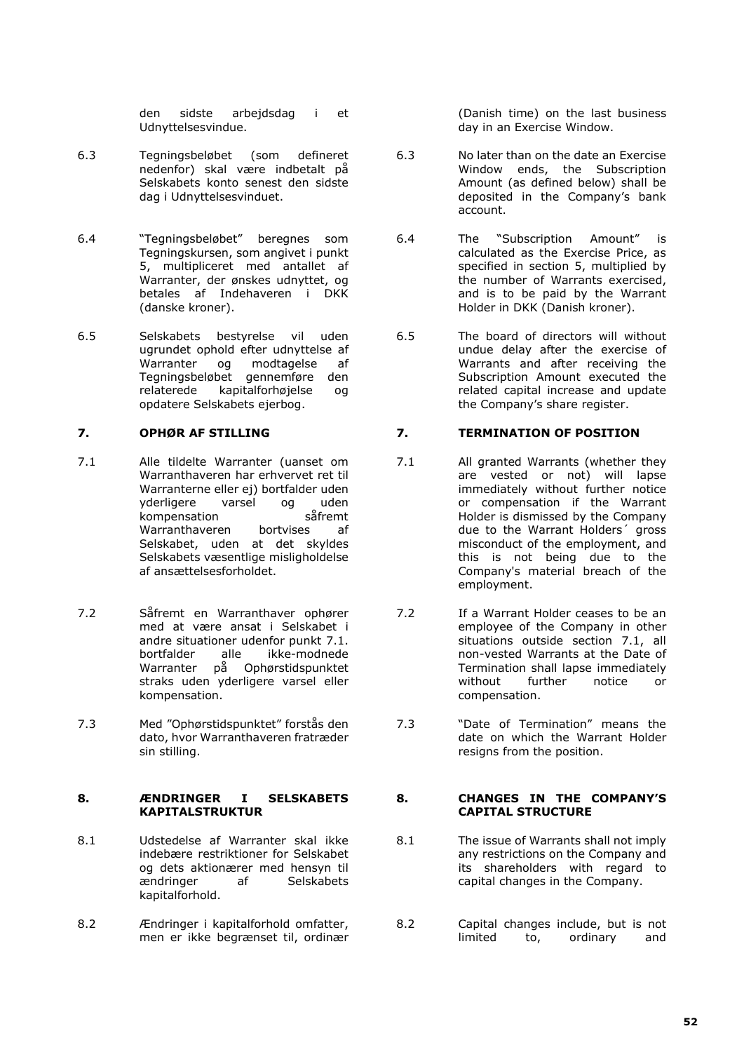den sidste arbejdsdag i et Udnyttelsesvindue.

- 6.3 Tegningsbeløbet (som defineret nedenfor) skal være indbetalt på Selskabets konto senest den sidste dag i Udnyttelsesvinduet.
- 6.4 "Tegningsbeløbet" beregnes som Tegningskursen, som angivet i punkt 5, multipliceret med antallet af Warranter, der ønskes udnyttet, og betales af Indehaveren i DKK (danske kroner).
- 6.5 Selskabets bestyrelse vil uden ugrundet ophold efter udnyttelse af<br>Warranter og modtagelse af og modtagelse af Tegningsbeløbet gennemføre den relaterede kapitalforhøjelse og opdatere Selskabets ejerbog.

- 7.1 Alle tildelte Warranter (uanset om Warranthaveren har erhvervet ret til Warranterne eller ej) bortfalder uden<br>vderligere varsel og uden varsel og uden<br>n såfremt kompensation så<br>Warranthaveren bortvises Warranthaveren bortvises af Selskabet, uden at det skyldes Selskabets væsentlige misligholdelse af ansættelsesforholdet.
- 7.2 Såfremt en Warranthaver ophører med at være ansat i Selskabet i andre situationer udenfor punkt 7.1.<br>bortfalder alle ikke-modnede ikke-modnede Warranter på Ophørstidspunktet straks uden yderligere varsel eller kompensation.
- 7.3 Med "Ophørstidspunktet" forstås den dato, hvor Warranthaveren fratræder sin stilling.

### **8. ÆNDRINGER I SELSKABETS KAPITALSTRUKTUR**

- 8.1 Udstedelse af Warranter skal ikke indebære restriktioner for Selskabet og dets aktionærer med hensyn til<br>ændringer af Selskabets Selskabets kapitalforhold.
- 8.2 Ændringer i kapitalforhold omfatter, men er ikke begrænset til, ordinær

(Danish time) on the last business day in an Exercise Window.

- 6.3 No later than on the date an Exercise Window ends, the Subscription Amount (as defined below) shall be deposited in the Company's bank account.
- 6.4 The "Subscription Amount" is calculated as the Exercise Price, as specified in section 5, multiplied by the number of Warrants exercised, and is to be paid by the Warrant Holder in DKK (Danish kroner).
- 6.5 The board of directors will without undue delay after the exercise of Warrants and after receiving the Subscription Amount executed the related capital increase and update the Company's share register.

# **7. OPHØR AF STILLING 7. TERMINATION OF POSITION**

- 7.1 All granted Warrants (whether they are vested or not) will lapse immediately without further notice or compensation if the Warrant Holder is dismissed by the Company due to the Warrant Holders´ gross misconduct of the employment, and this is not being due to the Company's material breach of the employment.
- 7.2 If a Warrant Holder ceases to be an employee of the Company in other situations outside section 7.1, all non-vested Warrants at the Date of Termination shall lapse immediately<br>without further notice or further notice or compensation.
- 7.3 "Date of Termination" means the date on which the Warrant Holder resigns from the position.

## **8. CHANGES IN THE COMPANY'S CAPITAL STRUCTURE**

- 8.1 The issue of Warrants shall not imply any restrictions on the Company and its shareholders with regard to capital changes in the Company.
- 8.2 Capital changes include, but is not<br>limited to, ordinary and to, ordinary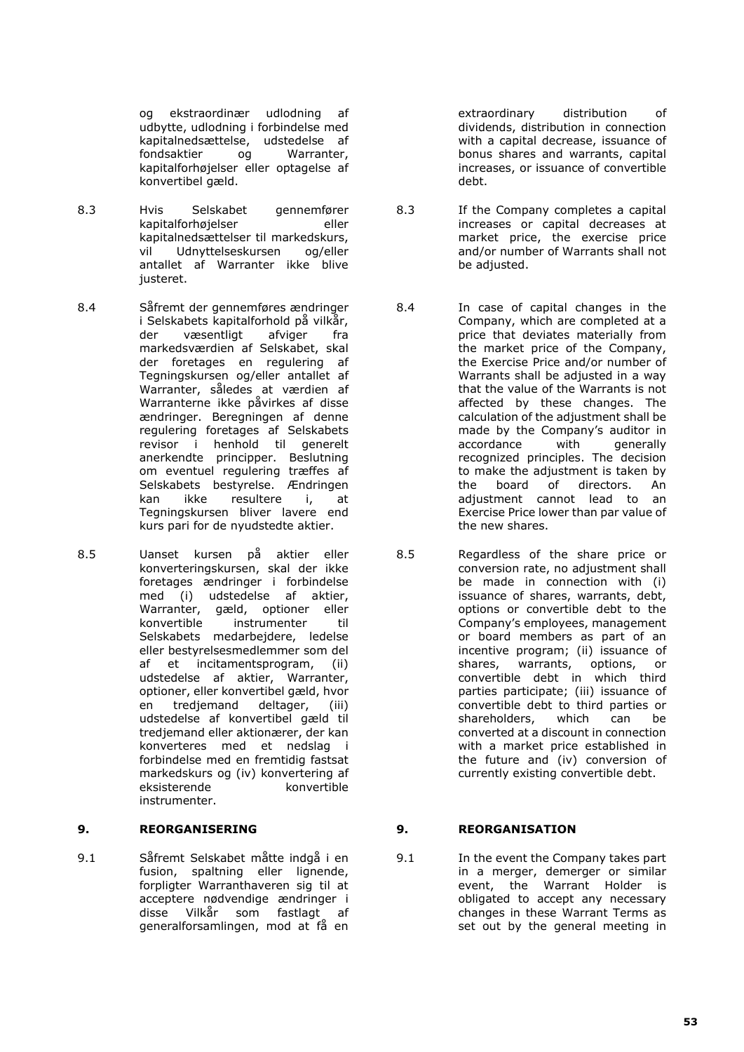og ekstraordinær udlodning af udbytte, udlodning i forbindelse med kapitalnedsættelse, udstedelse af fondsaktier og Warranter, kapitalforhøjelser eller optagelse af konvertibel gæld.

- 8.3 Hvis Selskabet gennemfører kapitalforhøjelser eller kapitalnedsættelser til markedskurs, vil Udnyttelseskursen og/eller antallet af Warranter ikke blive justeret.
- 8.4 Såfremt der gennemføres ændringer i Selskabets kapitalforhold på vilkår, der væsentligt afviger fra markedsværdien af Selskabet, skal der foretages en regulering af Tegningskursen og/eller antallet af Warranter, således at værdien af Warranterne ikke påvirkes af disse ændringer. Beregningen af denne regulering foretages af Selskabets revisor i henhold til generelt anerkendte principper. Beslutning om eventuel regulering træffes af Selskabets bestyrelse. Ændringen<br>kan ikke resultere i. at kan ikke resultere i, Tegningskursen bliver lavere end kurs pari for de nyudstedte aktier.
- 8.5 Uanset kursen på aktier eller konverteringskursen, skal der ikke foretages ændringer i forbindelse med (i) udstedelse af aktier, Warranter, gæld, optioner eller konvertible instrumenter til Selskabets medarbejdere, ledelse eller bestyrelsesmedlemmer som del af et incitamentsprogram, (ii) udstedelse af aktier, Warranter, optioner, eller konvertibel gæld, hvor<br>en tredjemand deltager, (iii) en tredjemand deltager, (iii) udstedelse af konvertibel gæld til tredjemand eller aktionærer, der kan konverteres med et nedslag i forbindelse med en fremtidig fastsat markedskurs og (iv) konvertering af<br>eksisterende konvertible konvertible instrumenter.

# **9. REORGANISERING 9. REORGANISATION**

9.1 Såfremt Selskabet måtte indgå i en fusion, spaltning eller lignende, forpligter Warranthaveren sig til at acceptere nødvendige ændringer i disse Vilkår som fastlagt af generalforsamlingen, mod at få en extraordinary distribution of dividends, distribution in connection with a capital decrease, issuance of bonus shares and warrants, capital increases, or issuance of convertible debt.

- 8.3 If the Company completes a capital increases or capital decreases at market price, the exercise price and/or number of Warrants shall not be adjusted.
- 8.4 In case of capital changes in the Company, which are completed at a price that deviates materially from the market price of the Company, the Exercise Price and/or number of Warrants shall be adjusted in a way that the value of the Warrants is not affected by these changes. The calculation of the adjustment shall be made by the Company's auditor in<br>accordance with generally accordance with generally recognized principles. The decision to make the adjustment is taken by<br>the board of directors. An the board  $\overline{0}$  of directors. adjustment cannot lead to an Exercise Price lower than par value of the new shares.
- 8.5 Regardless of the share price or conversion rate, no adjustment shall be made in connection with (i) issuance of shares, warrants, debt, options or convertible debt to the Company's employees, management or board members as part of an incentive program; (ii) issuance of shares, warrants, options, or convertible debt in which third parties participate; (iii) issuance of convertible debt to third parties or shareholders, which can be converted at a discount in connection with a market price established in the future and (iv) conversion of currently existing convertible debt.

9.1 In the event the Company takes part in a merger, demerger or similar event, the Warrant Holder is obligated to accept any necessary changes in these Warrant Terms as set out by the general meeting in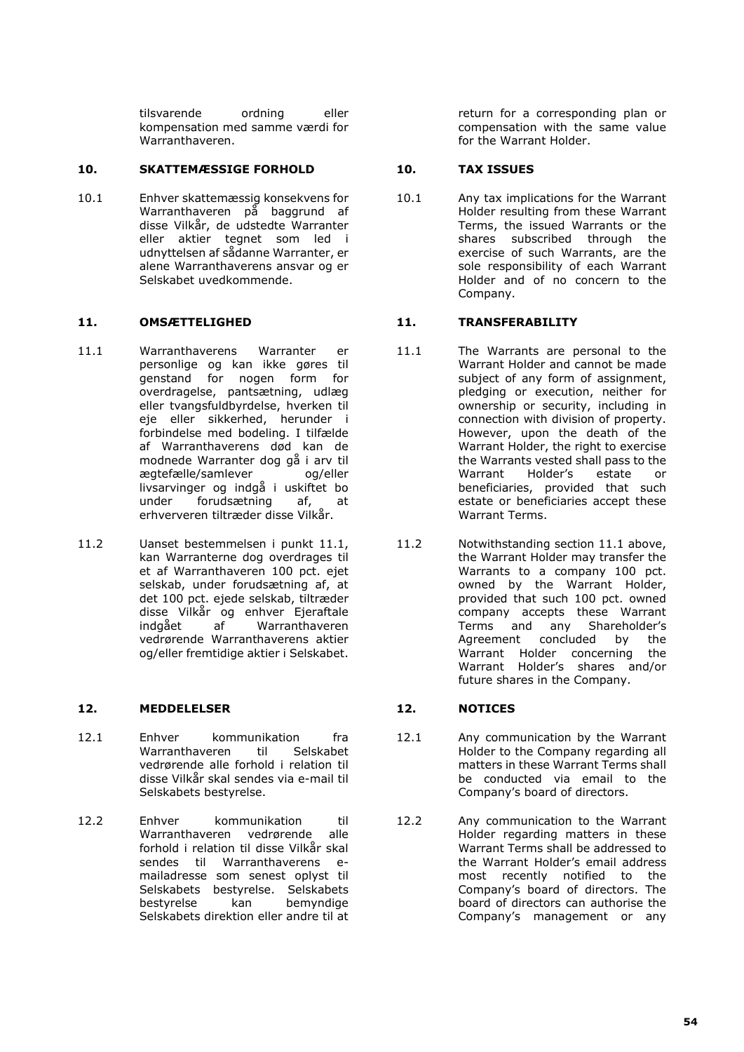tilsvarende ordning eller kompensation med samme værdi for Warranthaveren.

## **10. SKATTEMÆSSIGE FORHOLD 10. TAX ISSUES**

10.1 Enhver skattemæssig konsekvens for Warranthaveren på baggrund af disse Vilkår, de udstedte Warranter eller aktier tegnet som led i udnyttelsen af sådanne Warranter, er alene Warranthaverens ansvar og er Selskabet uvedkommende.

- 11.1 Warranthaverens Warranter er personlige og kan ikke gøres til genstand for nogen form for overdragelse, pantsætning, udlæg eller tvangsfuldbyrdelse, hverken til eje eller sikkerhed, herunder i forbindelse med bodeling. I tilfælde af Warranthaverens død kan de modnede Warranter dog gå i arv til<br>matefælle/samlever og/eller ægtefælle/samlever livsarvinger og indgå i uskiftet bo under forudsætning af, at erhververen tiltræder disse Vilkår.
- 11.2 Uanset bestemmelsen i punkt 11.1, kan Warranterne dog overdrages til et af Warranthaveren 100 pct. ejet selskab, under forudsætning af, at det 100 pct. ejede selskab, tiltræder disse Vilkår og enhver Ejeraftale<br>indgået – af Warranthaveren Warranthaveren vedrørende Warranthaverens aktier og/eller fremtidige aktier i Selskabet.

### **12. MEDDELELSER 12. NOTICES**

- 12.1 Enhver kommunikation fra Warranthaveren til Selskabet vedrørende alle forhold i relation til disse Vilkår skal sendes via e-mail til Selskabets bestyrelse.
- 12.2 Enhver kommunikation til Warranthaveren vedrørende alle forhold i relation til disse Vilkår skal sendes til Warranthaverens emailadresse som senest oplyst til Selskabets bestyrelse. Selskabets<br>bestyrelse kan bemyndige bemyndige Selskabets direktion eller andre til at

return for a corresponding plan or compensation with the same value for the Warrant Holder.

10.1 Any tax implications for the Warrant Holder resulting from these Warrant Terms, the issued Warrants or the shares subscribed through the exercise of such Warrants, are the sole responsibility of each Warrant Holder and of no concern to the Company.

## **11. OMSÆTTELIGHED 11. TRANSFERABILITY**

- 11.1 The Warrants are personal to the Warrant Holder and cannot be made subject of any form of assignment, pledging or execution, neither for ownership or security, including in connection with division of property. However, upon the death of the Warrant Holder, the right to exercise the Warrants vested shall pass to the<br>Warrant Holder's estate or Holder's estate or beneficiaries, provided that such estate or beneficiaries accept these Warrant Terms.
- 11.2 Notwithstanding section 11.1 above, the Warrant Holder may transfer the Warrants to a company 100 pct. owned by the Warrant Holder, provided that such 100 pct. owned company accepts these Warrant Terms and any Shareholder's<br>Agreement concluded by the Agreement concluded by the Warrant Holder concerning the Warrant Holder's shares and/or future shares in the Company.

- 12.1 Any communication by the Warrant Holder to the Company regarding all matters in these Warrant Terms shall be conducted via email to the Company's board of directors.
- 12.2 Any communication to the Warrant Holder regarding matters in these Warrant Terms shall be addressed to the Warrant Holder's email address most recently notified to the Company's board of directors. The board of directors can authorise the Company's management or any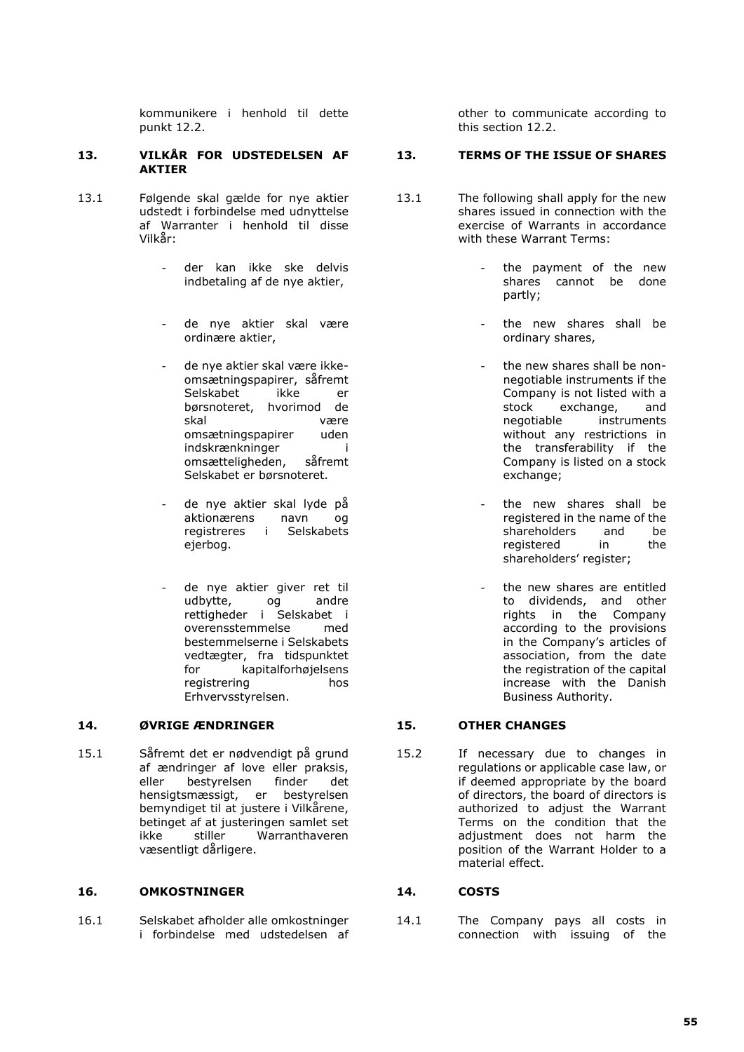kommunikere i henhold til dette punkt 12.2.

### **13. VILKÅR FOR UDSTEDELSEN AF AKTIER**

- 13.1 Følgende skal gælde for nye aktier udstedt i forbindelse med udnyttelse af Warranter i henhold til disse Vilkår:
	- der kan ikke ske delvis indbetaling af de nye aktier,
	- de nye aktier skal være ordinære aktier,
	- de nye aktier skal være ikkeomsætningspapirer, såfremt<br>Selskabet ikke er Selskabet ikke er børsnoteret, hvorimod de skal være omsætningspapirer uden indskrænkninger i<br>omsætteligheden. såfremt omsætteligheden, Selskabet er børsnoteret.
	- de nye aktier skal lyde på aktionærens navn og registreres i Selskabets ejerbog.
	- de nye aktier giver ret til<br>udbytte. og andre udbytte, og rettigheder i Selskabet i overensstemmelse med bestemmelserne i Selskabets vedtægter, fra tidspunktet for kapitalforhøjelsens registrering hos Erhvervsstyrelsen.

### **14. ØVRIGE ÆNDRINGER 15. OTHER CHANGES**

15.1 Såfremt det er nødvendigt på grund af ændringer af love eller praksis, eller bestyrelsen finder det hensigtsmæssigt, er bestyrelsen bemyndiget til at justere i Vilkårene, betinget af at justeringen samlet set<br>ikke stiller Warranthaveren ikke stiller Warranthaveren væsentligt dårligere.

### **16. OMKOSTNINGER 14. COSTS**

16.1 Selskabet afholder alle omkostninger i forbindelse med udstedelsen af other to communicate according to this section 12.2.

### **13. TERMS OF THE ISSUE OF SHARES**

- 13.1 The following shall apply for the new shares issued in connection with the exercise of Warrants in accordance with these Warrant Terms:
	- the payment of the new shares cannot be done partly;
	- the new shares shall be ordinary shares,
	- the new shares shall be nonnegotiable instruments if the Company is not listed with a<br>stock exchange. and  $\epsilon$  exchange, negotiable instruments without any restrictions in the transferability if the Company is listed on a stock exchange;
	- the new shares shall be registered in the name of the shareholders and be<br>registered in the registered shareholders' register;
	- the new shares are entitled to dividends, and other rights in the Company according to the provisions in the Company's articles of association, from the date the registration of the capital increase with the Danish Business Authority.

15.2 If necessary due to changes in regulations or applicable case law, or if deemed appropriate by the board of directors, the board of directors is authorized to adjust the Warrant Terms on the condition that the adjustment does not harm the position of the Warrant Holder to a material effect.

14.1 The Company pays all costs in connection with issuing of the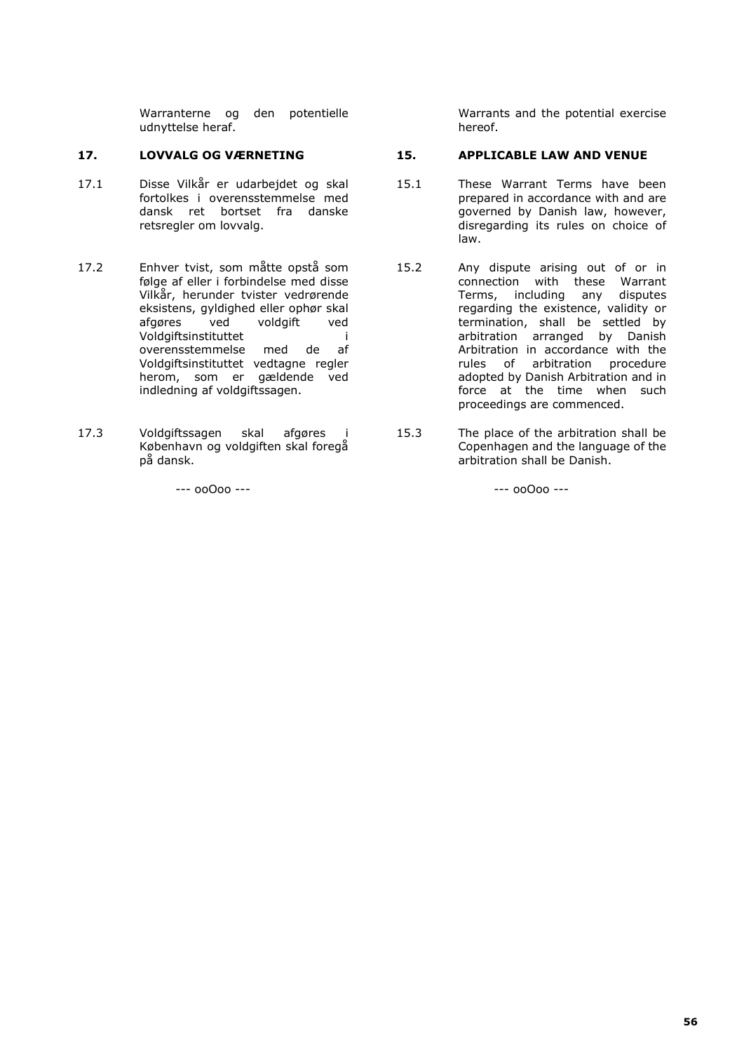Warranterne og den potentielle udnyttelse heraf.

- 17.1 Disse Vilkår er udarbejdet og skal fortolkes i overensstemmelse med dansk ret bortset fra danske retsregler om lovvalg.
- 17.2 Enhver tvist, som måtte opstå som følge af eller i forbindelse med disse Vilkår, herunder tvister vedrørende eksistens, gyldighed eller ophør skal afgøres ved voldgift ved Voldgiftsinstituttet i overensstemmelse med de af Voldgiftsinstituttet vedtagne regler herom, som er gældende ved indledning af voldgiftssagen.
- 17.3 Voldgiftssagen skal afgøres i København og voldgiften skal foregå på dansk.

Warrants and the potential exercise hereof.

## **17. LOVVALG OG VÆRNETING 15. APPLICABLE LAW AND VENUE**

- 15.1 These Warrant Terms have been prepared in accordance with and are governed by Danish law, however, disregarding its rules on choice of law.
- 15.2 Any dispute arising out of or in connection with these Warrant Terms, including any disputes regarding the existence, validity or termination, shall be settled by arbitration arranged by Danish Arbitration in accordance with the rules of arbitration procedure adopted by Danish Arbitration and in force at the time when such proceedings are commenced.
- 15.3 The place of the arbitration shall be Copenhagen and the language of the arbitration shall be Danish.

 $-$ --- 00 $0$ 00 ---  $-$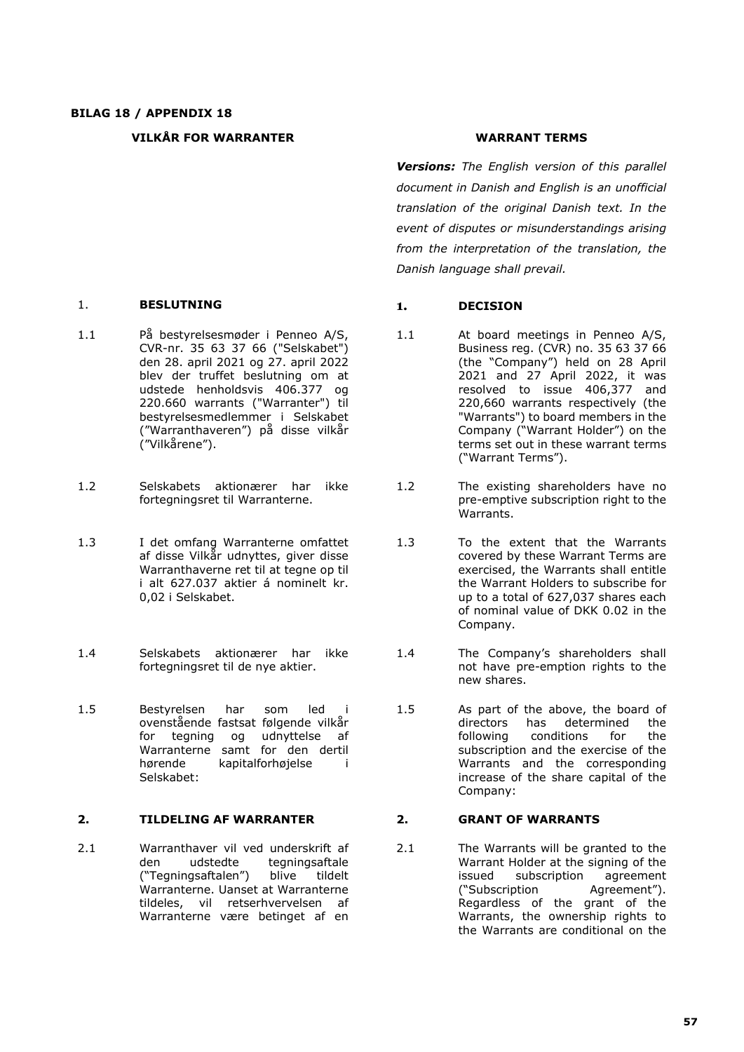### **VILKÅR FOR WARRANTER WARRANT TERMS**

- 1.1 På bestyrelsesmøder i Penneo A/S, CVR-nr. 35 63 37 66 ("Selskabet") den 28. april 2021 og 27. april 2022 blev der truffet beslutning om at udstede henholdsvis 406.377 og 220.660 warrants ("Warranter") til bestyrelsesmedlemmer i Selskabet ("Warranthaveren") på disse vilkår ("Vilkårene").
- 1.2 Selskabets aktionærer har ikke fortegningsret til Warranterne.
- 1.3 I det omfang Warranterne omfattet af disse Vilkår udnyttes, giver disse Warranthaverne ret til at tegne op til i alt 627.037 aktier á nominelt kr. 0,02 i Selskabet.
- 1.4 Selskabets aktionærer har ikke fortegningsret til de nye aktier.
- 1.5 Bestyrelsen har som led i ovenstående fastsat følgende vilkår for tegning og udnyttelse af Warranterne samt for den dertil hørende kapitalforhøjelse i Selskabet:

## **2. TILDELING AF WARRANTER 2. GRANT OF WARRANTS**

2.1 Warranthaver vil ved underskrift af den udstedte tegningsaftale ("Tegningsaftalen") blive tildelt Warranterne. Uanset at Warranterne tildeles, vil retserhvervelsen af Warranterne være betinget af en

*Versions: The English version of this parallel document in Danish and English is an unofficial translation of the original Danish text. In the event of disputes or misunderstandings arising from the interpretation of the translation, the Danish language shall prevail.*

### 1. **BESLUTNING 1. DECISION**

- 1.1 At board meetings in Penneo A/S, Business reg. (CVR) no. 35 63 37 66 (the "Company") held on 28 April 2021 and 27 April 2022, it was resolved to issue 406,377 and 220,660 warrants respectively (the "Warrants") to board members in the Company ("Warrant Holder") on the terms set out in these warrant terms ("Warrant Terms").
- 1.2 The existing shareholders have no pre-emptive subscription right to the Warrants.
- 1.3 To the extent that the Warrants covered by these Warrant Terms are exercised, the Warrants shall entitle the Warrant Holders to subscribe for up to a total of 627,037 shares each of nominal value of DKK 0.02 in the Company.
- 1.4 The Company's shareholders shall not have pre-emption rights to the new shares.
- 1.5 As part of the above, the board of<br>directors has determined the determined following conditions for the subscription and the exercise of the Warrants and the corresponding increase of the share capital of the Company:

2.1 The Warrants will be granted to the Warrant Holder at the signing of the<br>issued subscription agreement subscription agreement ("Subscription Agreement"). Regardless of the grant of the Warrants, the ownership rights to the Warrants are conditional on the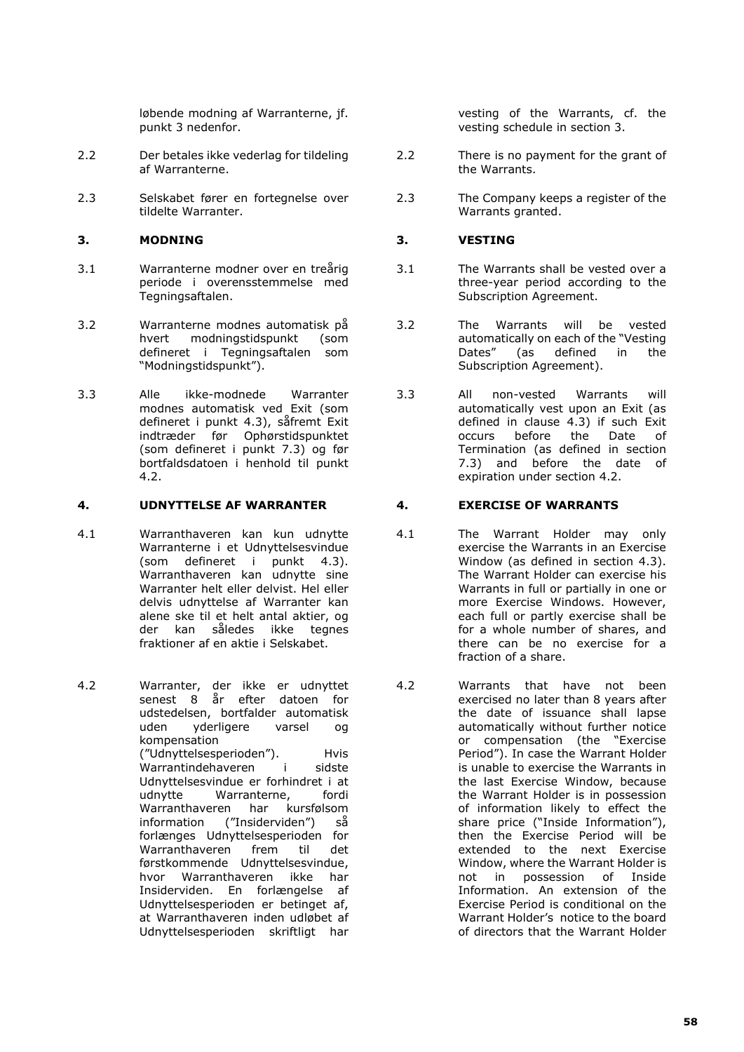løbende modning af Warranterne, jf. punkt 3 nedenfor.

- 2.2 Der betales ikke vederlag for tildeling af Warranterne.
- 2.3 Selskabet fører en fortegnelse over tildelte Warranter.

# **3. MODNING 3. VESTING**

- 3.1 Warranterne modner over en treårig periode i overensstemmelse med Tegningsaftalen.
- 3.2 Warranterne modnes automatisk på modningstidspunkt (som defineret i Tegningsaftalen som "Modningstidspunkt").
- 3.3 Alle ikke-modnede Warranter modnes automatisk ved Exit (som defineret i punkt 4.3), såfremt Exit indtræder før Ophørstidspunktet (som defineret i punkt 7.3) og før bortfaldsdatoen i henhold til punkt 4.2.

### **4. UDNYTTELSE AF WARRANTER 4. EXERCISE OF WARRANTS**

- 4.1 Warranthaveren kan kun udnytte Warranterne i et Udnyttelsesvindue (som defineret i punkt 4.3). Warranthaveren kan udnytte sine Warranter helt eller delvist. Hel eller delvis udnyttelse af Warranter kan alene ske til et helt antal aktier, og der kan således ikke tegnes fraktioner af en aktie i Selskabet.
- 4.2 Warranter, der ikke er udnyttet senest 8 år efter datoen for udstedelsen, bortfalder automatisk uden yderligere varsel og kompensation ("Udnyttelsesperioden"). Hvis Warrantindehaveren i sidste Udnyttelsesvindue er forhindret i at<br>udnytte Warranterne, fordi Warranterne, fordi Warranthaveren har kursfølsom information ("Insiderviden") så forlænges Udnyttelsesperioden for<br>Warranthaveren frem til det Warranthaveren frem førstkommende Udnyttelsesvindue, hvor Warranthaveren ikke har Insiderviden. En forlængelse af Udnyttelsesperioden er betinget af, at Warranthaveren inden udløbet af Udnyttelsesperioden skriftligt har

vesting of the Warrants, cf. the vesting schedule in section 3.

- 2.2 There is no payment for the grant of the Warrants.
- 2.3 The Company keeps a register of the Warrants granted.

- 3.1 The Warrants shall be vested over a three-year period according to the Subscription Agreement.
- 3.2 The Warrants will be vested automatically on each of the "Vesting Dates" (as defined in the Subscription Agreement).
- 3.3 All non-vested Warrants will automatically vest upon an Exit (as defined in clause 4.3) if such Exit occurs before the Date of Termination (as defined in section 7.3) and before the date of expiration under section 4.2.

- 4.1 The Warrant Holder may only exercise the Warrants in an Exercise Window (as defined in section 4.3). The Warrant Holder can exercise his Warrants in full or partially in one or more Exercise Windows. However, each full or partly exercise shall be for a whole number of shares, and there can be no exercise for a fraction of a share.
- 4.2 Warrants that have not been exercised no later than 8 years after the date of issuance shall lapse automatically without further notice or compensation (the "Exercise Period"). In case the Warrant Holder is unable to exercise the Warrants in the last Exercise Window, because the Warrant Holder is in possession of information likely to effect the share price ("Inside Information"), then the Exercise Period will be extended to the next Exercise Window, where the Warrant Holder is not in possession of Inside Information. An extension of the Exercise Period is conditional on the Warrant Holder's notice to the board of directors that the Warrant Holder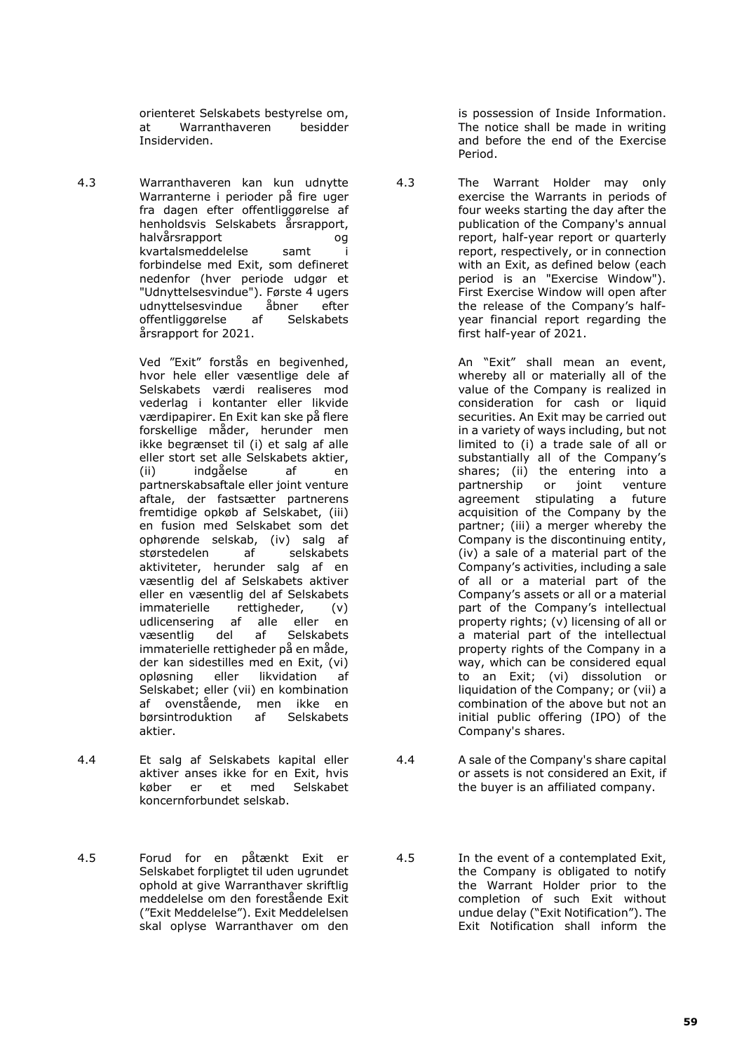orienteret Selskabets bestyrelse om,<br>at Warranthaveren besidder Warranthaveren Insiderviden.

4.3 Warranthaveren kan kun udnytte Warranterne i perioder på fire uger fra dagen efter offentliggørelse af henholdsvis Selskabets årsrapport, halvårsrapport og kvartalsmeddelelse samt i forbindelse med Exit, som defineret nedenfor (hver periode udgør et "Udnyttelsesvindue"). Første 4 ugers<br>udnyttelsesvindue åbner efter udnyttelsesvindue åbner offentliggørelse af Selskabets årsrapport for 2021.

> Ved "Exit" forstås en begivenhed, hvor hele eller væsentlige dele af Selskabets værdi realiseres mod vederlag i kontanter eller likvide værdipapirer. En Exit kan ske på flere forskellige måder, herunder men ikke begrænset til (i) et salg af alle eller stort set alle Selskabets aktier, (ii) indgåelse af en partnerskabsaftale eller joint venture aftale, der fastsætter partnerens fremtidige opkøb af Selskabet, (iii) en fusion med Selskabet som det ophørende selskab, (iv) salg af<br>størstedelen af selskabets størstedelen af aktiviteter, herunder salg af en væsentlig del af Selskabets aktiver eller en væsentlig del af Selskabets immaterielle rettigheder, (v) udlicensering af alle eller en væsentlig del af Selskabets immaterielle rettigheder på en måde, der kan sidestilles med en Exit, (vi) opløsning eller likvidation af Selskabet; eller (vii) en kombination af ovenstående, men ikke en<br>børsintroduktion af Selskabets børsintroduktion aktier.

- 4.4 Et salg af Selskabets kapital eller aktiver anses ikke for en Exit, hvis<br>køber er et med Selskabet køber er et med Selskabet koncernforbundet selskab.
- 4.5 Forud for en påtænkt Exit er Selskabet forpligtet til uden ugrundet ophold at give Warranthaver skriftlig meddelelse om den forestående Exit ("Exit Meddelelse"). Exit Meddelelsen skal oplyse Warranthaver om den

is possession of Inside Information. The notice shall be made in writing and before the end of the Exercise Period.

4.3 The Warrant Holder may only exercise the Warrants in periods of four weeks starting the day after the publication of the Company's annual report, half-year report or quarterly report, respectively, or in connection with an Exit, as defined below (each period is an "Exercise Window"). First Exercise Window will open after the release of the Company's halfyear financial report regarding the first half-year of 2021.

> An "Exit" shall mean an event, whereby all or materially all of the value of the Company is realized in consideration for cash or liquid securities. An Exit may be carried out in a variety of ways including, but not limited to (i) a trade sale of all or substantially all of the Company's shares; (ii) the entering into a<br>partnership or joint venture partnership agreement stipulating a future acquisition of the Company by the partner; (iii) a merger whereby the Company is the discontinuing entity, (iv) a sale of a material part of the Company's activities, including a sale of all or a material part of the Company's assets or all or a material part of the Company's intellectual property rights; (v) licensing of all or a material part of the intellectual property rights of the Company in a way, which can be considered equal to an Exit; (vi) dissolution or liquidation of the Company; or (vii) a combination of the above but not an initial public offering (IPO) of the Company's shares.

- 4.4 A sale of the Company's share capital or assets is not considered an Exit, if the buyer is an affiliated company.
- 4.5 In the event of a contemplated Exit, the Company is obligated to notify the Warrant Holder prior to the completion of such Exit without undue delay ("Exit Notification"). The Exit Notification shall inform the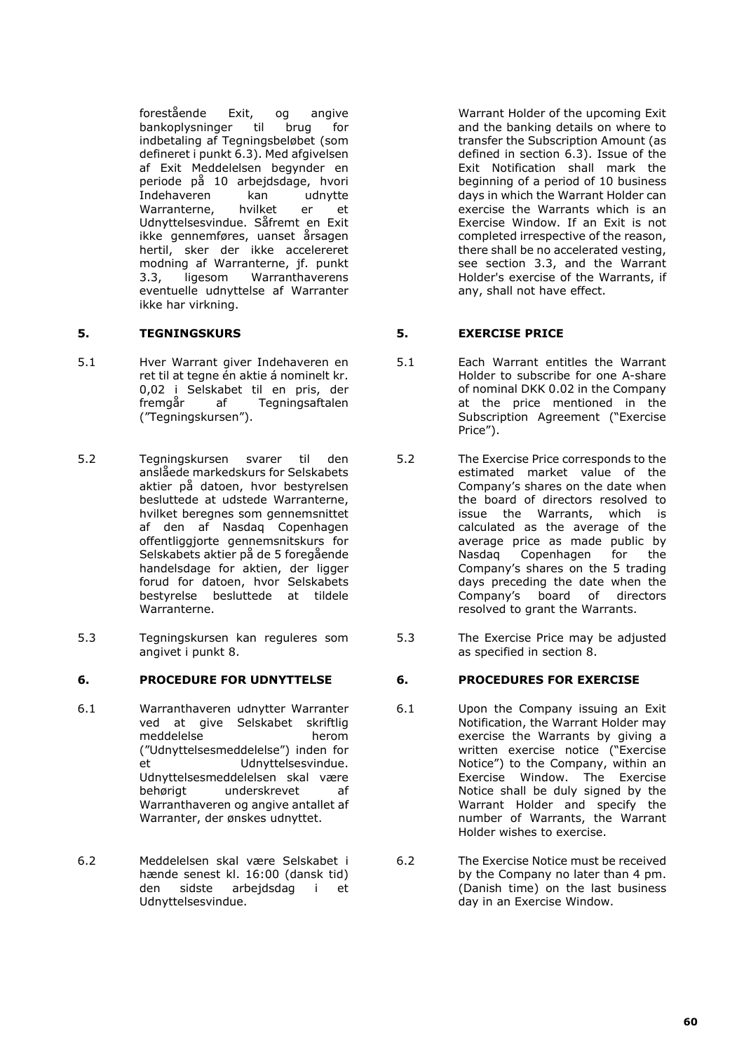forestående Exit, og angive bankoplysninger til brug for indbetaling af Tegningsbeløbet (som defineret i punkt 6.3). Med afgivelsen af Exit Meddelelsen begynder en periode på 10 arbejdsdage, hvori Indehaveren kan udnytte Warranterne, hvilket er et Udnyttelsesvindue. Såfremt en Exit ikke gennemføres, uanset årsagen hertil, sker der ikke accelereret modning af Warranterne, jf. punkt 3.3, ligesom Warranthaverens eventuelle udnyttelse af Warranter ikke har virkning.

- 5.1 Hver Warrant giver Indehaveren en ret til at tegne én aktie á nominelt kr. 0,02 i Selskabet til en pris, der fremgår af Tegningsaftalen ("Tegningskursen").
- 5.2 Tegningskursen svarer til den anslåede markedskurs for Selskabets aktier på datoen, hvor bestyrelsen besluttede at udstede Warranterne, hvilket beregnes som gennemsnittet af den af Nasdaq Copenhagen offentliggjorte gennemsnitskurs for Selskabets aktier på de 5 foregående handelsdage for aktien, der ligger forud for datoen, hvor Selskabets bestyrelse besluttede at tildele Warranterne.
- 5.3 Tegningskursen kan reguleres som angivet i punkt 8.

### **6. PROCEDURE FOR UDNYTTELSE 6. PROCEDURES FOR EXERCISE**

- 6.1 Warranthaveren udnytter Warranter ved at give Selskabet skriftlig meddelelse herom ("Udnyttelsesmeddelelse") inden for et Udnyttelsesvindue. Udnyttelsesmeddelelsen skal være behørigt underskrevet af Warranthaveren og angive antallet af Warranter, der ønskes udnyttet.
- 6.2 Meddelelsen skal være Selskabet i hænde senest kl. 16:00 (dansk tid) den sidste arbejdsdag i et Udnyttelsesvindue.

Warrant Holder of the upcoming Exit and the banking details on where to transfer the Subscription Amount (as defined in section 6.3). Issue of the Exit Notification shall mark the beginning of a period of 10 business days in which the Warrant Holder can exercise the Warrants which is an Exercise Window. If an Exit is not completed irrespective of the reason, there shall be no accelerated vesting, see section 3.3, and the Warrant Holder's exercise of the Warrants, if any, shall not have effect.

# **5. TEGNINGSKURS 5. EXERCISE PRICE**

- 5.1 Each Warrant entitles the Warrant Holder to subscribe for one A-share of nominal DKK 0.02 in the Company at the price mentioned in the Subscription Agreement ("Exercise Price").
- 5.2 The Exercise Price corresponds to the estimated market value of the Company's shares on the date when the board of directors resolved to issue the Warrants, which is calculated as the average of the average price as made public by Nasdaq Copenhagen for the Company's shares on the 5 trading days preceding the date when the Company's board of directors resolved to grant the Warrants.
- 5.3 The Exercise Price may be adjusted as specified in section 8.

- 6.1 Upon the Company issuing an Exit Notification, the Warrant Holder may exercise the Warrants by giving a written exercise notice ("Exercise Notice") to the Company, within an Exercise Window. The Exercise Notice shall be duly signed by the Warrant Holder and specify the number of Warrants, the Warrant Holder wishes to exercise.
- 6.2 The Exercise Notice must be received by the Company no later than 4 pm. (Danish time) on the last business day in an Exercise Window.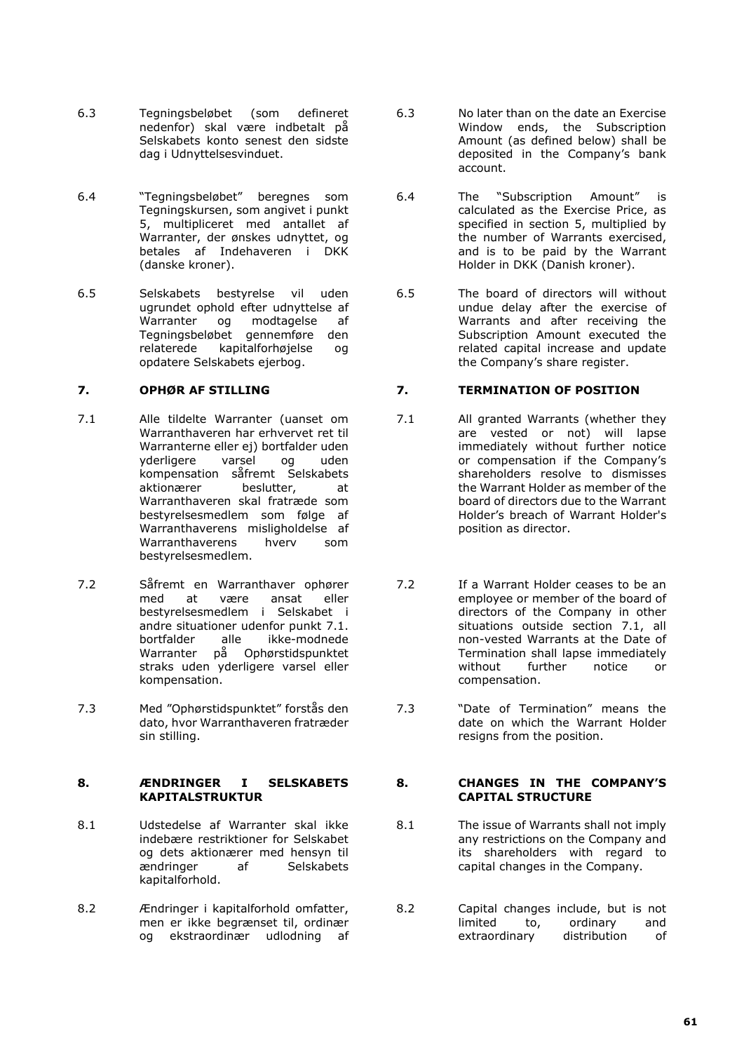- 6.3 Tegningsbeløbet (som defineret nedenfor) skal være indbetalt på Selskabets konto senest den sidste dag i Udnyttelsesvinduet.
- 6.4 "Tegningsbeløbet" beregnes som Tegningskursen, som angivet i punkt 5, multipliceret med antallet af Warranter, der ønskes udnyttet, og betales af Indehaveren i DKK (danske kroner).
- 6.5 Selskabets bestyrelse vil uden ugrundet ophold efter udnyttelse af<br>Warranter og modtagelse af og modtagelse Tegningsbeløbet gennemføre den relaterede kapitalforhøjelse og opdatere Selskabets ejerbog.

- 7.1 Alle tildelte Warranter (uanset om Warranthaveren har erhvervet ret til Warranterne eller ej) bortfalder uden yderligere varsel og uden kompensation såfremt Selskabets<br>aktionærer beslutter. at aktionærer beslutter, at Warranthaveren skal fratræde som bestyrelsesmedlem som følge af Warranthaverens misligholdelse af<br>Warranthaverens hverv som Warranthaverens hverv som bestyrelsesmedlem.
- 7.2 Såfremt en Warranthaver ophører med at være ansat eller bestyrelsesmedlem i Selskabet i andre situationer udenfor punkt 7.1.<br>hortfalder alle ikke-modnede ikke-modnede Warranter på Ophørstidspunktet straks uden yderligere varsel eller kompensation.
- 7.3 Med "Ophørstidspunktet" forstås den dato, hvor Warranthaveren fratræder sin stilling.

## **8. ÆNDRINGER I SELSKABETS KAPITALSTRUKTUR**

- 8.1 Udstedelse af Warranter skal ikke indebære restriktioner for Selskabet og dets aktionærer med hensyn til<br>ændringer af Selskabets Selskabets kapitalforhold.
- 8.2 Ændringer i kapitalforhold omfatter, men er ikke begrænset til, ordinær og ekstraordinær udlodning af
- 6.3 No later than on the date an Exercise Window ends, the Subscription Amount (as defined below) shall be deposited in the Company's bank account.
- 6.4 The "Subscription Amount" is calculated as the Exercise Price, as specified in section 5, multiplied by the number of Warrants exercised, and is to be paid by the Warrant Holder in DKK (Danish kroner).
- 6.5 The board of directors will without undue delay after the exercise of Warrants and after receiving the Subscription Amount executed the related capital increase and update the Company's share register.

## **7. OPHØR AF STILLING 7. TERMINATION OF POSITION**

- 7.1 All granted Warrants (whether they are vested or not) will lapse immediately without further notice or compensation if the Company's shareholders resolve to dismisses the Warrant Holder as member of the board of directors due to the Warrant Holder's breach of Warrant Holder's position as director.
- 7.2 If a Warrant Holder ceases to be an employee or member of the board of directors of the Company in other situations outside section 7.1, all non-vested Warrants at the Date of Termination shall lapse immediately<br>without further notice or without further notice or compensation.
- 7.3 "Date of Termination" means the date on which the Warrant Holder resigns from the position.

## **8. CHANGES IN THE COMPANY'S CAPITAL STRUCTURE**

- 8.1 The issue of Warrants shall not imply any restrictions on the Company and its shareholders with regard to capital changes in the Company.
- 8.2 Capital changes include, but is not<br>limited to ordinary and to, ordinary extraordinary distribution of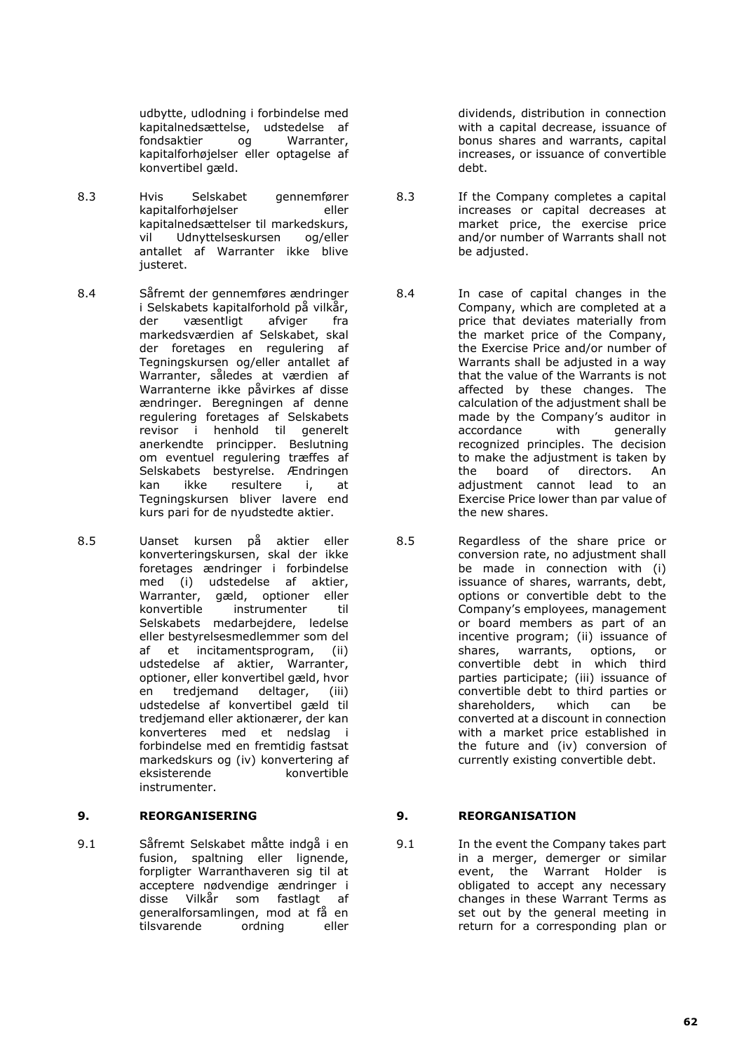udbytte, udlodning i forbindelse med kapitalnedsættelse, udstedelse af fondsaktier og Warranter, kapitalforhøjelser eller optagelse af konvertibel gæld.

- 8.3 Hvis Selskabet gennemfører kapitalforhøjelser eller kapitalnedsættelser til markedskurs, vil Udnyttelseskursen og/eller antallet af Warranter ikke blive justeret.
- 8.4 Såfremt der gennemføres ændringer i Selskabets kapitalforhold på vilkår, der væsentligt afviger fra markedsværdien af Selskabet, skal der foretages en regulering af Tegningskursen og/eller antallet af Warranter, således at værdien af Warranterne ikke påvirkes af disse ændringer. Beregningen af denne regulering foretages af Selskabets revisor i henhold til generelt anerkendte principper. Beslutning om eventuel regulering træffes af Selskabets bestyrelse. Ændringen<br>kan ikke resultere i, at  $\kappa$  resultere Tegningskursen bliver lavere end kurs pari for de nyudstedte aktier.
- 8.5 Uanset kursen på aktier eller konverteringskursen, skal der ikke foretages ændringer i forbindelse med (i) udstedelse af aktier, Warranter, gæld, optioner eller konvertible instrumenter til Selskabets medarbejdere, ledelse eller bestyrelsesmedlemmer som del af et incitamentsprogram, (ii) udstedelse af aktier, Warranter, optioner, eller konvertibel gæld, hvor en tredjemand deltager, (iii) udstedelse af konvertibel gæld til tredjemand eller aktionærer, der kan konverteres med et nedslag i forbindelse med en fremtidig fastsat markedskurs og (iv) konvertering af<br>eksisterende konvertible eksisterende instrumenter.

9.1 Såfremt Selskabet måtte indgå i en fusion, spaltning eller lignende, forpligter Warranthaveren sig til at acceptere nødvendige ændringer i<br>disse Vilkår som fastlagt af som fastlagt af generalforsamlingen, mod at få en<br>tilsvarende ordning eller tilsvarende

dividends, distribution in connection with a capital decrease, issuance of bonus shares and warrants, capital increases, or issuance of convertible debt.

- 8.3 If the Company completes a capital increases or capital decreases at market price, the exercise price and/or number of Warrants shall not be adjusted.
- 8.4 In case of capital changes in the Company, which are completed at a price that deviates materially from the market price of the Company, the Exercise Price and/or number of Warrants shall be adjusted in a way that the value of the Warrants is not affected by these changes. The calculation of the adjustment shall be made by the Company's auditor in<br>accordance with generally accordance with generally recognized principles. The decision to make the adjustment is taken by the board of directors. An<br>adiustment cannot lead to an adjustment cannot lead to Exercise Price lower than par value of the new shares.
- 8.5 Regardless of the share price or conversion rate, no adjustment shall be made in connection with (i) issuance of shares, warrants, debt, options or convertible debt to the Company's employees, management or board members as part of an incentive program; (ii) issuance of shares, warrants, options, or convertible debt in which third parties participate; (iii) issuance of convertible debt to third parties or<br>shareholders. which can be shareholders, which can be converted at a discount in connection with a market price established in the future and (iv) conversion of currently existing convertible debt.

# **9. REORGANISERING 9. REORGANISATION**

9.1 In the event the Company takes part in a merger, demerger or similar event, the Warrant Holder is obligated to accept any necessary changes in these Warrant Terms as set out by the general meeting in return for a corresponding plan or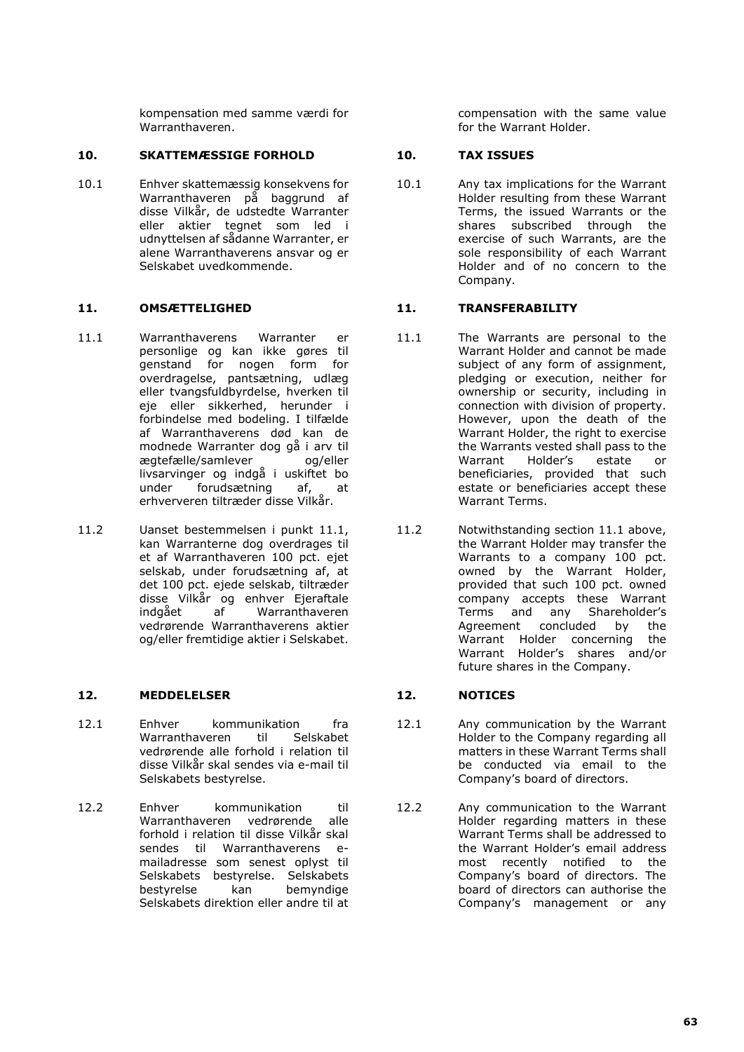kompensation med samme værdi for Warranthaveren.

## **10. SKATTEMÆSSIGE FORHOLD 10. TAX ISSUES**

10.1 Enhver skattemæssig konsekvens for Warranthaveren på baggrund af disse Vilkår, de udstedte Warranter<br>eller aktier tegnet som led i aktier tegnet som led i udnyttelsen af sådanne Warranter, er alene Warranthaverens ansvar og er Selskabet uvedkommende.

- 11.1 Warranthaverens Warranter er personlige og kan ikke gøres til genstand for nogen form for overdragelse, pantsætning, udlæg eller tvangsfuldbyrdelse, hverken til eje eller sikkerhed, herunder i forbindelse med bodeling. I tilfælde af Warranthaverens død kan de modnede Warranter dog gå i arv til<br>modelle/samlever og/eller ægtefælle/samlever livsarvinger og indgå i uskiftet bo<br>under forudsætning af, at forudsætning af, at erhververen tiltræder disse Vilkår.
- 11.2 Uanset bestemmelsen i punkt 11.1, kan Warranterne dog overdrages til et af Warranthaveren 100 pct. ejet selskab, under forudsætning af, at det 100 pct. ejede selskab, tiltræder disse Vilkår og enhver Ejeraftale<br>indgået af Warranthaveren indgået af Warranthaveren vedrørende Warranthaverens aktier og/eller fremtidige aktier i Selskabet.

# **12. MEDDELELSER 12. NOTICES**

- 12.1 Enhver kommunikation fra Warranthaveren til Selskabet vedrørende alle forhold i relation til disse Vilkår skal sendes via e-mail til Selskabets bestyrelse.
- 12.2 Enhver kommunikation til Warranthaveren vedrørende alle forhold i relation til disse Vilkår skal sendes til Warranthaverens emailadresse som senest oplyst til Selskabets bestyrelse. Selskabets bestyrelse kan bemyndige Selskabets direktion eller andre til at

compensation with the same value for the Warrant Holder.

10.1 Any tax implications for the Warrant Holder resulting from these Warrant Terms, the issued Warrants or the shares subscribed through the exercise of such Warrants, are the sole responsibility of each Warrant Holder and of no concern to the Company.

## **11. OMSÆTTELIGHED 11. TRANSFERABILITY**

- 11.1 The Warrants are personal to the Warrant Holder and cannot be made subject of any form of assignment, pledging or execution, neither for ownership or security, including in connection with division of property. However, upon the death of the Warrant Holder, the right to exercise the Warrants vested shall pass to the<br>Warrant Holder's estate or Holder's beneficiaries, provided that such estate or beneficiaries accept these Warrant Terms.
- 11.2 Notwithstanding section 11.1 above, the Warrant Holder may transfer the Warrants to a company 100 pct. owned by the Warrant Holder, provided that such 100 pct. owned company accepts these Warrant Terms and any Shareholder's<br>Agreement concluded by the Agreement concluded by the<br>Warrant Holder concerning the Warrant Holder concerning Warrant Holder's shares and/or future shares in the Company.

- 12.1 Any communication by the Warrant Holder to the Company regarding all matters in these Warrant Terms shall be conducted via email to the Company's board of directors.
- 12.2 Any communication to the Warrant Holder regarding matters in these Warrant Terms shall be addressed to the Warrant Holder's email address most recently notified to the Company's board of directors. The board of directors can authorise the Company's management or any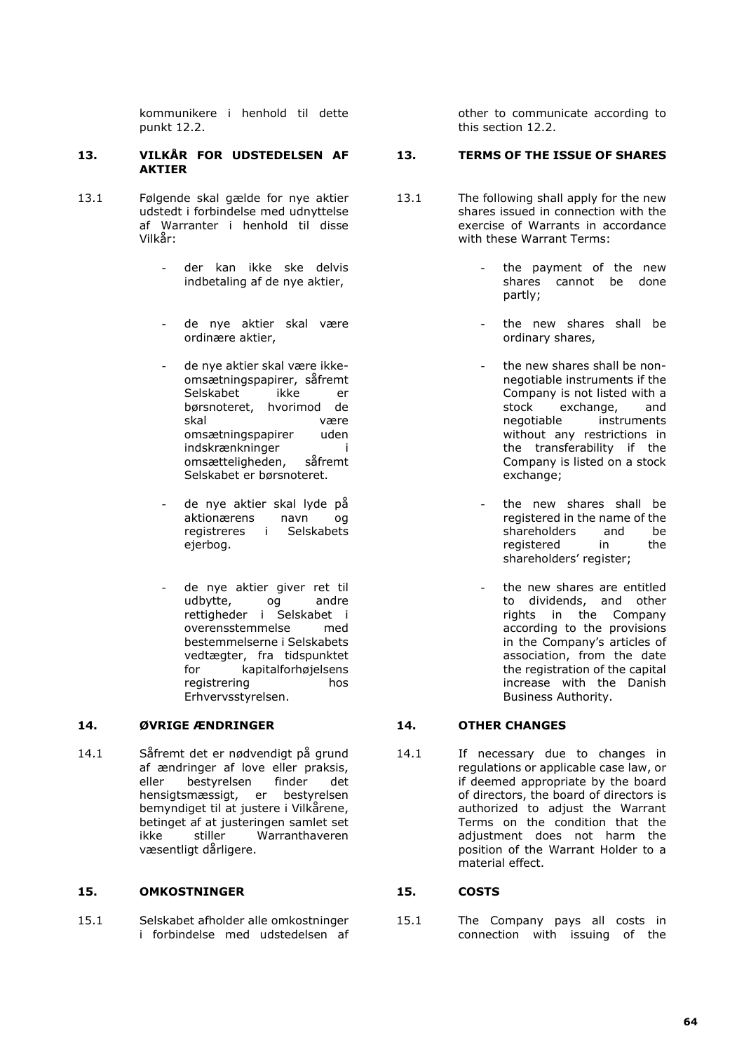kommunikere i henhold til dette punkt 12.2.

### **13. VILKÅR FOR UDSTEDELSEN AF AKTIER**

- 13.1 Følgende skal gælde for nye aktier udstedt i forbindelse med udnyttelse af Warranter i henhold til disse Vilkår:
	- der kan ikke ske delvis indbetaling af de nye aktier,
	- de nye aktier skal være ordinære aktier,
	- de nye aktier skal være ikkeomsætningspapirer, såfremt<br>Selskabet ikke er Selskabet ikke er børsnoteret, hvorimod de skal være omsætningspapirer uden indskrænkninger i<br>omsætteligheden. såfremt omsætteligheden, Selskabet er børsnoteret.
	- de nye aktier skal lyde på aktionærens navn og registreres i Selskabets ejerbog.
	- de nye aktier giver ret til<br>udbytte. og andre udbytte, og rettigheder i Selskabet i overensstemmelse med bestemmelserne i Selskabets vedtægter, fra tidspunktet for kapitalforhøjelsens registrering hos Erhvervsstyrelsen.

### **14. ØVRIGE ÆNDRINGER 14. OTHER CHANGES**

14.1 Såfremt det er nødvendigt på grund af ændringer af love eller praksis, eller bestyrelsen finder det hensigtsmæssigt, er bestyrelsen bemyndiget til at justere i Vilkårene, betinget af at justeringen samlet set<br>ikke stiller Warranthaveren ikke stiller Warranthaveren væsentligt dårligere.

### **15. OMKOSTNINGER 15. COSTS**

15.1 Selskabet afholder alle omkostninger i forbindelse med udstedelsen af other to communicate according to this section 12.2.

### **13. TERMS OF THE ISSUE OF SHARES**

- 13.1 The following shall apply for the new shares issued in connection with the exercise of Warrants in accordance with these Warrant Terms:
	- the payment of the new shares cannot be done partly;
	- the new shares shall be ordinary shares,
	- the new shares shall be nonnegotiable instruments if the Company is not listed with a<br>stock exchange. and  $\epsilon$  exchange, negotiable instruments without any restrictions in the transferability if the Company is listed on a stock exchange;
	- the new shares shall be registered in the name of the shareholders and be<br>registered in the registered shareholders' register;
	- the new shares are entitled to dividends, and other rights in the Company according to the provisions in the Company's articles of association, from the date the registration of the capital increase with the Danish Business Authority.

14.1 If necessary due to changes in regulations or applicable case law, or if deemed appropriate by the board of directors, the board of directors is authorized to adjust the Warrant Terms on the condition that the adjustment does not harm the position of the Warrant Holder to a material effect.

15.1 The Company pays all costs in connection with issuing of the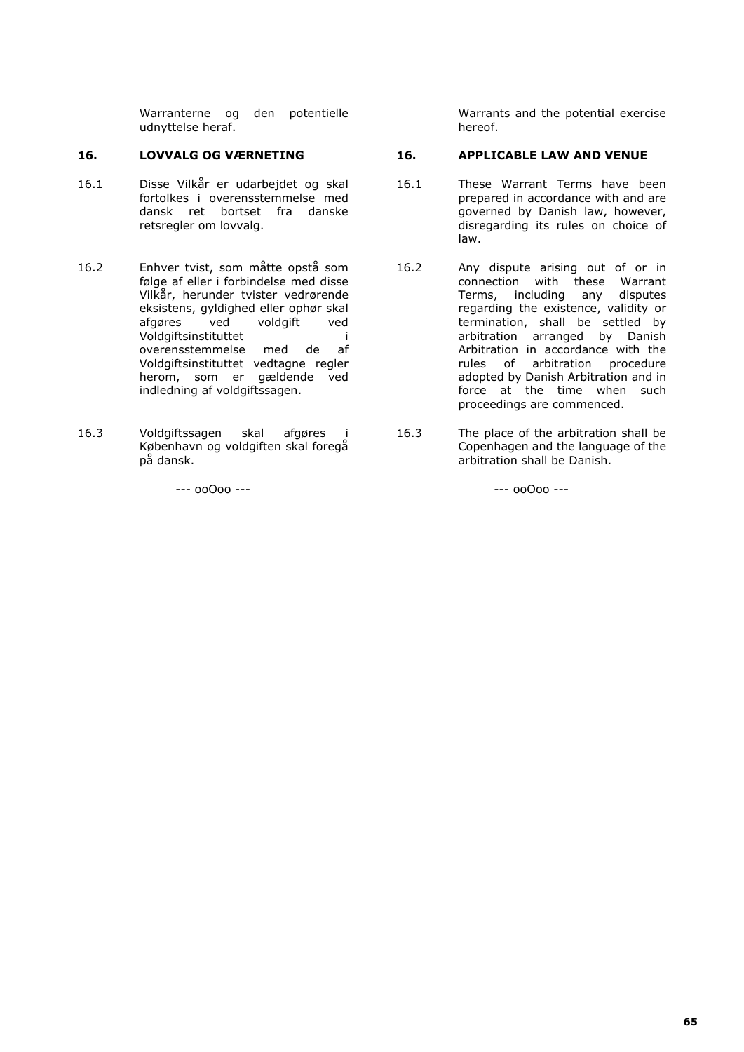Warranterne og den potentielle udnyttelse heraf.

- 16.1 Disse Vilkår er udarbejdet og skal fortolkes i overensstemmelse med dansk ret bortset fra danske retsregler om lovvalg.
- 16.2 Enhver tvist, som måtte opstå som følge af eller i forbindelse med disse Vilkår, herunder tvister vedrørende eksistens, gyldighed eller ophør skal afgøres ved voldgift ved Voldgiftsinstituttet i overensstemmelse med de af Voldgiftsinstituttet vedtagne regler herom, som er gældende ved indledning af voldgiftssagen.
- 16.3 Voldgiftssagen skal afgøres i København og voldgiften skal foregå på dansk.

Warrants and the potential exercise hereof.

## **16. LOVVALG OG VÆRNETING 16. APPLICABLE LAW AND VENUE**

- 16.1 These Warrant Terms have been prepared in accordance with and are governed by Danish law, however, disregarding its rules on choice of law.
- 16.2 Any dispute arising out of or in connection with these Warrant Terms, including any disputes regarding the existence, validity or termination, shall be settled by arbitration arranged by Danish Arbitration in accordance with the rules of arbitration procedure adopted by Danish Arbitration and in force at the time when such proceedings are commenced.
- 16.3 The place of the arbitration shall be Copenhagen and the language of the arbitration shall be Danish.

 $-$ --- 00 $0$ 00 ---  $-$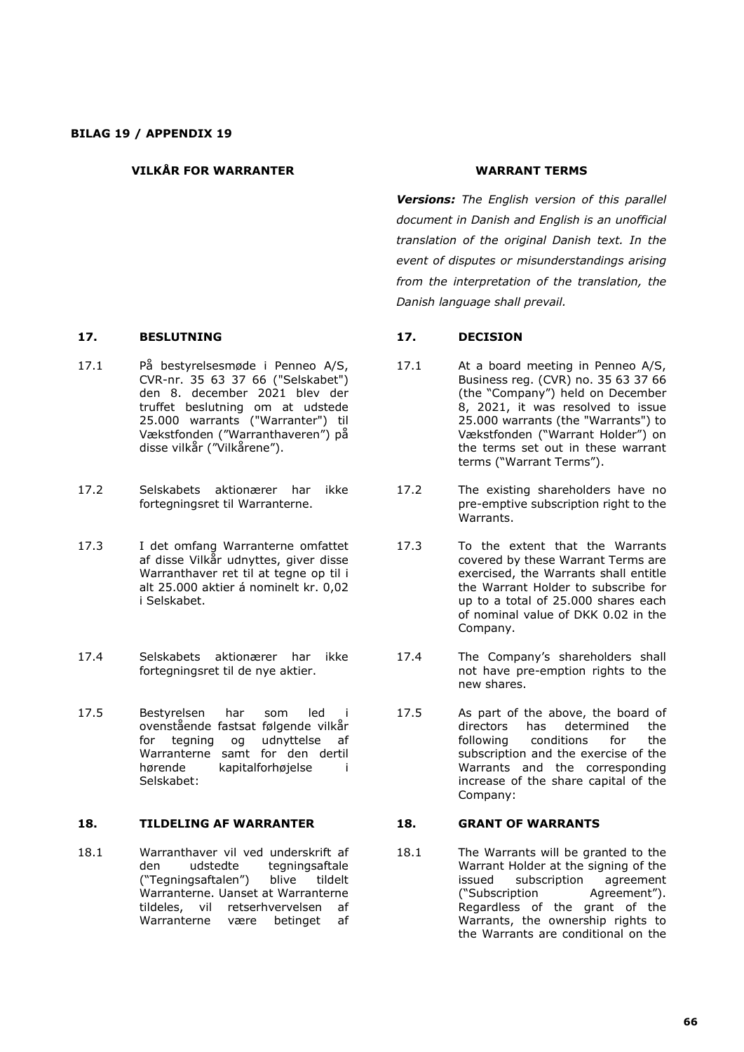## **VILKÅR FOR WARRANTER WARRANT TERMS**

## **17. BESLUTNING 17. DECISION**

- 17.1 På bestyrelsesmøde i Penneo A/S, CVR-nr. 35 63 37 66 ("Selskabet") den 8. december 2021 blev der truffet beslutning om at udstede 25.000 warrants ("Warranter") til Vækstfonden ("Warranthaveren") på disse vilkår ("Vilkårene").
- 17.2 Selskabets aktionærer har ikke fortegningsret til Warranterne.
- 17.3 I det omfang Warranterne omfattet af disse Vilkår udnyttes, giver disse Warranthaver ret til at tegne op til i alt 25.000 aktier á nominelt kr. 0,02 i Selskabet.
- 17.4 Selskabets aktionærer har ikke fortegningsret til de nye aktier.
- 17.5 Bestyrelsen har som led i ovenstående fastsat følgende vilkår for tegning og udnyttelse af Warranterne samt for den dertil hørende kapitalforhøjelse i Selskabet:

### **18. TILDELING AF WARRANTER 18. GRANT OF WARRANTS**

18.1 Warranthaver vil ved underskrift af den udstedte tegningsaftale ("Tegningsaftalen") blive tildelt Warranterne. Uanset at Warranterne tildeles, vil retserhvervelsen af Warranterne være betinget af

*Versions: The English version of this parallel document in Danish and English is an unofficial translation of the original Danish text. In the event of disputes or misunderstandings arising from the interpretation of the translation, the Danish language shall prevail.*

- 17.1 At a board meeting in Penneo A/S, Business reg. (CVR) no. 35 63 37 66 (the "Company") held on December 8, 2021, it was resolved to issue 25.000 warrants (the "Warrants") to Vækstfonden ("Warrant Holder") on the terms set out in these warrant terms ("Warrant Terms").
- 17.2 The existing shareholders have no pre-emptive subscription right to the Warrants.
- 17.3 To the extent that the Warrants covered by these Warrant Terms are exercised, the Warrants shall entitle the Warrant Holder to subscribe for up to a total of 25.000 shares each of nominal value of DKK 0.02 in the Company.
- 17.4 The Company's shareholders shall not have pre-emption rights to the new shares.
- 17.5 As part of the above, the board of<br>directors has determined the has determined the following conditions for the subscription and the exercise of the Warrants and the corresponding increase of the share capital of the Company:

18.1 The Warrants will be granted to the Warrant Holder at the signing of the issued subscription agreement<br>("Subscription Agreement"). ("Subscription Regardless of the grant of the Warrants, the ownership rights to the Warrants are conditional on the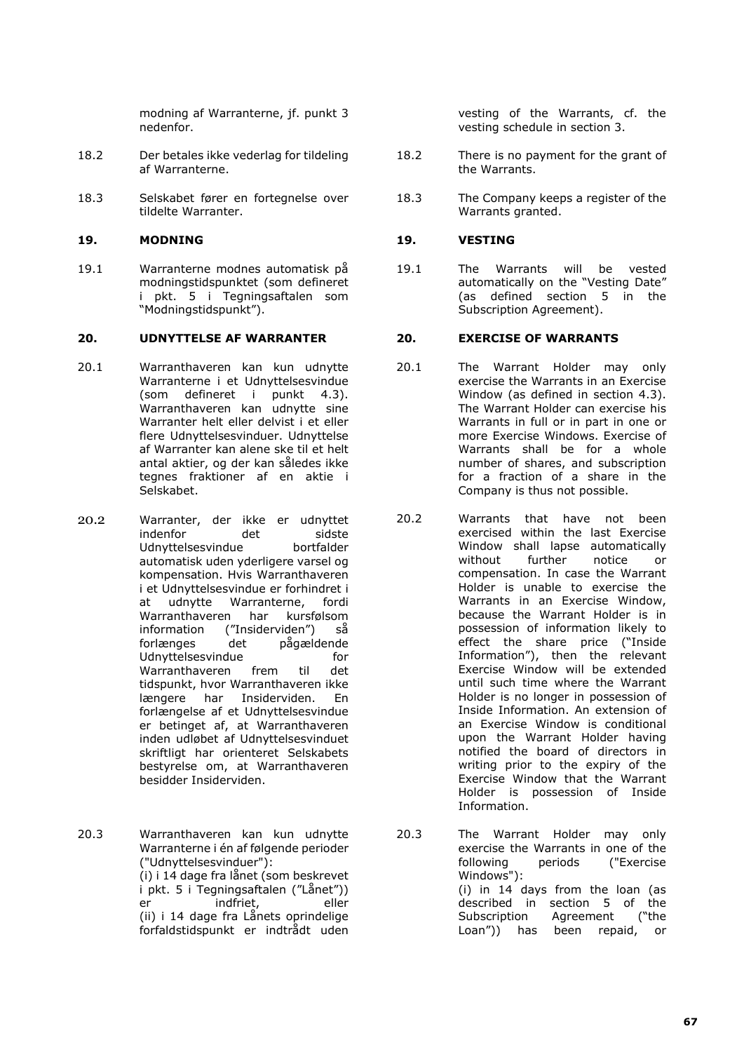modning af Warranterne, jf. punkt 3 nedenfor.

- 18.2 Der betales ikke vederlag for tildeling af Warranterne.
- 18.3 Selskabet fører en fortegnelse over tildelte Warranter.

## **19. MODNING 19. VESTING**

19.1 Warranterne modnes automatisk på modningstidspunktet (som defineret i pkt. 5 i Tegningsaftalen som "Modningstidspunkt").

## **20. UDNYTTELSE AF WARRANTER 20. EXERCISE OF WARRANTS**

- 20.1 Warranthaveren kan kun udnytte Warranterne i et Udnyttelsesvindue (som defineret i punkt 4.3). Warranthaveren kan udnytte sine Warranter helt eller delvist i et eller flere Udnyttelsesvinduer. Udnyttelse af Warranter kan alene ske til et helt antal aktier, og der kan således ikke tegnes fraktioner af en aktie i Selskabet.
- 20.2 Warranter, der ikke er udnyttet indenfor det sidste<br>Udnyttelsesvindue bortfalder Udnyttelsesvindue automatisk uden yderligere varsel og kompensation. Hvis Warranthaveren i et Udnyttelsesvindue er forhindret i at udnytte Warranterne, fordi Warranthaveren har kursfølsom information ("Insiderviden") så forlænges det pågældende Udnyttelsesvindue for<br>Warranthaveren frem til det Warranthaveren frem til det tidspunkt, hvor Warranthaveren ikke længere har Insiderviden. En forlængelse af et Udnyttelsesvindue er betinget af, at Warranthaveren inden udløbet af Udnyttelsesvinduet skriftligt har orienteret Selskabets bestyrelse om, at Warranthaveren besidder Insiderviden.
- 20.3 Warranthaveren kan kun udnytte Warranterne i én af følgende perioder ("Udnyttelsesvinduer"): (i) i 14 dage fra lånet (som beskrevet i pkt. 5 i Tegningsaftalen ("Lånet")) er indfriet. (ii) i 14 dage fra Lånets oprindelige forfaldstidspunkt er indtrådt uden

vesting of the Warrants, cf. the vesting schedule in section 3.

- 18.2 There is no payment for the grant of the Warrants.
- 18.3 The Company keeps a register of the Warrants granted.

19.1 The Warrants will be vested automatically on the "Vesting Date" (as defined section 5 in the Subscription Agreement).

- 20.1 The Warrant Holder may only exercise the Warrants in an Exercise Window (as defined in section 4.3). The Warrant Holder can exercise his Warrants in full or in part in one or more Exercise Windows. Exercise of Warrants shall be for a whole number of shares, and subscription for a fraction of a share in the Company is thus not possible.
- 20.2 Warrants that have not been exercised within the last Exercise Window shall lapse automatically without further notice or compensation. In case the Warrant Holder is unable to exercise the Warrants in an Exercise Window, because the Warrant Holder is in possession of information likely to effect the share price ("Inside Information"), then the relevant Exercise Window will be extended until such time where the Warrant Holder is no longer in possession of Inside Information. An extension of an Exercise Window is conditional upon the Warrant Holder having notified the board of directors in writing prior to the expiry of the Exercise Window that the Warrant Holder is possession of Inside Information.
- 20.3 The Warrant Holder may only exercise the Warrants in one of the following periods ("Exercise Windows"): (i) in 14 days from the loan (as described in section 5 of the Subscription Agreement ("the Loan")) has been repaid, or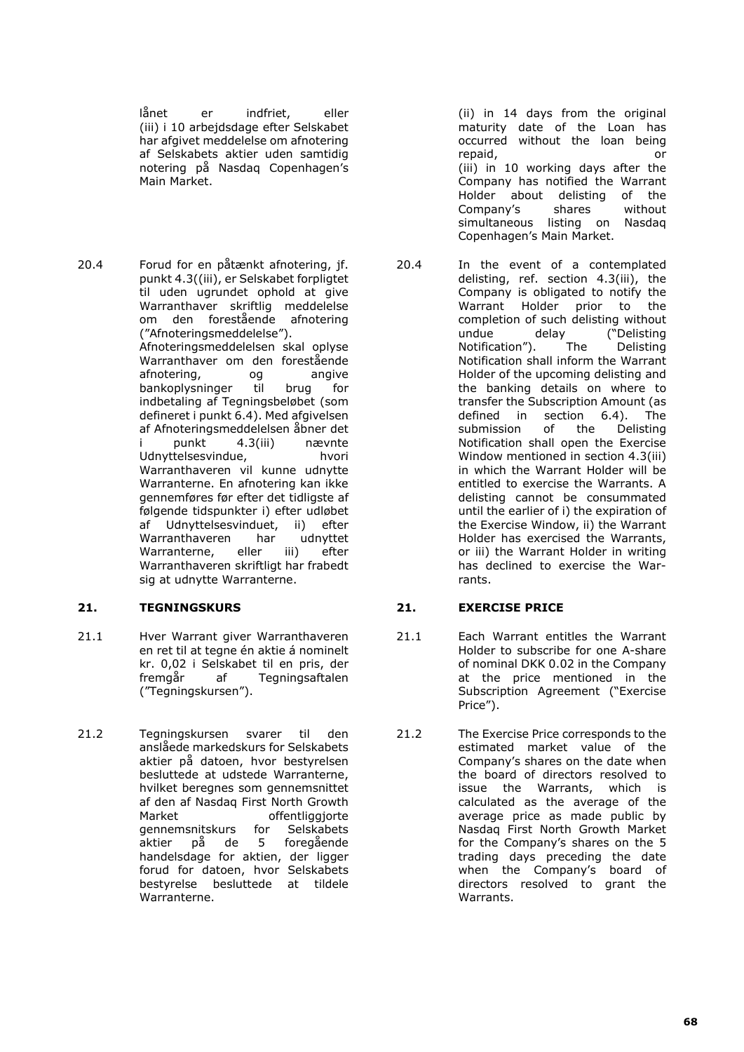lånet er indfriet, eller (iii) i 10 arbejdsdage efter Selskabet har afgivet meddelelse om afnotering af Selskabets aktier uden samtidig notering på Nasdaq Copenhagen's Main Market.

20.4 Forud for en påtænkt afnotering, jf. punkt 4.3((iii), er Selskabet forpligtet til uden ugrundet ophold at give Warranthaver skriftlig meddelelse om den forestående afnotering ("Afnoteringsmeddelelse"). Afnoteringsmeddelelsen skal oplyse Warranthaver om den forestående afnotering, og angive bankoplysninger til brug for indbetaling af Tegningsbeløbet (som defineret i punkt 6.4). Med afgivelsen af Afnoteringsmeddelelsen åbner det<br>i punkt 4.3(iii) nævnte i punkt 4.3(iii) nævnte Udnyttelsesvindue, hvori Warranthaveren vil kunne udnytte Warranterne. En afnotering kan ikke gennemføres før efter det tidligste af følgende tidspunkter i) efter udløbet af Udnyttelsesvinduet, ii) efter<br>Warranthaveren har udnyttet Warranthaveren Warranterne, eller iii) efter Warranthaveren skriftligt har frabedt sig at udnytte Warranterne.

# **21. TEGNINGSKURS 21. EXERCISE PRICE**

- 21.1 Hver Warrant giver Warranthaveren en ret til at tegne én aktie á nominelt kr. 0,02 i Selskabet til en pris, der fremgår af Tegningsaftalen ("Tegningskursen").
- 21.2 Tegningskursen svarer til den anslåede markedskurs for Selskabets aktier på datoen, hvor bestyrelsen besluttede at udstede Warranterne, hvilket beregnes som gennemsnittet af den af Nasdaq First North Growth<br>Market offentliggiorte offentliggjorte gennemsnitskurs for Selskabets<br>aktier på de 5 foregående foregående handelsdage for aktien, der ligger forud for datoen, hvor Selskabets bestyrelse besluttede at tildele Warranterne.

(ii) in 14 days from the original maturity date of the Loan has occurred without the loan being repaid, or (iii) in 10 working days after the Company has notified the Warrant Holder about delisting of the Company's shares without simultaneous listing on Nasdaq Copenhagen's Main Market.

20.4 In the event of a contemplated delisting, ref. section 4.3(iii), the Company is obligated to notify the Warrant Holder prior to the completion of such delisting without undue delay ("Delisting<br>Notification"). The Delisting Notification"). Notification shall inform the Warrant Holder of the upcoming delisting and the banking details on where to transfer the Subscription Amount (as defined in section 6.4). The submission of the Delisting Notification shall open the Exercise Window mentioned in section 4.3(iii) in which the Warrant Holder will be entitled to exercise the Warrants. A delisting cannot be consummated until the earlier of i) the expiration of the Exercise Window, ii) the Warrant Holder has exercised the Warrants, or iii) the Warrant Holder in writing has declined to exercise the Warrants.

- 21.1 Each Warrant entitles the Warrant Holder to subscribe for one A-share of nominal DKK 0.02 in the Company at the price mentioned in the Subscription Agreement ("Exercise Price").
- 21.2 The Exercise Price corresponds to the estimated market value of the Company's shares on the date when the board of directors resolved to issue the Warrants, which is calculated as the average of the average price as made public by Nasdaq First North Growth Market for the Company's shares on the 5 trading days preceding the date when the Company's board of directors resolved to grant the Warrants.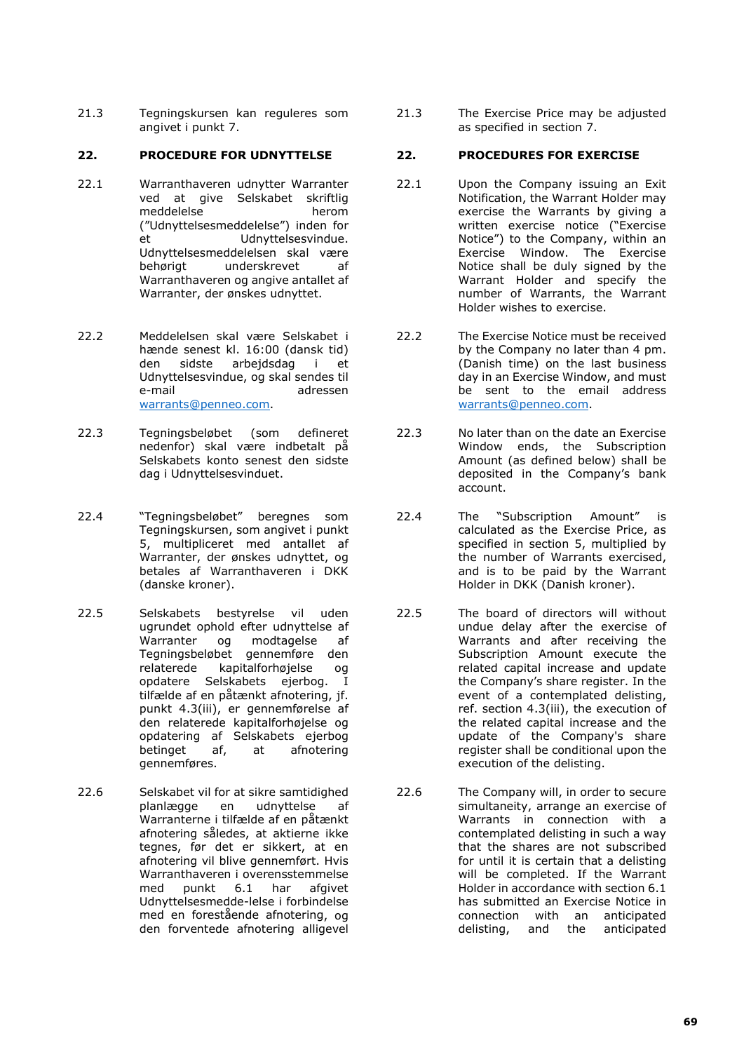21.3 Tegningskursen kan reguleres som angivet i punkt 7.

## **22. PROCEDURE FOR UDNYTTELSE 22. PROCEDURES FOR EXERCISE**

- 22.1 Warranthaveren udnytter Warranter ved at give Selskabet skriftlig<br>meddelelse berom meddelelse ("Udnyttelsesmeddelelse") inden for et in Udnyttelsesvindue. Udnyttelsesmeddelelsen skal være behørigt underskrevet af Warranthaveren og angive antallet af Warranter, der ønskes udnyttet.
- 22.2 Meddelelsen skal være Selskabet i hænde senest kl. 16:00 (dansk tid) den sidste arbejdsdag i et Udnyttelsesvindue, og skal sendes til adressen [warrants@penneo.com.](mailto:warrants@penneo.com)
- 22.3 Tegningsbeløbet (som defineret nedenfor) skal være indbetalt på Selskabets konto senest den sidste dag i Udnyttelsesvinduet.
- 22.4 "Tegningsbeløbet" beregnes som Tegningskursen, som angivet i punkt 5, multipliceret med antallet af Warranter, der ønskes udnyttet, og betales af Warranthaveren i DKK (danske kroner).
- 22.5 Selskabets bestyrelse vil uden ugrundet ophold efter udnyttelse af<br>Warranter og modtagelse af og modtagelse af Tegningsbeløbet gennemføre den<br>relaterede kapitalforhøjelse og kapitalforhøjelse og opdatere Selskabets ejerbog. I tilfælde af en påtænkt afnotering, jf. punkt 4.3(iii), er gennemførelse af den relaterede kapitalforhøjelse og opdatering af Selskabets ejerbog betinget af, at afnotering gennemføres.
- 22.6 Selskabet vil for at sikre samtidighed planlægge en udnyttelse af Warranterne i tilfælde af en påtænkt afnotering således, at aktierne ikke tegnes, før det er sikkert, at en afnotering vil blive gennemført. Hvis Warranthaveren i overensstemmelse<br>med punkt 6.1 har afgivet med punkt 6.1 har afgivet Udnyttelsesmedde-lelse i forbindelse med en forestående afnotering, og den forventede afnotering alligevel

21.3 The Exercise Price may be adjusted as specified in section 7.

- 22.1 Upon the Company issuing an Exit Notification, the Warrant Holder may exercise the Warrants by giving a written exercise notice ("Exercise Notice") to the Company, within an Exercise Window. The Exercise Notice shall be duly signed by the Warrant Holder and specify the number of Warrants, the Warrant Holder wishes to exercise.
- 22.2 The Exercise Notice must be received by the Company no later than 4 pm. (Danish time) on the last business day in an Exercise Window, and must be sent to the email address [warrants@penneo.com.](mailto:warrants@penneo.com)
- 22.3 No later than on the date an Exercise Window ends, the Subscription Amount (as defined below) shall be deposited in the Company's bank account.
- 22.4 The "Subscription Amount" is calculated as the Exercise Price, as specified in section 5, multiplied by the number of Warrants exercised, and is to be paid by the Warrant Holder in DKK (Danish kroner).
- 22.5 The board of directors will without undue delay after the exercise of Warrants and after receiving the Subscription Amount execute the related capital increase and update the Company's share register. In the event of a contemplated delisting, ref. section 4.3(iii), the execution of the related capital increase and the update of the Company's share register shall be conditional upon the execution of the delisting.
- 22.6 The Company will, in order to secure simultaneity, arrange an exercise of Warrants in connection with a contemplated delisting in such a way that the shares are not subscribed for until it is certain that a delisting will be completed. If the Warrant Holder in accordance with section 6.1 has submitted an Exercise Notice in connection with an anticipated delisting, and the anticipated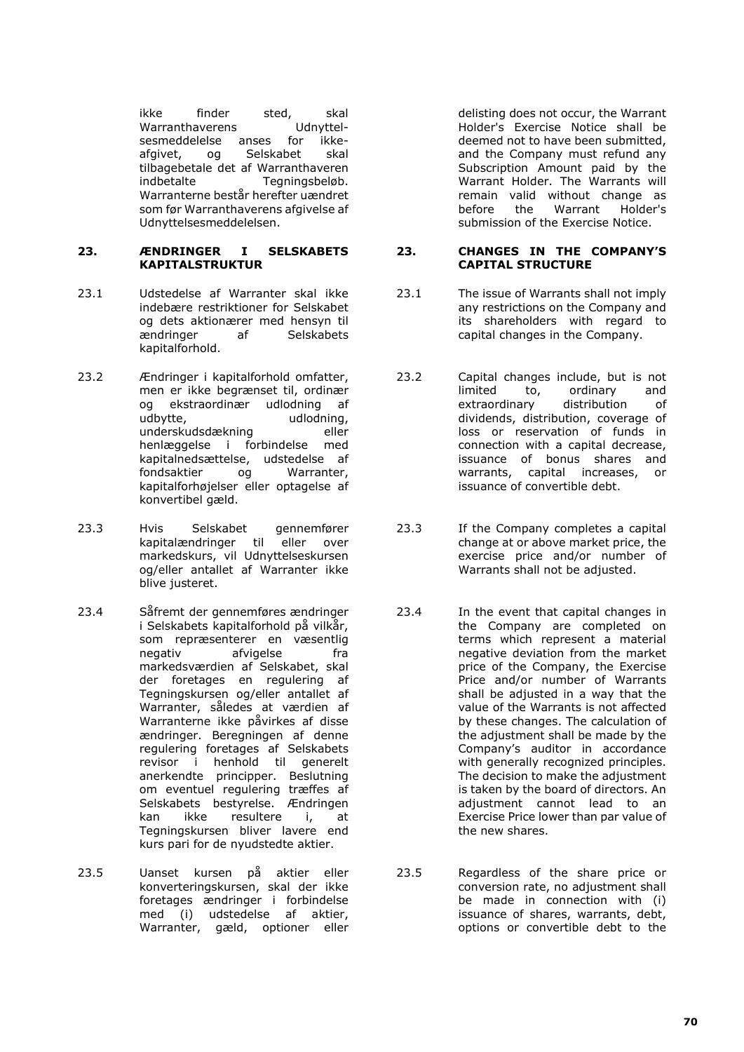ikke finder sted, skal Warranthaverens Udnyttelsesmeddelelse anses for ikkeafgivet, og Selskabet skal tilbagebetale det af Warranthaveren indbetalte Tegningsbeløb. Warranterne består herefter uændret som før Warranthaverens afgivelse af Udnyttelsesmeddelelsen.

### **23. ÆNDRINGER I SELSKABETS KAPITALSTRUKTUR**

- 23.1 Udstedelse af Warranter skal ikke indebære restriktioner for Selskabet og dets aktionærer med hensyn til ændringer af Selskabets kapitalforhold.
- 23.2 Ændringer i kapitalforhold omfatter, men er ikke begrænset til, ordinær og ekstraordinær udlodning af udbytte, udlodning, underskudsdækning eller henlæggelse i forbindelse med kapitalnedsættelse, udstedelse af fondsaktier og Warranter, kapitalforhøjelser eller optagelse af konvertibel gæld.
- 23.3 Hvis Selskabet gennemfører kapitalændringer til eller over markedskurs, vil Udnyttelseskursen og/eller antallet af Warranter ikke blive justeret.
- 23.4 Såfremt der gennemføres ændringer i Selskabets kapitalforhold på vilkår, som repræsenterer en væsentlig negativ afvigelse fra markedsværdien af Selskabet, skal der foretages en regulering af Tegningskursen og/eller antallet af Warranter, således at værdien af Warranterne ikke påvirkes af disse ændringer. Beregningen af denne regulering foretages af Selskabets revisor i henhold til generelt anerkendte principper. Beslutning om eventuel regulering træffes af Selskabets bestyrelse. Ændringen kan ikke resultere i, at Tegningskursen bliver lavere end kurs pari for de nyudstedte aktier.
- 23.5 Uanset kursen på aktier eller konverteringskursen, skal der ikke foretages ændringer i forbindelse med (i) udstedelse af aktier, Warranter, gæld, optioner eller

delisting does not occur, the Warrant Holder's Exercise Notice shall be deemed not to have been submitted, and the Company must refund any Subscription Amount paid by the Warrant Holder. The Warrants will remain valid without change as before the Warrant Holder's submission of the Exercise Notice.

### **23. CHANGES IN THE COMPANY'S CAPITAL STRUCTURE**

- 23.1 The issue of Warrants shall not imply any restrictions on the Company and its shareholders with regard to capital changes in the Company.
- 23.2 Capital changes include, but is not<br>limited to, ordinary and ordinary and<br>distribution of extraordinary dividends, distribution, coverage of loss or reservation of funds in connection with a capital decrease, issuance of bonus shares and warrants, capital increases, or issuance of convertible debt.
- 23.3 If the Company completes a capital change at or above market price, the exercise price and/or number of Warrants shall not be adjusted.
- 23.4 In the event that capital changes in the Company are completed on terms which represent a material negative deviation from the market price of the Company, the Exercise Price and/or number of Warrants shall be adjusted in a way that the value of the Warrants is not affected by these changes. The calculation of the adjustment shall be made by the Company's auditor in accordance with generally recognized principles. The decision to make the adjustment is taken by the board of directors. An adjustment cannot lead to an Exercise Price lower than par value of the new shares.
- 23.5 Regardless of the share price or conversion rate, no adjustment shall be made in connection with (i) issuance of shares, warrants, debt, options or convertible debt to the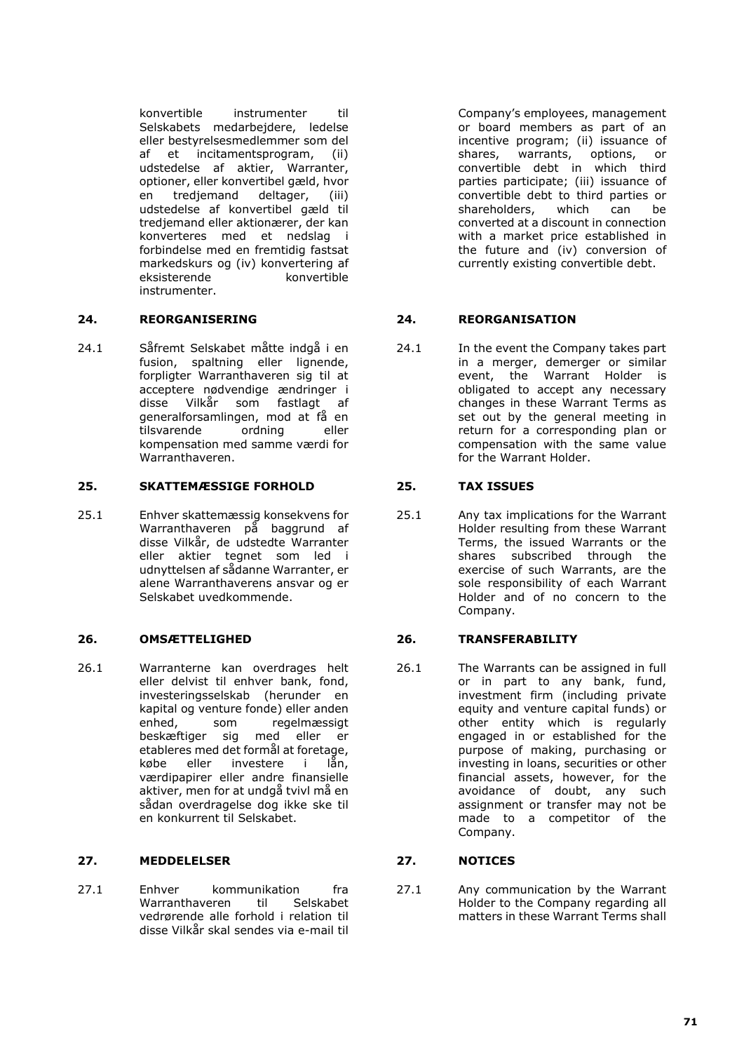konvertible instrumenter til Selskabets medarbejdere, ledelse eller bestyrelsesmedlemmer som del af et incitamentsprogram, (ii) udstedelse af aktier, Warranter, optioner, eller konvertibel gæld, hvor en tredjemand deltager, (iii) udstedelse af konvertibel gæld til tredjemand eller aktionærer, der kan konverteres med et nedslag i forbindelse med en fremtidig fastsat markedskurs og (iv) konvertering af eksisterende konvertible instrumenter.

# **24. REORGANISERING 24. REORGANISATION**

24.1 Såfremt Selskabet måtte indgå i en fusion, spaltning eller lignende, forpligter Warranthaveren sig til at acceptere nødvendige ændringer i disse Vilkår som fastlagt af generalforsamlingen, mod at få en<br>tilsvarende ordning eller tilsvarende kompensation med samme værdi for Warranthaveren.

# **25. SKATTEMÆSSIGE FORHOLD 25. TAX ISSUES**

25.1 Enhver skattemæssig konsekvens for Warranthaveren på baggrund af disse Vilkår, de udstedte Warranter eller aktier tegnet som led i udnyttelsen af sådanne Warranter, er alene Warranthaverens ansvar og er Selskabet uvedkommende.

26.1 Warranterne kan overdrages helt eller delvist til enhver bank, fond, investeringsselskab (herunder en kapital og venture fonde) eller anden enhed, som regelmæssigt beskæftiger sig med eller er etableres med det formål at foretage, købe eller investere i lån, værdipapirer eller andre finansielle aktiver, men for at undgå tvivl må en sådan overdragelse dog ikke ske til en konkurrent til Selskabet.

# **27. MEDDELELSER 27. NOTICES**

27.1 Enhver kommunikation fra<br>Warranthaveren til Selskabet Warranthaveren vedrørende alle forhold i relation til disse Vilkår skal sendes via e-mail til

Company's employees, management or board members as part of an incentive program; (ii) issuance of shares, warrants, options, or convertible debt in which third parties participate; (iii) issuance of convertible debt to third parties or shareholders, which can be converted at a discount in connection with a market price established in the future and (iv) conversion of currently existing convertible debt.

24.1 In the event the Company takes part in a merger, demerger or similar event, the Warrant Holder is obligated to accept any necessary changes in these Warrant Terms as set out by the general meeting in return for a corresponding plan or compensation with the same value for the Warrant Holder.

25.1 Any tax implications for the Warrant Holder resulting from these Warrant Terms, the issued Warrants or the shares subscribed through the exercise of such Warrants, are the sole responsibility of each Warrant Holder and of no concern to the Company.

# **26. OMSÆTTELIGHED 26. TRANSFERABILITY**

26.1 The Warrants can be assigned in full or in part to any bank, fund, investment firm (including private equity and venture capital funds) or other entity which is regularly engaged in or established for the purpose of making, purchasing or investing in loans, securities or other financial assets, however, for the avoidance of doubt, any such assignment or transfer may not be made to a competitor of the Company.

27.1 Any communication by the Warrant Holder to the Company regarding all matters in these Warrant Terms shall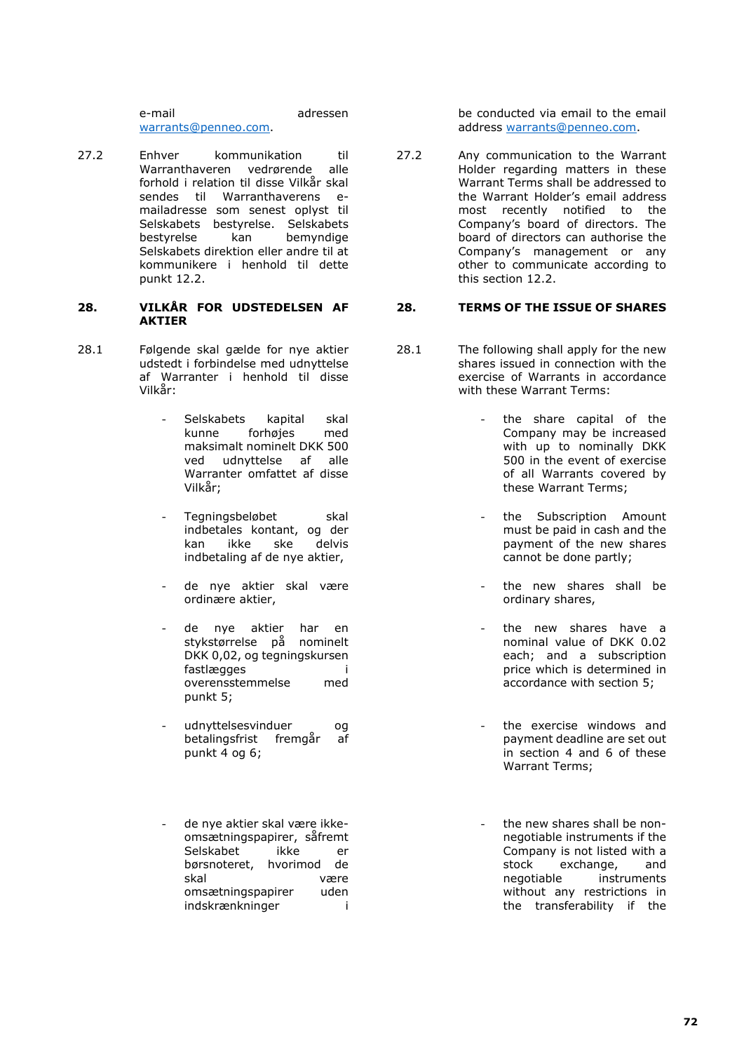e-mail adressen warrants@penneo.com.

27.2 Enhver kommunikation til Warranthaveren vedrørende alle forhold i relation til disse Vilkår skal sendes til Warranthaverens emailadresse som senest oplyst til Selskabets bestyrelse. Selskabets<br>bestyrelse kan bemyndige kan bemyndige Selskabets direktion eller andre til at kommunikere i henhold til dette punkt 12.2.

## **28. VILKÅR FOR UDSTEDELSEN AF AKTIER**

- 28.1 Følgende skal gælde for nye aktier udstedt i forbindelse med udnyttelse af Warranter i henhold til disse Vilkår:
	- Selskabets kapital skal kunne forhøjes med maksimalt nominelt DKK 500<br>ved udnyttelse af alle udnyttelse af Warranter omfattet af disse Vilkår;
	- Tegningsbeløbet skal indbetales kontant, og der kan ikke ske delvis indbetaling af de nye aktier,
	- de nye aktier skal være ordinære aktier,
	- de nye aktier har en stykstørrelse på nominelt DKK 0,02, og tegningskursen fastlægges i overensstemmelse med punkt 5;
	- udnyttelsesvinduer og betalingsfrist fremgår af punkt 4 og 6;
	- de nye aktier skal være ikkeomsætningspapirer, såfremt Selskabet ikke er børsnoteret, hvorimod de skal være omsætningspapirer uden indskrænkninger i

be conducted via email to the email address warrants@penneo.com.

27.2 Any communication to the Warrant Holder regarding matters in these Warrant Terms shall be addressed to the Warrant Holder's email address most recently notified to the Company's board of directors. The board of directors can authorise the Company's management or any other to communicate according to this section 12.2.

## **28. TERMS OF THE ISSUE OF SHARES**

- 28.1 The following shall apply for the new shares issued in connection with the exercise of Warrants in accordance with these Warrant Terms:
	- the share capital of the Company may be increased with up to nominally DKK 500 in the event of exercise of all Warrants covered by these Warrant Terms;
	- the Subscription Amount must be paid in cash and the payment of the new shares cannot be done partly;
	- the new shares shall be ordinary shares,
	- the new shares have a nominal value of DKK 0.02 each; and a subscription price which is determined in accordance with section 5;
	- the exercise windows and payment deadline are set out in section 4 and 6 of these Warrant Terms;
	- the new shares shall be nonnegotiable instruments if the Company is not listed with a<br>stock exchange. and exchange, and negotiable instruments without any restrictions in the transferability if the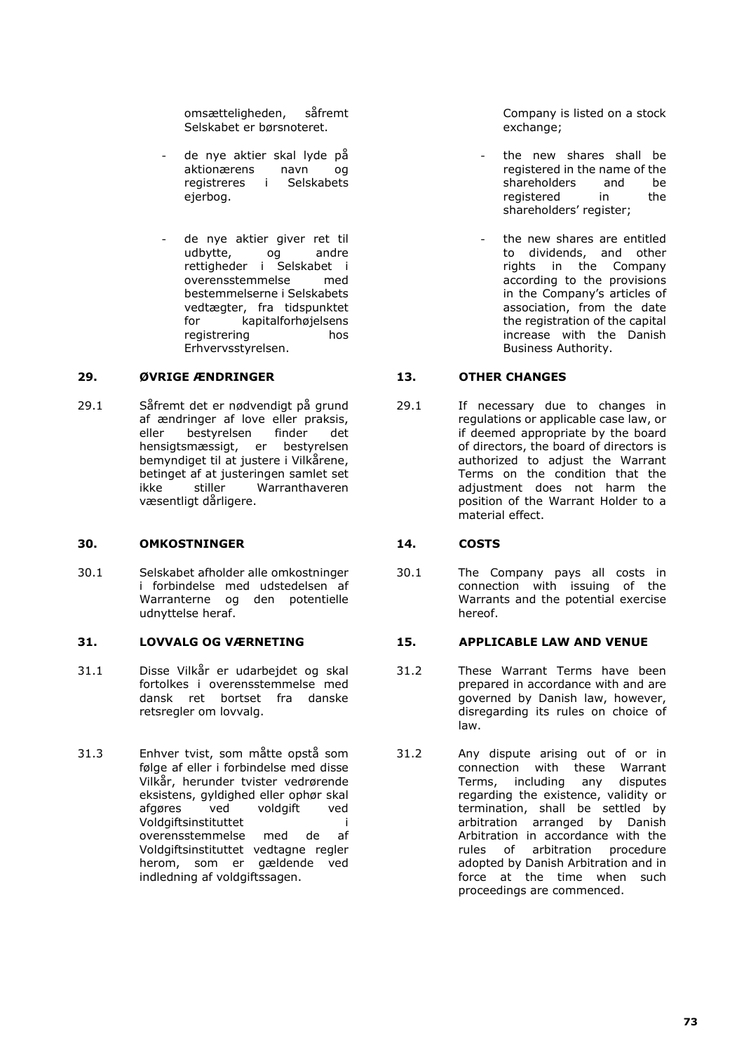omsætteligheden, såfremt Selskabet er børsnoteret.

- de nye aktier skal lyde på aktionærens navn og registreres i Selskabets ejerbog.
- de nye aktier giver ret til<br>udbytte, og andre udbytte, rettigheder i Selskabet i<br>overensstemmelse med overensstemmelse bestemmelserne i Selskabets vedtægter, fra tidspunktet for kapitalforhøjelsens registrering hos Erhvervsstyrelsen.

## **29. ØVRIGE ÆNDRINGER 13. OTHER CHANGES**

29.1 Såfremt det er nødvendigt på grund af ændringer af love eller praksis, eller bestyrelsen finder det hensigtsmæssigt, er bestyrelsen bemyndiget til at justere i Vilkårene, betinget af at justeringen samlet set<br>
ikke stiller Warranthaveren Warranthaveren væsentligt dårligere.

### **30. OMKOSTNINGER 14. COSTS**

30.1 Selskabet afholder alle omkostninger i forbindelse med udstedelsen af Warranterne og den potentielle udnyttelse heraf.

- 31.1 Disse Vilkår er udarbejdet og skal fortolkes i overensstemmelse med dansk ret bortset fra danske retsregler om lovvalg.
- 31.3 Enhver tvist, som måtte opstå som følge af eller i forbindelse med disse Vilkår, herunder tvister vedrørende eksistens, gyldighed eller ophør skal<br>afgøres ved voldgift ved voldgift ved Voldgiftsinstituttet i overensstemmelse med de af Voldgiftsinstituttet vedtagne regler herom, som er gældende ved indledning af voldgiftssagen.

Company is listed on a stock exchange:

- the new shares shall be registered in the name of the shareholders and be registered in the shareholders' register;
- the new shares are entitled to dividends, and other rights in the Company according to the provisions in the Company's articles of association, from the date the registration of the capital increase with the Danish Business Authority.

29.1 If necessary due to changes in regulations or applicable case law, or if deemed appropriate by the board of directors, the board of directors is authorized to adjust the Warrant Terms on the condition that the adjustment does not harm the position of the Warrant Holder to a material effect.

30.1 The Company pays all costs in connection with issuing of the Warrants and the potential exercise hereof.

# **31. LOVVALG OG VÆRNETING 15. APPLICABLE LAW AND VENUE**

- 31.2 These Warrant Terms have been prepared in accordance with and are governed by Danish law, however, disregarding its rules on choice of law.
- 31.2 Any dispute arising out of or in connection with these Warrant Terms, including any disputes regarding the existence, validity or termination, shall be settled by arbitration arranged by Danish Arbitration in accordance with the rules of arbitration procedure adopted by Danish Arbitration and in force at the time when such proceedings are commenced.